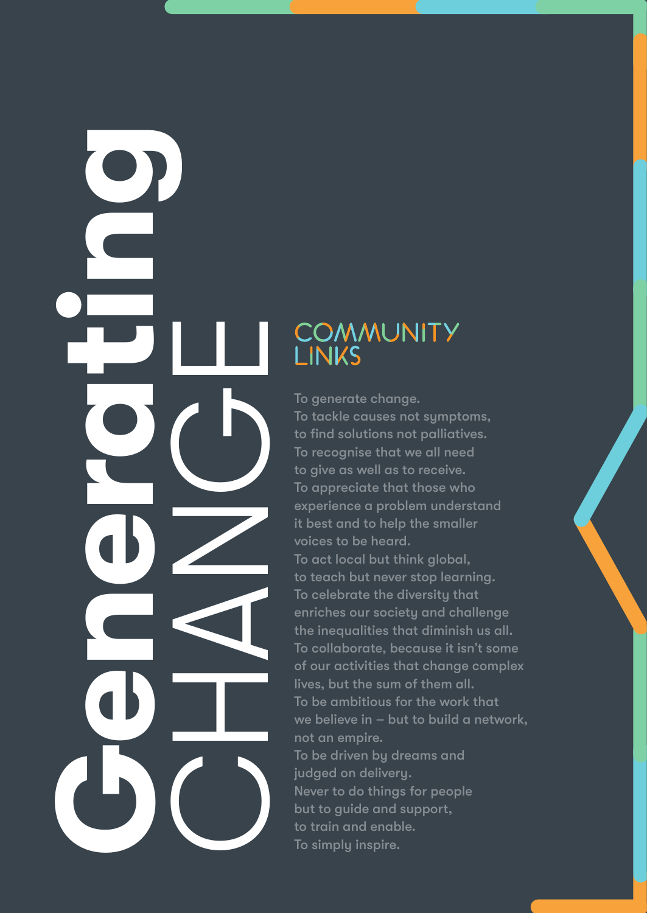# **GENERATION COMMUN**<br>
LINKS<br>
To generate change.<br>
To tockle cousse not<br>
to find solutions not<br>
to give as well as to<br>
to give a well as to<br>
the inequality three completes that the diverse to the diverse that<br>
To contect be

To tackle causes not symptoms, to find solutions not palliatives. To recognise that we all need to give as well as to receive. To appreciate that those who experience a problem understand it best and to help the smaller voices to be heard.

To act local but think global, to teach but never stop learning. To celebrate the diversity that enriches our society and challenge the inequalities that diminish us all. To collaborate, because it isn't some of our activities that change complex lives, but the sum of them all. To be ambitious for the work that we believe in – but to build a network, not an empire. To be driven by dreams and judged on delivery. Never to do things for people but to guide and support, to train and enable. To simply inspire.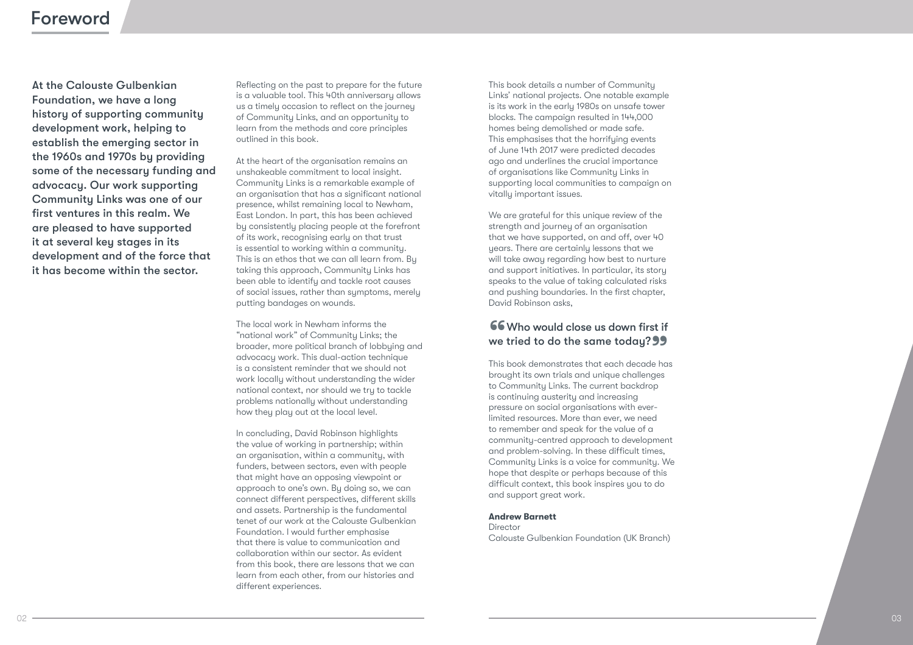### Foreword

At the Calouste Gulbenkian Foundation, we have a long history of supporting community development work, helping to establish the emerging sector in the 1960s and 1970s by providing some of the necessary funding and advocacy. Our work supporting Community Links was one of our first ventures in this realm. We are pleased to have supported it at several key stages in its development and of the force that it has become within the sector.

Reflecting on the past to prepare for the future is a valuable tool. This 40th anniversary allows us a timely occasion to reflect on the journey of Community Links, and an opportunity to learn from the methods and core principles outlined in this book.

At the heart of the organisation remains an unshakeable commitment to local insight. Community Links is a remarkable example of an organisation that has a significant national presence, whilst remaining local to Newham, East London. In part, this has been achieved by consistently placing people at the forefront of its work, recognising early on that trust is essential to working within a community. This is an ethos that we can all learn from. By taking this approach, Community Links has been able to identify and tackle root causes of social issues, rather than symptoms, merely putting bandages on wounds.

The local work in Newham informs the "national work" of Community Links; the broader, more political branch of lobbying and advocacy work. This dual-action technique is a consistent reminder that we should not work locally without understanding the wider national context, nor should we try to tackle problems nationally without understanding how they play out at the local level.

In concluding, David Robinson highlights the value of working in partnership; within an organisation, within a community, with funders, between sectors, even with people that might have an opposing viewpoint or approach to one's own. By doing so, we can connect different perspectives, different skills and assets. Partnership is the fundamental tenet of our work at the Calouste Gulbenkian Foundation. I would further emphasise that there is value to communication and collaboration within our sector. As evident from this book, there are lessons that we can learn from each other, from our histories and different experiences.

This book details a number of Community Links' national projects. One notable example is its work in the early 1980s on unsafe tower blocks. The campaign resulted in 144,000 homes being demolished or made safe. This emphasises that the horrifying events of June 14th 2017 were predicted decades ago and underlines the crucial importance of organisations like Community Links in supporting local communities to campaign on vitally important issues.

We are grateful for this unique review of the strength and journey of an organisation that we have supported, on and off, over 40 years. There are certainly lessons that we will take away regarding how best to nurture and support initiatives. In particular, its story speaks to the value of taking calculated risks and pushing boundaries. In the first chapter, David Robinson asks,

### **66**<br>we **66** Who would close us down first if we tried to do the same today? 99<br>This book demonstrates that each decade has

brought its own trials and unique challenges to Community Links. The current backdrop is continuing austerity and increasing pressure on social organisations with everlimited resources. More than ever, we need to remember and speak for the value of a community-centred approach to development and problem-solving. In these difficult times, Community Links is a voice for community. We hope that despite or perhaps because of this difficult context, this book inspires you to do and support great work.

### **Andrew Barnett**

Director Calouste Gulbenkian Foundation (UK Branch)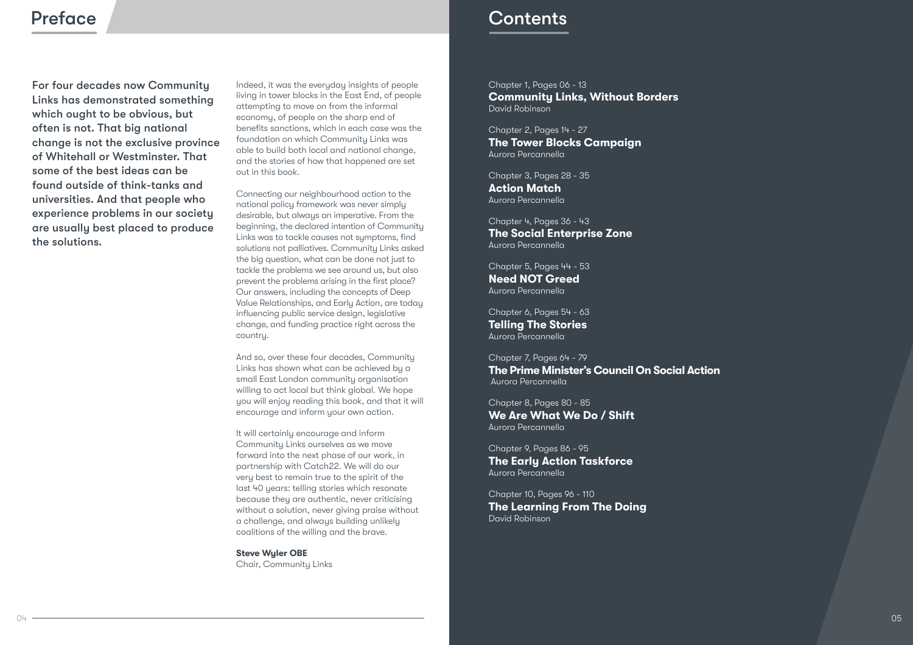For four decades now Community Links has demonstrated something which ought to be obvious, but often is not. That big national change is not the exclusive province of Whitehall or Westminster. That some of the best ideas can be found outside of think-tanks and universities. And that people who experience problems in our society are usually best placed to produce the solutions.

Indeed, it was the everyday insights of people living in tower blocks in the East End, of people attempting to move on from the informal economy, of people on the sharp end of benefits sanctions, which in each case was the foundation on which Community Links was able to build both local and national change, and the stories of how that happened are set out in this book.

Connecting our neighbourhood action to the national policy framework was never simply desirable, but always an imperative. From the beginning, the declared intention of Community Links was to tackle causes not sumptoms, find solutions not palliatives. Community Links asked the big question, what can be done not just to tackle the problems we see around us, but also prevent the problems arising in the first place? Our answers, including the concepts of Deep Value Relationships, and Early Action, are today influencing public service design, legislative change, and funding practice right across the country.

And so, over these four decades, Community Links has shown what can be achieved by a small East London community organisation willing to act local but think global. We hope you will enjoy reading this book, and that it will encourage and inform your own action.

It will certainly encourage and inform Community Links ourselves as we move forward into the next phase of our work, in partnership with Catch22. We will do our very best to remain true to the spirit of the last 40 years: telling stories which resonate because they are authentic, never criticising without a solution, never giving praise without a challenge, and always building unlikely coalitions of the willing and the brave.

**Steve Wyler OBE** Chair, Community Links

### Preface **Contents**

Chapter 1, Pages 06 - 13 **Community Links, Without Borders**  David Robinson

Chapter 2, Pages 14 - 27 **The Tower Blocks Campaign** Aurora Percannella

Chapter 3, Pages 28 - 35 **Action Match** Aurora Percannella

Chapter 4, Pages 36 - 43 **The Social Enterprise Zone** Aurora Percannella

Chapter 5, Pages 44 - 53 **Need NOT Greed** Aurora Percannella

Chapter 6, Pages 54 - 63 **Telling The Stories** Aurora Percannella

Chapter 7, Pages 64 - 79 **The Prime Minister's Council On Social Action** Aurora Percannella

Chapter 8, Pages 80 - 85 **We Are What We Do / Shift** Aurora Percannella

Chapter 9, Pages 86 - 95 **The Early Action Taskforce** Aurora Percannella

Chapter 10, Pages 96 - 110 **The Learning From The Doing** David Robinson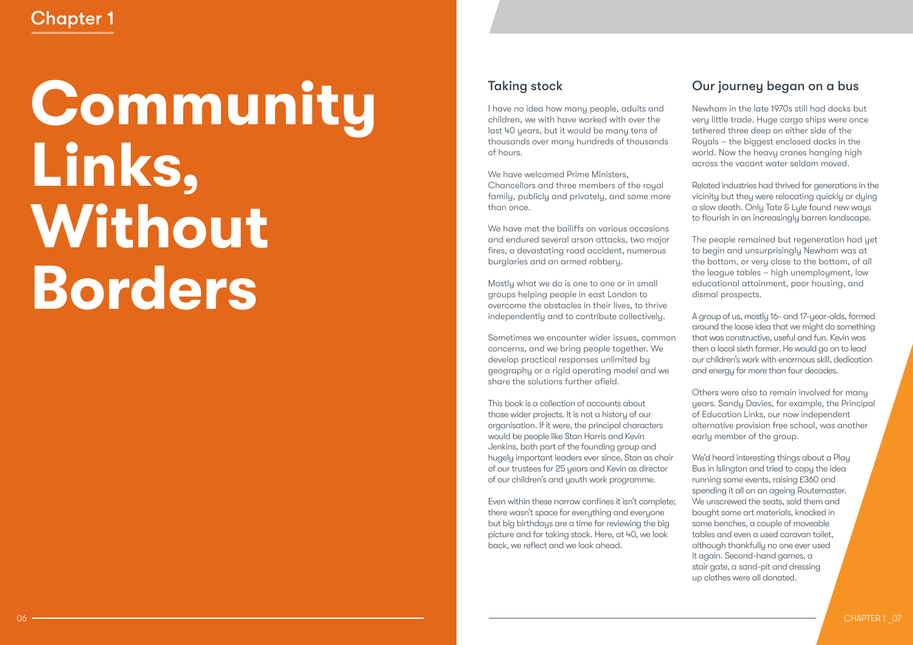# **Community Links, Without Borders**

### Taking stock

I have no idea how many people, adults and children, we with have worked with over the last 40 years, but it would be many tens of thousands over many hundreds of thousands of hours.

We have welcomed Prime Ministers. Chancellors and three members of the royal family, publicly and privately, and some more than once.

We have met the bailiffs on various occasions and endured several arson attacks, two major fires, a devastating road accident, numerous burglaries and an armed robbery.

Mostly what we do is one to one or in small groups helping people in east London to overcome the obstacles in their lives, to thrive independently and to contribute collectively.

Sometimes we encounter wider issues, common concerns, and we bring people together. We develop practical responses unlimited by geography or a rigid operating model and we share the solutions further afield.

This book is a collection of accounts about those wider projects. It is not a history of our organisation. If it were, the principal characters would be people like Stan Harris and Kevin Jenkins, both part of the founding group and hugely important leaders ever since, Stan as chair of our trustees for 25 years and Kevin as director of our children's and youth work programme.

Even within these narrow confines it isn't complete; there wasn't space for everything and everyone but big birthdays are a time for reviewing the big picture and for taking stock. Here, at 40, we look back, we reflect and we look ahead.

### Our journey began on a bus

Newham in the late 1970s still had docks but very little trade. Huge cargo ships were once tethered three deep on either side of the Royals – the biggest enclosed docks in the world. Now the heavy cranes hanging high across the vacant water seldom moved.

Related industries had thrived for generations in the vicinity but they were relocating quickly or dying a slow death. Only Tate & Lyle found new ways to flourish in an increasingly barren landscape.

The people remained but regeneration had yet to begin and unsurprisingly Newham was at the bottom, or very close to the bottom, of all the league tables – high unemployment, low educational attainment, poor housing, and dismal prospects.

A group of us, mostly 16- and 17-year-olds, formed around the loose idea that we might do something that was constructive, useful and fun. Kevin was then a local sixth former. He would go on to lead our children's work with enormous skill, dedication and energy for more than four decades.

Others were also to remain involved for many years. Sandy Davies, for example, the Principal of Education Links, our now independent alternative provision free school, was another early member of the group.

We'd heard interesting things about a Play Bus in Islington and tried to copy the idea running some events, raising £360 and spending it all on an ageing Routemaster. We unscrewed the seats, sold them and bought some art materials, knocked in some benches, a couple of moveable tables and even a used caravan toilet, although thankfully no one ever used it again. Second-hand games, a stair gate, a sand-pit and dressing up clothes were all donated.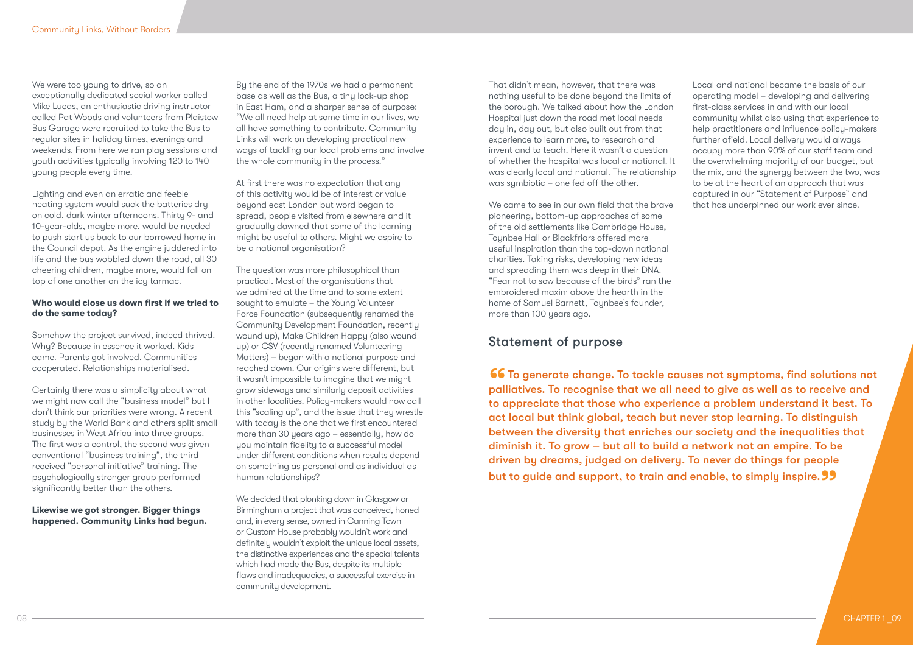We were too young to drive, so an exceptionally dedicated social worker called Mike Lucas, an enthusiastic driving instructor called Pat Woods and volunteers from Plaistow Bus Garage were recruited to take the Bus to regular sites in holiday times, evenings and weekends. From here we ran play sessions and youth activities typically involving 120 to 140 young people every time.

Lighting and even an erratic and feeble heating system would suck the batteries dry on cold, dark winter afternoons. Thirty 9- and 10-year-olds, maybe more, would be needed to push start us back to our borrowed home in the Council depot. As the engine juddered into life and the bus wobbled down the road, all 30 cheering children, maybe more, would fall on top of one another on the icy tarmac.

### **Who would close us down first if we tried to do the same today?**

Somehow the project survived, indeed thrived. Why? Because in essence it worked. Kids came. Parents got involved. Communities cooperated. Relationships materialised.

Certainly there was a simplicity about what we might now call the "business model" but I don't think our priorities were wrong. A recent study by the World Bank and others split small businesses in West Africa into three groups. The first was a control, the second was given conventional "business training", the third received "personal initiative" training. The psychologically stronger group performed significantly better than the others.

### **Likewise we got stronger. Bigger things happened. Community Links had begun.**

By the end of the 1970s we had a permanent base as well as the Bus, a tiny lock-up shop in East Ham, and a sharper sense of purpose: "We all need help at some time in our lives, we all have something to contribute. Community Links will work on developing practical new ways of tackling our local problems and involve the whole community in the process."

At first there was no expectation that any of this activity would be of interest or value beyond east London but word began to spread, people visited from elsewhere and it gradually dawned that some of the learning might be useful to others. Might we aspire to be a national organisation?

The question was more philosophical than practical. Most of the organisations that we admired at the time and to some extent sought to emulate – the Young Volunteer Force Foundation (subsequently renamed the Community Development Foundation, recently wound up), Make Children Happy (also wound up) or CSV (recently renamed Volunteering Matters) – began with a national purpose and reached down. Our origins were different, but it wasn't impossible to imagine that we might grow sideways and similarly deposit activities in other localities. Policy-makers would now call this "scaling up", and the issue that they wrestle with today is the one that we first encountered more than 30 years ago – essentially, how do you maintain fidelity to a successful model under different conditions when results depend on something as personal and as individual as human relationships?

We decided that plonking down in Glasgow or Birmingham a project that was conceived, honed and, in every sense, owned in Canning Town or Custom House probably wouldn't work and definitely wouldn't exploit the unique local assets, the distinctive experiences and the special talents which had made the Bus, despite its multiple flaws and inadequacies, a successful exercise in community development.

That didn't mean, however, that there was nothing useful to be done beyond the limits of the borough. We talked about how the London Hospital just down the road met local needs day in, day out, but also built out from that experience to learn more, to research and invent and to teach. Here it wasn't a question of whether the hospital was local or national. It was clearly local and national. The relationship was symbiotic – one fed off the other.

We came to see in our own field that the brave pioneering, bottom-up approaches of some of the old settlements like Cambridge House, Toynbee Hall or Blackfriars offered more useful inspiration than the top-down national charities. Taking risks, developing new ideas and spreading them was deep in their DNA. "Fear not to sow because of the birds" ran the embroidered maxim above the hearth in the home of Samuel Barnett, Toynbee's founder, more than 100 years ago.

### Statement of purpose

66 To generate change. To tackle causes not symptoms, find solutions not<br>palliatives. To recognise that we all need to give as well as to receive and<br>to appreciate that those who experience a problem understand it best. To palliatives. To recognise that we all need to give as well as to receive and to appreciate that those who experience a problem understand it best. To act local but think global, teach but never stop learning. To distinguish between the diversity that enriches our society and the inequalities that diminish it. To grow – but all to build a network not an empire. To be driven by dreams, judged on delivery. To never do things for people but to guide and support, to train and enable, to simply inspire. **99** 

Local and national became the basis of our operating model – developing and delivering first-class services in and with our local community whilst also using that experience to help practitioners and influence policy-makers further afield. Local delivery would always occupy more than 90% of our staff team and the overwhelming majority of our budget, but the mix, and the synergy between the two, was to be at the heart of an approach that was captured in our "Statement of Purpose" and that has underpinned our work ever since.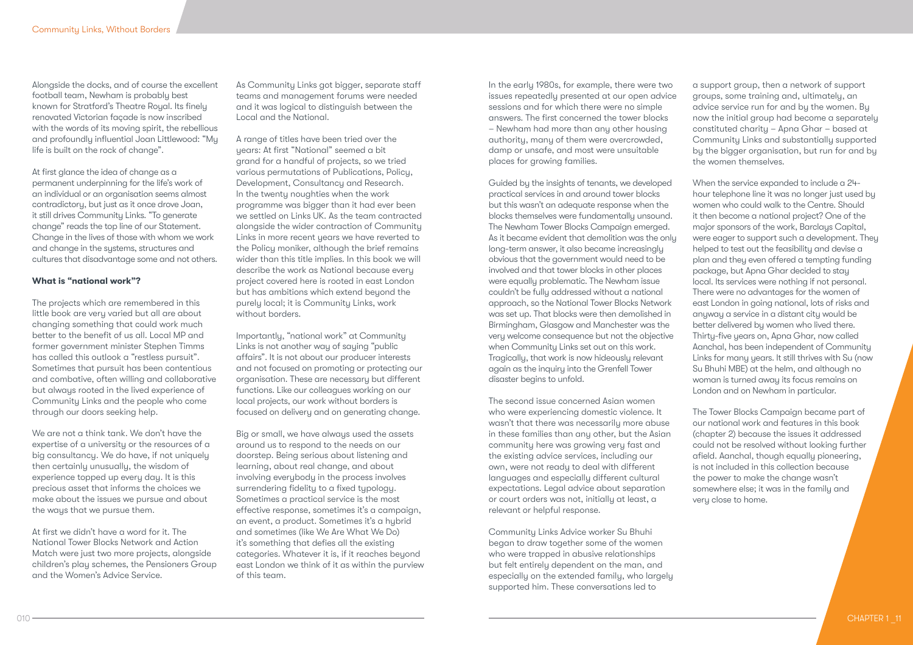Alongside the docks, and of course the excellent football team, Newham is probably best known for Stratford's Theatre Royal. Its finely renovated Victorian façade is now inscribed with the words of its moving spirit, the rebellious and profoundly influential Joan Littlewood: "My life is built on the rock of change".

At first glance the idea of change as a permanent underpinning for the life's work of an individual or an organisation seems almost contradictory, but just as it once drove Joan, it still drives Community Links. "To generate change" reads the top line of our Statement. Change in the lives of those with whom we work and change in the systems, structures and cultures that disadvantage some and not others.

### **What is "national work"?**

The projects which are remembered in this little book are very varied but all are about changing something that could work much better to the benefit of us all. Local MP and former government minister Stephen Timms has called this outlook a "restless pursuit". Sometimes that pursuit has been contentious and combative, often willing and collaborative but always rooted in the lived experience of Community Links and the people who come through our doors seeking help.

We are not a think tank. We don't have the expertise of a university or the resources of a big consultancy. We do have, if not uniquely then certainly unusually, the wisdom of experience topped up every day. It is this precious asset that informs the choices we make about the issues we pursue and about the ways that we pursue them.

At first we didn't have a word for it. The National Tower Blocks Network and Action Match were just two more projects, alongside children's play schemes, the Pensioners Group and the Women's Advice Service.

As Community Links got bigger, separate staff teams and management forums were needed and it was logical to distinguish between the Local and the National.

A range of titles have been tried over the years: At first "National" seemed a bit grand for a handful of projects, so we tried various permutations of Publications, Policy, Development, Consultancy and Research. In the twenty noughties when the work programme was bigger than it had ever been we settled on Links UK. As the team contracted alongside the wider contraction of Community Links in more recent years we have reverted to the Policy moniker, although the brief remains wider than this title implies. In this book we will describe the work as National because every project covered here is rooted in east London but has ambitions which extend beyond the purely local; it is Community Links, work without borders.

Importantly, "national work" at Community Links is not another way of saying "public affairs". It is not about our producer interests and not focused on promoting or protecting our organisation. These are necessary but different functions. Like our colleagues working on our local projects, our work without borders is focused on delivery and on generating change.

Big or small, we have always used the assets around us to respond to the needs on our doorstep. Being serious about listening and learning, about real change, and about involving everybody in the process involves surrendering fidelity to a fixed typology. Sometimes a practical service is the most effective response, sometimes it's a campaign, an event, a product. Sometimes it's a hybrid and sometimes (like We Are What We Do) it's something that defies all the existing categories. Whatever it is, if it reaches beyond east London we think of it as within the purview of this team.

In the early 1980s, for example, there were two issues repeatedly presented at our open advice sessions and for which there were no simple answers. The first concerned the tower blocks – Newham had more than any other housing authority, many of them were overcrowded, damp or unsafe, and most were unsuitable places for growing families.

Guided by the insights of tenants, we developed practical services in and around tower blocks but this wasn't an adequate response when the blocks themselves were fundamentally unsound. The Newham Tower Blocks Campaign emerged. As it became evident that demolition was the only long-term answer, it also became increasingly obvious that the government would need to be involved and that tower blocks in other places were equally problematic. The Newham issue couldn't be fully addressed without a national approach, so the National Tower Blocks Network was set up. That blocks were then demolished in Birmingham, Glasgow and Manchester was the very welcome consequence but not the objective when Community Links set out on this work. Tragically, that work is now hideously relevant again as the inquiry into the Grenfell Tower disaster begins to unfold.

The second issue concerned Asian women who were experiencing domestic violence. It wasn't that there was necessarily more abuse in these families than any other, but the Asian community here was growing very fast and the existing advice services, including our own, were not ready to deal with different languages and especially different cultural expectations. Legal advice about separation or court orders was not, initially at least, a relevant or helpful response.

Community Links Advice worker Su Bhuhi began to draw together some of the women who were trapped in abusive relationships but felt entirely dependent on the man, and especially on the extended family, who largely supported him. These conversations led to

a support group, then a network of support groups, some training and, ultimately, an advice service run for and by the women. By now the initial group had become a separately constituted charity – Apna Ghar – based at Community Links and substantially supported by the bigger organisation, but run for and by the women themselves.

When the service expanded to include a 24 hour telephone line it was no longer just used by women who could walk to the Centre. Should it then become a national project? One of the major sponsors of the work, Barclays Capital, were eager to support such a development. They helped to test out the feasibility and devise a plan and they even offered a tempting funding package, but Apna Ghar decided to stay local. Its services were nothing if not personal. There were no advantages for the women of east London in going national, lots of risks and anyway a service in a distant city would be better delivered by women who lived there. Thirty-five years on, Apna Ghar, now called Aanchal, has been independent of Community Links for many years. It still thrives with Su (now Su Bhuhi MBE) at the helm, and although no woman is turned away its focus remains on London and on Newham in particular.

The Tower Blocks Campaign became part of our national work and features in this book (chapter 2) because the issues it addressed could not be resolved without looking further afield. Aanchal, though equally pioneering, is not included in this collection because the power to make the change wasn't somewhere else; it was in the family and very close to home.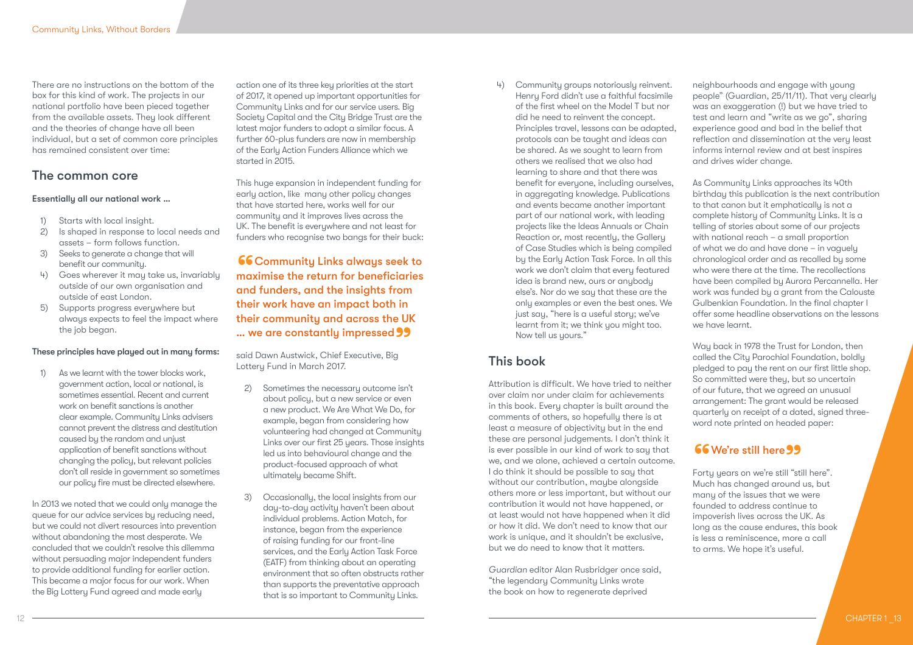There are no instructions on the bottom of the box for this kind of work. The projects in our national portfolio have been pieced together from the available assets. They look different and the theories of change have all been individual, but a set of common core principles has remained consistent over time:

### The common core

### Essentially all our national work …

- 1) Starts with local insight.
- 2) Is shaped in response to local needs and assets – form follows function.
- 3) Seeks to generate a change that will benefit our community.
- Goes wherever it may take us, invariably outside of our own organisation and outside of east London.
- 5) Supports progress everywhere but always expects to feel the impact where the job began.

### These principles have played out in many forms:

1) As we learnt with the tower blocks work, government action, local or national, is sometimes essential. Recent and current work on benefit sanctions is another clear example. Community Links advisers cannot prevent the distress and destitution caused by the random and unjust application of benefit sanctions without changing the policy, but relevant policies don't all reside in government so sometimes our policy fire must be directed elsewhere.

In 2013 we noted that we could only manage the queue for our advice services by reducing need, but we could not divert resources into prevention without abandoning the most desperate. We concluded that we couldn't resolve this dilemma without persuading major independent funders to provide additional funding for earlier action. This became a major focus for our work. When the Big Lottery Fund agreed and made early

action one of its three key priorities at the start of 2017, it opened up important opportunities for Community Links and for our service users. Big Society Capital and the City Bridge Trust are the latest major funders to adopt a similar focus. A further 60-plus funders are now in membership of the Early Action Funders Alliance which we started in 2015.

This huge expansion in independent funding for early action, like many other policy changes that have started here, works well for our community and it improves lives across the UK. The benefit is everywhere and not least for funders who recognise two bangs for their buck:

**66 Community Links always seek to** maximise the return for beneficiaries and funders, and the insights from their work have an impact both in their community and across the UK **... we are constantly impressed 99**<br>said Dawn Austwick, Chief Executive, Big

said Dawn Austwick, Chief Executive, Big Lottery Fund in March 2017.

- 2) Sometimes the necessary outcome isn't about policy, but a new service or even a new product. We Are What We Do, for example, began from considering how volunteering had changed at Community Links over our first 25 years. Those insights led us into behavioural change and the product-focused approach of what ultimately became Shift.
- 3) Occasionally, the local insights from our day-to-day activity haven't been about individual problems. Action Match, for instance, began from the experience of raising funding for our front-line services, and the Early Action Task Force (EATF) from thinking about an operating environment that so often obstructs rather than supports the preventative approach that is so important to Community Links.

4) Community groups notoriously reinvent. Henry Ford didn't use a faithful facsimile of the first wheel on the Model T but nor did he need to reinvent the concept. Principles travel, lessons can be adapted, protocols can be taught and ideas can be shared. As we sought to learn from others we realised that we also had learning to share and that there was benefit for everyone, including ourselves, in aggregating knowledge. Publications and events became another important part of our national work, with leading projects like the Ideas Annuals or Chain Reaction or, most recently, the Gallery of Case Studies which is being compiled by the Early Action Task Force. In all this work we don't claim that every featured idea is brand new, ours or anybody else's. Nor do we say that these are the only examples or even the best ones. We just say, "here is a useful story; we've learnt from it; we think you might too. Now tell us yours."

### This book

Attribution is difficult. We have tried to neither over claim nor under claim for achievements in this book. Every chapter is built around the comments of others, so hopefully there is at least a measure of objectivity but in the end these are personal judgements. I don't think it is ever possible in our kind of work to say that we, and we alone, achieved a certain outcome. I do think it should be possible to say that without our contribution, maybe alongside others more or less important, but without our contribution it would not have happened, or at least would not have happened when it did or how it did. We don't need to know that our work is unique, and it shouldn't be exclusive, but we do need to know that it matters.

*Guardian* editor Alan Rusbridger once said, "the legendary Community Links wrote the book on how to regenerate deprived

neighbourhoods and engage with young people" (Guardian, 25/11/11). That very clearly was an exaggeration (!) but we have tried to test and learn and "write as we go", sharing experience good and bad in the belief that reflection and dissemination at the very least informs internal review and at best inspires and drives wider change.

As Community Links approaches its 40th birthday this publication is the next contribution to that canon but it emphatically is not a complete history of Community Links. It is a telling of stories about some of our projects with national reach – a small proportion of what we do and have done – in vaguely chronological order and as recalled by some who were there at the time. The recollections have been compiled by Aurora Percannella. Her work was funded by a grant from the Calouste Gulbenkian Foundation. In the final chapter I offer some headline observations on the lessons we have learnt.

Way back in 1978 the Trust for London, then called the City Parochial Foundation, boldly pledged to pay the rent on our first little shop. So committed were they, but so uncertain of our future, that we agreed an unusual arrangement: The grant would be released quarterly on receipt of a dated, signed threeword note printed on headed paper:

# **66 We're still here 99**<br>Forty years on we're still "sti

Forty years on we're still "still here". Much has changed around us, but many of the issues that we were founded to address continue to impoverish lives across the UK. As long as the cause endures, this book is less a reminiscence, more a call to arms. We hope it's useful.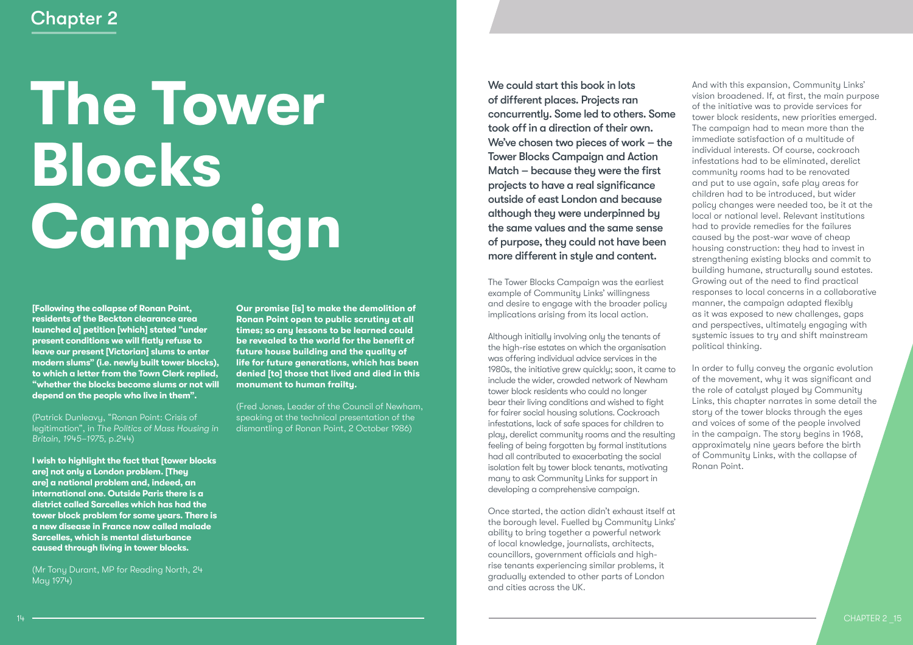# Chapter 2

# **The Tower Blocks Campaign**

**[Following the collapse of Ronan Point, residents of the Beckton clearance area launched a] petition [which] stated "under present conditions we will flatly refuse to leave our present [Victorian] slums to enter modern slums" (i.e. newly built tower blocks), to which a letter from the Town Clerk replied, "whether the blocks become slums or not will depend on the people who live in them".** 

(Patrick Dunleavy, "Ronan Point: Crisis of legitimation", in *The Politics of Mass Housing in Britain, 1945–1975,* p.244)

**I wish to highlight the fact that [tower blocks are] not only a London problem. [They are] a national problem and, indeed, an international one. Outside Paris there is a district called Sarcelles which has had the tower block problem for some years. There is a new disease in France now called malade Sarcelles, which is mental disturbance caused through living in tower blocks.**

(Mr Tony Durant, MP for Reading North, 24 May 1974)

**Our promise [is] to make the demolition of Ronan Point open to public scrutiny at all times; so any lessons to be learned could be revealed to the world for the benefit of future house building and the quality of life for future generations, which has been denied [to] those that lived and died in this monument to human frailty.**

(Fred Jones, Leader of the Council of Newham, speaking at the technical presentation of the dismantling of Ronan Point, 2 October 1986)

We could start this book in lots of different places. Projects ran concurrently. Some led to others. Some took off in a direction of their own. We've chosen two pieces of work – the Tower Blocks Campaign and Action Match – because they were the first projects to have a real significance outside of east London and because although they were underpinned by the same values and the same sense of purpose, they could not have been more different in style and content.

The Tower Blocks Campaign was the earliest example of Community Links' willingness and desire to engage with the broader policy implications arising from its local action.

Although initially involving only the tenants of the high-rise estates on which the organisation was offering individual advice services in the 1980s, the initiative grew quickly; soon, it came to include the wider, crowded network of Newham tower block residents who could no longer bear their living conditions and wished to fight for fairer social housing solutions. Cockroach infestations, lack of safe spaces for children to play, derelict community rooms and the resulting feeling of being forgotten by formal institutions had all contributed to exacerbating the social isolation felt by tower block tenants, motivating many to ask Community Links for support in developing a comprehensive campaign.

Once started, the action didn't exhaust itself at the borough level. Fuelled by Community Links' ability to bring together a powerful network of local knowledge, journalists, architects, councillors, government officials and highrise tenants experiencing similar problems, it gradually extended to other parts of London and cities across the UK.

And with this expansion, Community Links' vision broadened. If, at first, the main purpose of the initiative was to provide services for tower block residents, new priorities emerged. The campaign had to mean more than the immediate satisfaction of a multitude of individual interests. Of course, cockroach infestations had to be eliminated, derelict community rooms had to be renovated and put to use again, safe play areas for children had to be introduced, but wider policy changes were needed too, be it at the local or national level. Relevant institutions had to provide remedies for the failures caused by the post-war wave of cheap housing construction: they had to invest in strengthening existing blocks and commit to building humane, structurally sound estates. Growing out of the need to find practical responses to local concerns in a collaborative manner, the campaign adapted flexibly as it was exposed to new challenges, gaps and perspectives, ultimately engaging with systemic issues to try and shift mainstream political thinking.

In order to fully convey the organic evolution of the movement, why it was significant and the role of catalyst played by Community Links, this chapter narrates in some detail the story of the tower blocks through the eyes and voices of some of the people involved in the campaign. The story begins in 1968, approximately nine years before the birth of Community Links, with the collapse of Ronan Point.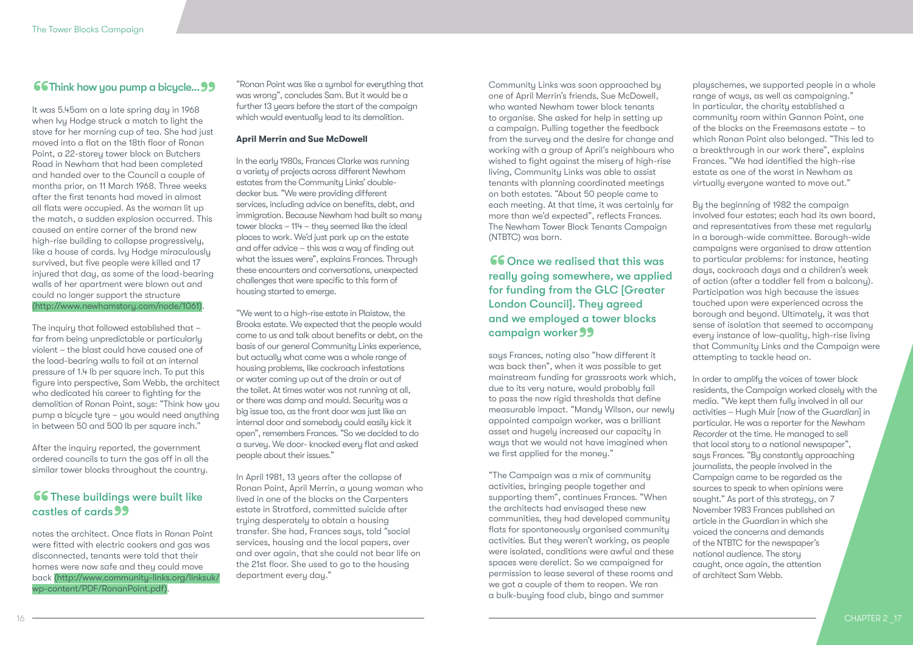**66Think how you pump a bicycle... 99**<br>It was 5.45am on a late spring day in 1968 It was 5.45am on a late spring day in 1968 when Ivy Hodge struck a match to light the stove for her morning cup of tea. She had just moved into a flat on the 18th floor of Ronan Point, a 22-storey tower block on Butchers Road in Newham that had been completed and handed over to the Council a couple of months prior, on 11 March 1968. Three weeks after the first tenants had moved in almost all flats were occupied. As the woman lit up the match, a sudden explosion occurred. This caused an entire corner of the brand new high-rise building to collapse progressively, like a house of cards. Ivy Hodge miraculously survived, but five people were killed and 17 injured that day, as some of the load-bearing walls of her apartment were blown out and could no longer support the structure (http://www.newhamstory.com/node/1061).

The inquiry that followed established that – far from being unpredictable or particularly violent – the blast could have caused one of the load-bearing walls to fail at an internal pressure of 1.4 lb per square inch. To put this figure into perspective, Sam Webb, the architect who dedicated his career to fighting for the demolition of Ronan Point, says: "Think how you pump a bicycle tyre – you would need anything in between 50 and 500 lb per square inch."

After the inquiry reported, the government ordered councils to turn the gas off in all the similar tower blocks throughout the country.

# **66 These buildings were built like** castles of cards **99**<br>notes the architect. Once

notes the architect. Once flats in Ronan Point were fitted with electric cookers and gas was disconnected, tenants were told that their homes were now safe and they could move back (http://www.community-links.org/linksuk/ wp-content/PDF/RonanPoint.pdf).

"Ronan Point was like a symbol for everything that was wrong", concludes Sam. But it would be a further 13 years before the start of the campaign which would eventually lead to its demolition.

### **April Merrin and Sue McDowell**

In the early 1980s, Frances Clarke was running a variety of projects across different Newham estates from the Community Links' doubledecker bus. "We were providing different services, including advice on benefits, debt, and immigration. Because Newham had built so many tower blocks – 114 – they seemed like the ideal places to work. We'd just park up on the estate and offer advice – this was a way of finding out what the issues were", explains Frances. Through these encounters and conversations, unexpected challenges that were specific to this form of housing started to emerge.

"We went to a high-rise estate in Plaistow, the Brooks estate. We expected that the people would come to us and talk about benefits or debt, on the basis of our general Community Links experience, but actually what came was a whole range of housing problems, like cockroach infestations or water coming up out of the drain or out of the toilet. At times water was not running at all, or there was damp and mould. Security was a big issue too, as the front door was just like an internal door and somebody could easily kick it open", remembers Frances. "So we decided to do a survey. We door- knocked every flat and asked people about their issues."

In April 1981, 13 years after the collapse of Ronan Point, April Merrin, a young woman who lived in one of the blocks on the Carpenters estate in Stratford, committed suicide after trying desperately to obtain a housing transfer. She had, Frances says, told "social services, housing and the local papers, over and over again, that she could not bear life on the 21st floor. She used to go to the housing department every day."

Community Links was soon approached by one of April Merrin's friends, Sue McDowell, who wanted Newham tower block tenants to organise. She asked for help in setting up a campaign. Pulling together the feedback from the survey and the desire for change and working with a group of April's neighbours who wished to fight against the misery of high-rise living, Community Links was able to assist tenants with planning coordinated meetings on both estates. "About 50 people came to each meeting. At that time, it was certainly far more than we'd expected", reflects Frances. The Newham Tower Block Tenants Campaign (NTBTC) was born.

**66** Once we realised that this was<br>really going somewhere, we applied<br>for funding from the GLC [Greater really going somewhere, we applied for funding from the GLC [Greater London Council]. They agreed and we employed a tower blocks **Campaign worker 99**<br>says Frances, noting also "

says Frances, noting also "how different it was back then", when it was possible to get mainstream funding for grassroots work which, due to its very nature, would probably fail to pass the now rigid thresholds that define measurable impact. "Mandy Wilson, our newly appointed campaign worker, was a brilliant asset and hugely increased our capacity in ways that we would not have imagined when we first applied for the money."

"The Campaign was a mix of community activities, bringing people together and supporting them", continues Frances. "When the architects had envisaged these new communities, they had developed community flats for spontaneously organised community activities. But they weren't working, as people were isolated, conditions were awful and these spaces were derelict. So we campaigned for permission to lease several of these rooms and we got a couple of them to reopen. We ran a bulk-buying food club, bingo and summer

playschemes, we supported people in a whole range of ways, as well as campaigning." In particular, the charity established a community room within Gannon Point, one of the blocks on the Freemasons estate – to which Ronan Point also belonged. "This led to a breakthrough in our work there", explains Frances. "We had identified the high-rise estate as one of the worst in Newham as virtually everyone wanted to move out."

By the beginning of 1982 the campaign involved four estates; each had its own board, and representatives from these met regularly in a borough-wide committee. Borough-wide campaigns were organised to draw attention to particular problems: for instance, heating days, cockroach days and a children's week of action (after a toddler fell from a balcony). Participation was high because the issues touched upon were experienced across the borough and beyond. Ultimately, it was that sense of isolation that seemed to accompany every instance of low-quality, high-rise living that Community Links and the Campaign were attempting to tackle head on.

In order to amplify the voices of tower block residents, the Campaign worked closely with the media. "We kept them fully involved in all our activities – Hugh Muir [now of the *Guardian*] in particular. He was a reporter for the *Newham Recorder* at the time. He managed to sell that local story to a national newspaper", says Frances. "By constantly approaching journalists, the people involved in the Campaign came to be regarded as the sources to speak to when opinions were sought." As part of this strategy, on 7 November 1983 Frances published an article in the *Guardian* in which she voiced the concerns and demands of the NTBTC for the newspaper's national audience. The story caught, once again, the attention of architect Sam Webb.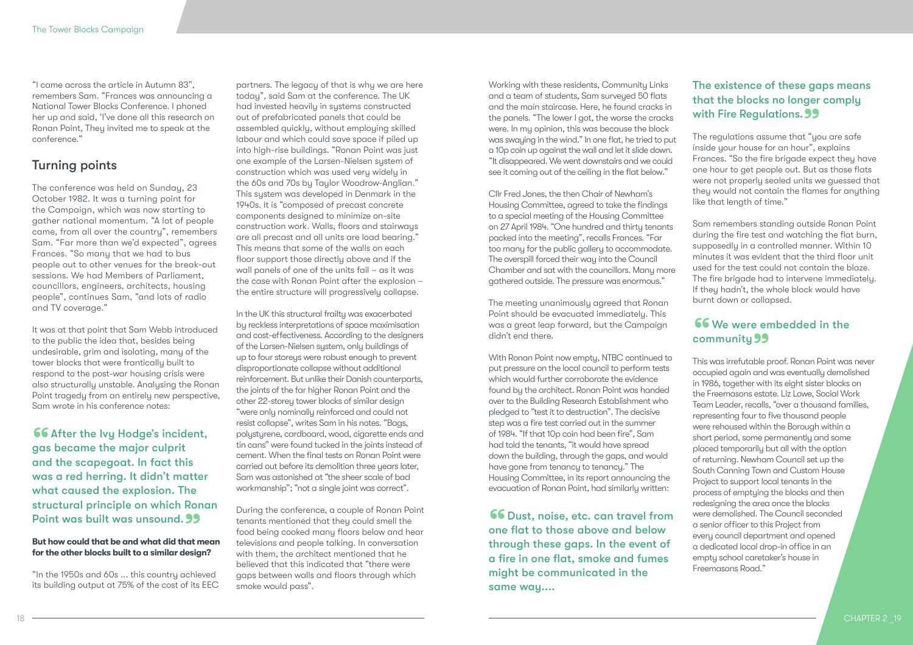"I came across the article in Autumn 83", remembers Sam. "Frances was announcing a National Tower Blocks Conference. I phoned her up and said, 'I've done all this research on Ronan Point, They invited me to speak at the conference."

### Turning points

The conference was held on Sunday, 23 October 1982. It was a turning point for the Campaign, which was now starting to gather national momentum. "A lot of people came, from all over the country", remembers Sam. "Far more than we'd expected", agrees Frances. "So many that we had to bus people out to other venues for the break-out sessions. We had Members of Parliament, councillors, engineers, architects, housing people", continues Sam, "and lots of radio and TV coverage."

It was at that point that Sam Webb introduced to the public the idea that, besides being undesirable, grim and isolating, many of the tower blocks that were frantically built to respond to the post-war housing crisis were also structurally unstable. Analysing the Ronan Point tragedy from an entirely new perspective, Sam wrote in his conference notes:

66 After the Ivy Hodge's incident, gas became the major culprit and the scapegoat. In fact this was a red herring. It didn't matter what caused the explosion. The structural principle on which Ronan Point was built was unsound. 99<br>But how could that be and what did that m

### **But how could that be and what did that mean for the other blocks built to a similar design?**

"In the 1950s and 60s ... this country achieved its building output at 75% of the cost of its EEC

partners. The legacy of that is why we are here today", said Sam at the conference. The UK had invested heavily in systems constructed out of prefabricated panels that could be assembled quickly, without employing skilled labour and which could save space if piled up into high-rise buildings. "Ronan Point was just one example of the Larsen-Nielsen system of construction which was used very widely in the 60s and 70s by Taylor Woodrow-Anglian." This system was developed in Denmark in the 1940s. It is "composed of precast concrete components designed to minimize on-site construction work. Walls, floors and stairways are all precast and all units are load bearing." This means that some of the walls on each floor support those directly above and if the wall panels of one of the units fail – as it was the case with Ronan Point after the explosion – the entire structure will progressively collapse.

In the UK this structural frailty was exacerbated by reckless interpretations of space maximisation and cost-effectiveness. According to the designers of the Larsen-Nielsen system, only buildings of up to four storeys were robust enough to prevent disproportionate collapse without additional reinforcement. But unlike their Danish counterparts, the joints of the far higher Ronan Point and the other 22-storey tower blocks of similar design "were only nominally reinforced and could not resist collapse", writes Sam in his notes. "Bags, polystyrene, cardboard, wood, cigarette ends and tin cans" were found tucked in the joints instead of cement. When the final tests on Ronan Point were carried out before its demolition three years later, Sam was astonished at "the sheer scale of bad workmanship"; "not a single joint was correct".

During the conference, a couple of Ronan Point tenants mentioned that they could smell the food being cooked many floors below and hear televisions and people talking. In conversation with them, the architect mentioned that he believed that this indicated that "there were gaps between walls and floors through which smoke would pass".

Working with these residents, Community Links and a team of students. Sam surveyed 50 flats and the main staircase. Here, he found cracks in the panels. "The lower I got, the worse the cracks were. In my opinion, this was because the block was swaying in the wind." In one flat, he tried to put a 10p coin up against the wall and let it slide down. "It disappeared. We went downstairs and we could see it coming out of the ceiling in the flat below."

Cllr Fred Jones, the then Chair of Newham's Housing Committee, agreed to take the findings to a special meeting of the Housing Committee on 27 April 1984. "One hundred and thirty tenants packed into the meeting", recalls Frances. "Far too many for the public gallery to accommodate. The overspill forced their way into the Council Chamber and sat with the councillors. Many more gathered outside. The pressure was enormous."

The meeting unanimously agreed that Ronan Point should be evacuated immediately. This was a great leap forward, but the Campaign didn't end there.

With Ronan Point now empty, NTBC continued to put pressure on the local council to perform tests which would further corroborate the evidence found by the architect. Ronan Point was handed over to the Building Research Establishment who pledged to "test it to destruction". The decisive step was a fire test carried out in the summer of 1984. "If that 10p coin had been fire", Sam had told the tenants, "it would have spread down the building, through the gaps, and would have gone from tenancy to tenancy." The Housing Committee, in its report announcing the evacuation of Ronan Point, had similarly written:

66 Dust, noise, etc. can travel from one flat to those above and below through these gaps. In the event of a fire in one flat, smoke and fumes might be communicated in the same way....

# The existence of these gaps means that the blocks no longer comply with Fire Regulations.<sup>99</sup><br>The regulations assume that "yo

The regulations assume that "you are safe inside your house for an hour", explains Frances. "So the fire brigade expect they have one hour to get people out. But as those flats were not properly sealed units we guessed that they would not contain the flames for anything like that length of time."

Sam remembers standing outside Ronan Point during the fire test and watching the flat burn, supposedly in a controlled manner. Within 10 minutes it was evident that the third floor unit used for the test could not contain the blaze. The fire brigade had to intervene immediately. If they hadn't, the whole block would have burnt down or collapsed.

### 66 We were embedded in the community 99

This was irrefutable proof. Ronan Point was never " occupied again and was eventually demolished in 1986, together with its eight sister blocks on the Freemasons estate. Liz Lowe, Social Work Team Leader, recalls, "over a thousand families, representing four to five thousand people were rehoused within the Borough within a short period, some permanently and some placed temporarily but all with the option of returning. Newham Council set up the South Canning Town and Custom House Project to support local tenants in the process of emptying the blocks and then redesigning the area once the blocks were demolished. The Council seconded a senior officer to this Project from every council department and opened a dedicated local drop-in office in an empty school caretaker's house in Freemasons Road."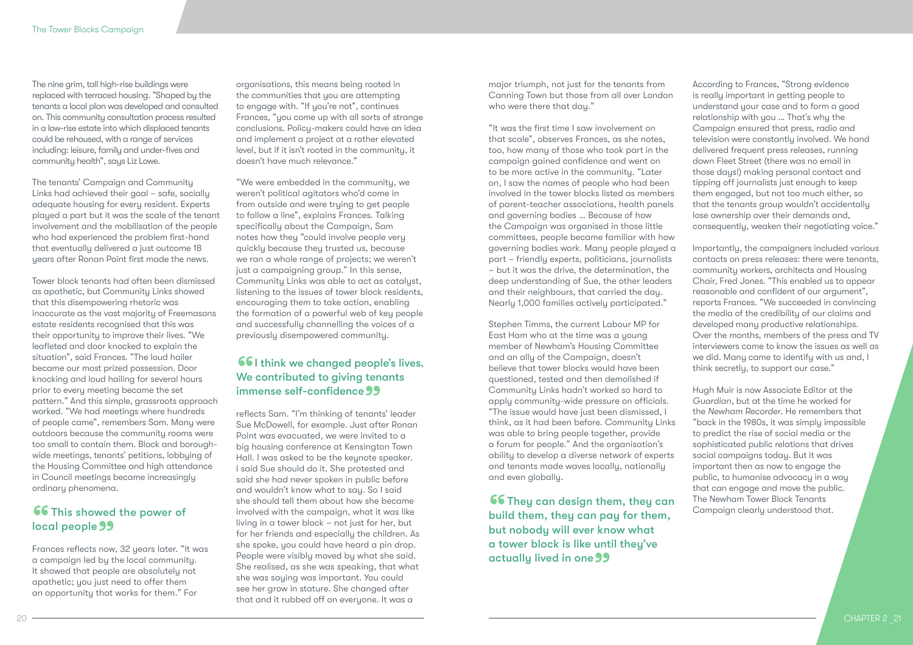The nine grim, tall high-rise buildings were replaced with terraced housing. "Shaped by the tenants a local plan was developed and consulted on. This community consultation process resulted in a low-rise estate into which displaced tenants could be rehoused, with a range of services including: leisure, family and under-fives and community health", says Liz Lowe.

The tenants' Campaign and Community Links had achieved their goal – safe, socially adequate housing for every resident. Experts played a part but it was the scale of the tenant involvement and the mobilisation of the people who had experienced the problem first-hand that eventually delivered a just outcome 18 years after Ronan Point first made the news.

Tower block tenants had often been dismissed as apathetic, but Community Links showed that this disempowering rhetoric was inaccurate as the vast majority of Freemasons estate residents recognised that this was their opportunity to improve their lives. "We leafleted and door knocked to explain the situation", said Frances. "The loud hailer became our most prized possession. Door knocking and loud hailing for several hours prior to every meeting became the set pattern." And this simple, grassroots approach worked. "We had meetings where hundreds of people came", remembers Sam. Many were outdoors because the community rooms were too small to contain them. Block and boroughwide meetings, tenants' petitions, lobbying of the Housing Committee and high attendance in Council meetings became increasingly ordinary phenomena.

# 66 This showed the power of **local people 99**<br>Frances reflects now

Frances reflects now, 32 years later. "It was a campaign led by the local community. It showed that people are absolutely not apathetic; you just need to offer them an opportunity that works for them." For

organisations, this means being rooted in the communities that you are attempting to engage with. "If you're not", continues Frances, "you come up with all sorts of strange conclusions. Policy-makers could have an idea and implement a project at a rather elevated level, but if it isn't rooted in the community, it doesn't have much relevance."

"We were embedded in the community, we weren't political agitators who'd come in from outside and were trying to get people to follow a line", explains Frances. Talking specifically about the Campaign, Sam notes how they "could involve people very quickly because they trusted us, because we ran a whole range of projects; we weren't just a campaigning group." In this sense, Community Links was able to act as catalyst, listening to the issues of tower block residents, encouraging them to take action, enabling the formation of a powerful web of key people and successfully channelling the voices of a previously disempowered community.

### **661** think we changed people's lives. We contributed to giving tenants immense self-confidence **immense self-confidence 99**<br>reflects Sam. "I'm thinking of tenants' leader

Sue McDowell, for example. Just after Ronan Point was evacuated, we were invited to a big housing conference at Kensington Town Hall. I was asked to be the keynote speaker. I said Sue should do it. She protested and said she had never spoken in public before and wouldn't know what to say. So I said she should tell them about how she became involved with the campaign, what it was like living in a tower block – not just for her, but for her friends and especially the children. As she spoke, you could have heard a pin drop. People were visibly moved by what she said. She realised, as she was speaking, that what she was saying was important. You could see her grow in stature. She changed after that and it rubbed off on everyone. It was a

major triumph, not just for the tenants from Canning Town but those from all over London who were there that day."

"It was the first time I saw involvement on that scale", observes Frances, as she notes, too, how many of those who took part in the campaign gained confidence and went on to be more active in the community. "Later on, I saw the names of people who had been involved in the tower blocks listed as members of parent-teacher associations, health panels and governing bodies … Because of how the Campaign was organised in those little committees, people became familiar with how governing bodies work. Many people played a part – friendly experts, politicians, journalists – but it was the drive, the determination, the deep understanding of Sue, the other leaders and their neighbours, that carried the day. Nearly 1,000 families actively participated."

Stephen Timms, the current Labour MP for East Ham who at the time was a young member of Newham's Housing Committee and an ally of the Campaign, doesn't believe that tower blocks would have been questioned, tested and then demolished if Community Links hadn't worked so hard to apply community-wide pressure on officials. "The issue would have just been dismissed, I think, as it had been before. Community Links was able to bring people together, provide a forum for people." And the organisation's ability to develop a diverse network of experts and tenants made waves locally, nationally and even globally.

**66** They can design them, they can<br>build them, they can pay for them,<br>but pobody will over know what build them, they can pay for them, but nobody will ever know what a tower block is like until they've actually lived in one 99

According to Frances, "Strong evidence is really important in getting people to understand your case and to form a good relationship with you … That's why the Campaign ensured that press, radio and television were constantly involved. We hand delivered frequent press releases, running down Fleet Street (there was no email in those days!) making personal contact and tipping off journalists just enough to keep them engaged, but not too much either, so that the tenants group wouldn't accidentally lose ownership over their demands and, consequently, weaken their negotiating voice."

Importantly, the campaigners included various contacts on press releases: there were tenants, community workers, architects and Housing Chair, Fred Jones. "This enabled us to appear reasonable and confident of our argument", reports Frances. "We succeeded in convincing the media of the credibility of our claims and developed many productive relationships. Over the months, members of the press and TV interviewers came to know the issues as well as we did. Many came to identify with us and, I think secretly, to support our case."

Hugh Muir is now Associate Editor at the *Guardian*, but at the time he worked for the *Newham Recorder*. He remembers that "back in the 1980s, it was simply impossible to predict the rise of social media or the sophisticated public relations that drives social campaigns today. But it was important then as now to engage the public, to humanise advocacy in a way that can engage and move the public. The Newham Tower Block Tenants Campaign clearly understood that.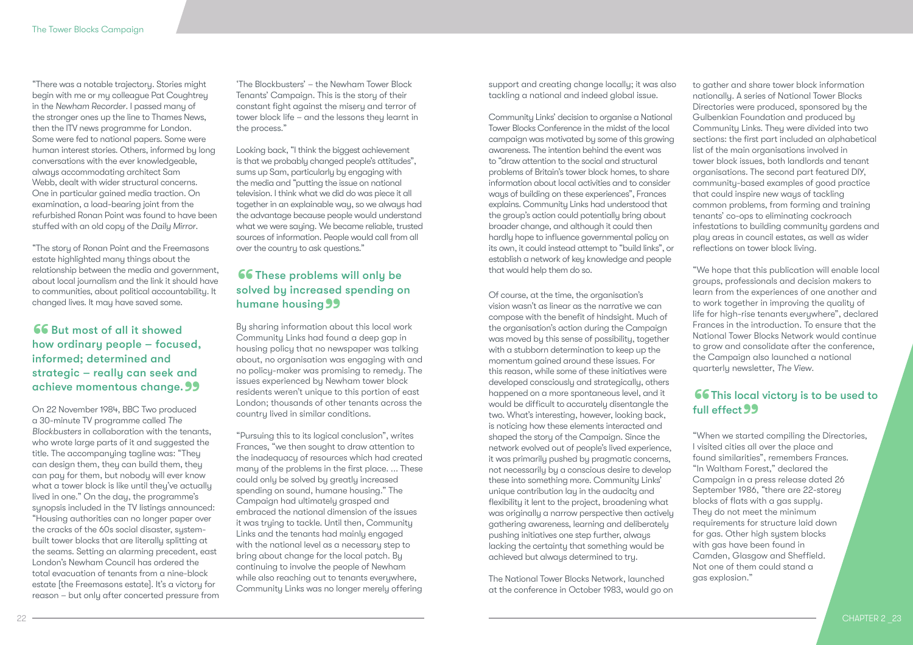"There was a notable trajectory. Stories might begin with me or my colleague Pat Coughtrey in the *Newham Recorder*. I passed many of the stronger ones up the line to Thames News, then the ITV news programme for London. Some were fed to national papers. Some were human interest stories. Others, informed by long conversations with the ever knowledgeable, always accommodating architect Sam Webb, dealt with wider structural concerns. One in particular gained media traction. On examination, a load-bearing joint from the refurbished Ronan Point was found to have been stuffed with an old copy of the *Daily Mirror*.

"The story of Ronan Point and the Freemasons estate highlighted many things about the relationship between the media and government, about local journalism and the link it should have to communities, about political accountability. It changed lives. It may have saved some.

### **66** But most of all it showed<br>how ordinary people – focus<br>informed: determined and how ordinary people – focused, informed; determined and strategic – really can seek and achieve momentous change. 99<br>On 22 November 1984, BBC Two produced

On 22 November 1984, BBC Two produced a 30-minute TV programme called *The Blockbusters* in collaboration with the tenants, who wrote large parts of it and suggested the title. The accompanying tagline was: "They can design them, they can build them, they can pay for them, but nobody will ever know what a tower block is like until they've actually lived in one." On the day, the programme's synopsis included in the TV listings announced: "Housing authorities can no longer paper over the cracks of the 60s social disaster, systembuilt tower blocks that are literally splitting at the seams. Setting an alarming precedent, east London's Newham Council has ordered the total evacuation of tenants from a nine-block estate [the Freemasons estate]. It's a victory for reason – but only after concerted pressure from

'The Blockbusters' – the Newham Tower Block Tenants' Campaign. This is the story of their constant fight against the misery and terror of tower block life – and the lessons they learnt in the process."

Looking back, "I think the biggest achievement is that we probably changed people's attitudes", sums up Sam, particularly by engaging with the media and "putting the issue on national television. I think what we did do was piece it all together in an explainable way, so we always had the advantage because people would understand what we were saying. We became reliable, trusted sources of information. People would call from all over the country to ask questions."

# **66** These problems will only be<br>solved by increased spending o solved by increased spending on **humane housing 99**<br>By sharing information abo

By sharing information about this local work Community Links had found a deep gap in housing policy that no newspaper was talking about, no organisation was engaging with and no policy-maker was promising to remedy. The issues experienced by Newham tower block residents weren't unique to this portion of east London; thousands of other tenants across the country lived in similar conditions.

"Pursuing this to its logical conclusion", writes Frances, "we then sought to draw attention to the inadequacy of resources which had created many of the problems in the first place. ... These could only be solved by greatly increased spending on sound, humane housing." The Campaign had ultimately grasped and embraced the national dimension of the issues it was trying to tackle. Until then, Community Links and the tenants had mainly engaged with the national level as a necessary step to bring about change for the local patch. By continuing to involve the people of Newham while also reaching out to tenants everywhere, Community Links was no longer merely offering

support and creating change locally; it was also tackling a national and indeed global issue.

Community Links' decision to organise a National Tower Blocks Conference in the midst of the local campaign was motivated by some of this growing awareness. The intention behind the event was to "draw attention to the social and structural problems of Britain's tower block homes, to share information about local activities and to consider ways of building on these experiences", Frances explains. Community Links had understood that the group's action could potentially bring about broader change, and although it could then hardly hope to influence governmental policy on its own, it could instead attempt to "build links", or establish a network of key knowledge and people that would help them do so.

Of course, at the time, the organisation's vision wasn't as linear as the narrative we can compose with the benefit of hindsight. Much of the organisation's action during the Campaign was moved by this sense of possibility, together with a stubborn determination to keep up the momentum gained around these issues. For this reason, while some of these initiatives were developed consciously and strategically, others happened on a more spontaneous level, and it would be difficult to accurately disentangle the two. What's interesting, however, looking back, is noticing how these elements interacted and shaped the story of the Campaign. Since the network evolved out of people's lived experience, it was primarily pushed by pragmatic concerns, not necessarily by a conscious desire to develop these into something more. Community Links' unique contribution lay in the audacity and flexibility it lent to the project, broadening what was originally a narrow perspective then actively gathering awareness, learning and deliberately pushing initiatives one step further, always lacking the certainty that something would be achieved but always determined to try.

The National Tower Blocks Network, launched at the conference in October 1983, would go on to gather and share tower block information nationally. A series of National Tower Blocks Directories were produced, sponsored by the Gulbenkian Foundation and produced by Community Links. They were divided into two sections: the first part included an alphabetical list of the main organisations involved in tower block issues, both landlords and tenant organisations. The second part featured DIY, community-based examples of good practice that could inspire new ways of tackling common problems, from forming and training tenants' co-ops to eliminating cockroach infestations to building community gardens and play areas in council estates, as well as wider reflections on tower block living.

"We hope that this publication will enable local groups, professionals and decision makers to learn from the experiences of one another and to work together in improving the quality of life for high-rise tenants everywhere", declared Frances in the introduction. To ensure that the National Tower Blocks Network would continue to grow and consolidate after the conference, the Campaign also launched a national quarterly newsletter, *The View*.

### **66 This local victory is to be used to** full effect 99 full effect 99<br>"When we started compiling the Directories,

I visited cities all over the place and found similarities", remembers Frances. "In Waltham Forest," declared the Campaign in a press release dated 26 September 1986, "there are 22-storey blocks of flats with a gas supply. They do not meet the minimum requirements for structure laid down for gas. Other high system blocks with gas have been found in Camden, Glasgow and Sheffield. Not one of them could stand a gas explosion."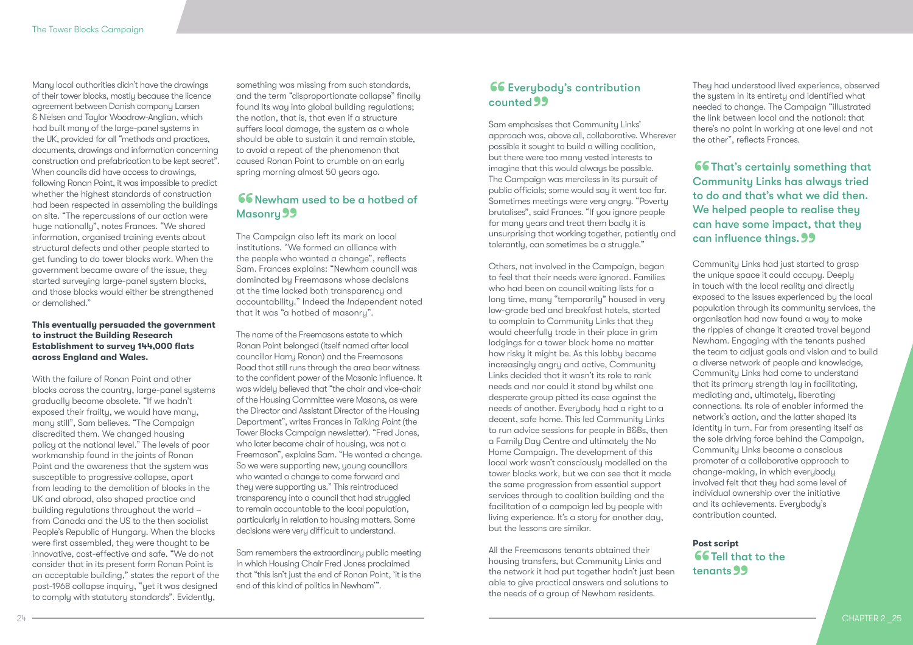Many local authorities didn't have the drawings of their tower blocks, mostly because the licence agreement between Danish company Larsen & Nielsen and Taylor Woodrow-Anglian, which had built many of the large-panel systems in the UK, provided for all "methods and practices, documents, drawings and information concerning construction and prefabrication to be kept secret". When councils did have access to drawings, following Ronan Point, it was impossible to predict whether the highest standards of construction had been respected in assembling the buildings on site. "The repercussions of our action were huge nationally", notes Frances. "We shared information, organised training events about structural defects and other people started to get funding to do tower blocks work. When the government became aware of the issue, they started surveying large-panel system blocks, and those blocks would either be strengthened or demolished."

### **This eventually persuaded the government to instruct the Building Research Establishment to survey 144,000 flats across England and Wales.**

With the failure of Ronan Point and other blocks across the country, large-panel systems gradually became obsolete. "If we hadn't exposed their frailty, we would have many, many still", Sam believes. "The Campaign discredited them. We changed housing policy at the national level." The levels of poor workmanship found in the joints of Ronan Point and the awareness that the system was susceptible to progressive collapse, apart from leading to the demolition of blocks in the UK and abroad, also shaped practice and building regulations throughout the world – from Canada and the US to the then socialist People's Republic of Hungary. When the blocks were first assembled, they were thought to be innovative, cost-effective and safe. "We do not consider that in its present form Ronan Point is an acceptable building," states the report of the post-1968 collapse inquiry, "yet it was designed to comply with statutory standards". Evidently,

something was missing from such standards, and the term "disproportionate collapse" finally found its way into global building regulations; the notion, that is, that even if a structure suffers local damage, the system as a whole should be able to sustain it and remain stable, to avoid a repeat of the phenomenon that caused Ronan Point to crumble on an early spring morning almost 50 years ago.

# **66** Newham used to be a hotbed of Masonry 99<br>The Campaign

The Campaign also left its mark on local institutions. "We formed an alliance with the people who wanted a change", reflects Sam. Frances explains: "Newham council was dominated by Freemasons whose decisions at the time lacked both transparency and accountability." Indeed the *Independent* noted that it was "a hotbed of masonry".

The name of the Freemasons estate to which Ronan Point belonged (itself named after local councillor Harry Ronan) and the Freemasons Road that still runs through the area bear witness to the confident power of the Masonic influence. It was widely believed that "the chair and vice-chair of the Housing Committee were Masons, as were the Director and Assistant Director of the Housing Department", writes Frances in *Talking Point* (the Tower Blocks Campaign newsletter). "Fred Jones, who later became chair of housing, was not a Freemason", explains Sam. "He wanted a change. So we were supporting new, young councillors who wanted a change to come forward and they were supporting us." This reintroduced transparency into a council that had struggled to remain accountable to the local population, particularly in relation to housing matters. Some decisions were very difficult to understand.

Sam remembers the extraordinary public meeting in which Housing Chair Fred Jones proclaimed that "this isn't just the end of Ronan Point, 'it is the end of this kind of politics in Newham'".

# **66** Everybody's contribution **counted 99**<br>Sam emphasises

Sam emphasises that Community Links' approach was, above all, collaborative. Wherever possible it sought to build a willing coalition, but there were too many vested interests to imagine that this would always be possible. The Campaign was merciless in its pursuit of public officials; some would say it went too far. Sometimes meetings were very angry. "Poverty brutalises", said Frances. "If you ignore people for many years and treat them badly it is unsurprising that working together, patiently and tolerantly, can sometimes be a struggle."

Others, not involved in the Campaign, began to feel that their needs were ignored. Families who had been on council waiting lists for a long time, many "temporarily" housed in very low-grade bed and breakfast hotels, started to complain to Community Links that they would cheerfully trade in their place in grim lodgings for a tower block home no matter how risky it might be. As this lobby became increasingly angry and active, Community Links decided that it wasn't its role to rank needs and nor could it stand by whilst one desperate group pitted its case against the needs of another. Everybody had a right to a decent, safe home. This led Community Links to run advice sessions for people in B&Bs, then a Family Day Centre and ultimately the No Home Campaign. The development of this local work wasn't consciously modelled on the tower blocks work, but we can see that it made the same progression from essential support services through to coalition building and the facilitation of a campaign led by people with living experience. It's a story for another day, but the lessons are similar.

All the Freemasons tenants obtained their housing transfers, but Community Links and the network it had put together hadn't just been able to give practical answers and solutions to the needs of a group of Newham residents.

They had understood lived experience, observed the system in its entirety and identified what needed to change. The Campaign "illustrated the link between local and the national: that there's no point in working at one level and not the other", reflects Frances.

**66** That's certainly something that<br>Community Links has always tried<br>to do and that's what we did then Community Links has always tried to do and that's what we did then. We helped people to realise they can have some impact, that they **can influence things. 99**<br>Community Links had just starte

Community Links had just started to grasp the unique space it could occupy. Deeply in touch with the local reality and directly exposed to the issues experienced by the local population through its community services, the organisation had now found a way to make the ripples of change it created travel beyond Newham. Engaging with the tenants pushed the team to adjust goals and vision and to build a diverse network of people and knowledge, Community Links had come to understand that its primary strength lay in facilitating, mediating and, ultimately, liberating connections. Its role of enabler informed the network's action, and the latter shaped its identity in turn. Far from presenting itself as the sole driving force behind the Campaign, Community Links became a conscious promoter of a collaborative approach to change-making, in which everybody involved felt that they had some level of individual ownership over the initiative and its achievements. Everybody's contribution counted.

**Post script 66 Tell that to the** tenants 99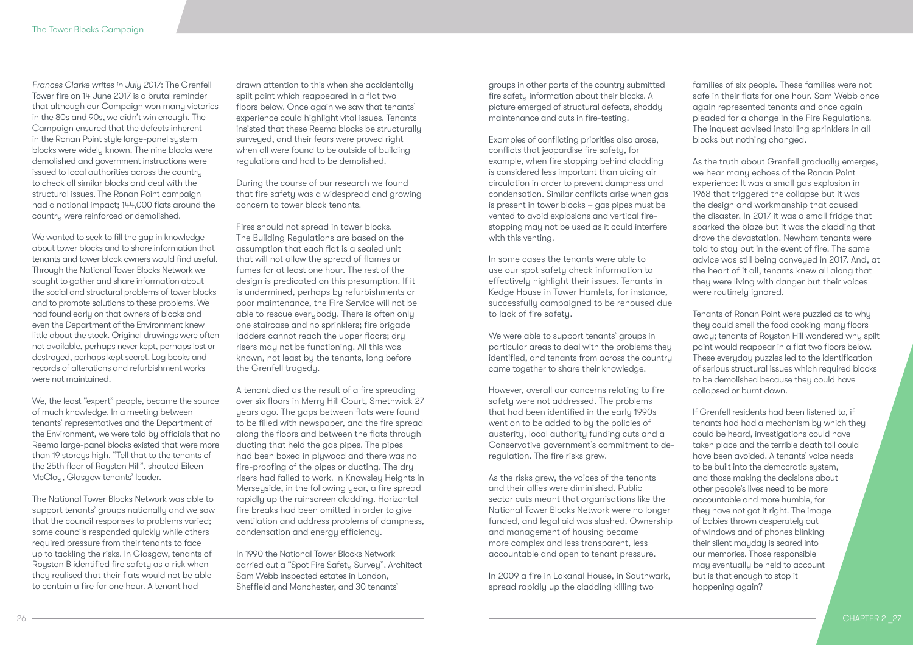*Frances Clarke writes in July 2017*: The Grenfell Tower fire on 14 June 2017 is a brutal reminder that although our Campaign won many victories in the 80s and 90s, we didn't win enough. The Campaign ensured that the defects inherent in the Ronan Point style large-panel system blocks were widely known. The nine blocks were demolished and government instructions were issued to local authorities across the country to check all similar blocks and deal with the structural issues. The Ronan Point campaign had a national impact; 144,000 flats around the country were reinforced or demolished.

We wanted to seek to fill the gap in knowledge about tower blocks and to share information that tenants and tower block owners would find useful. Through the National Tower Blocks Network we sought to gather and share information about the social and structural problems of tower blocks and to promote solutions to these problems. We had found early on that owners of blocks and even the Department of the Environment knew little about the stock. Original drawings were often not available, perhaps never kept, perhaps lost or destroyed, perhaps kept secret. Log books and records of alterations and refurbishment works were not maintained.

We, the least "expert" people, became the source of much knowledge. In a meeting between tenants' representatives and the Department of the Environment, we were told by officials that no Reema large-panel blocks existed that were more than 19 storeys high. "Tell that to the tenants of the 25th floor of Royston Hill", shouted Eileen McCloy, Glasgow tenants' leader.

The National Tower Blocks Network was able to support tenants' groups nationally and we saw that the council responses to problems varied; some councils responded quickly while others required pressure from their tenants to face up to tackling the risks. In Glasgow, tenants of Royston B identified fire safety as a risk when they realised that their flats would not be able to contain a fire for one hour. A tenant had

drawn attention to this when she accidentally spilt paint which reappeared in a flat two floors below. Once again we saw that tenants' experience could highlight vital issues. Tenants insisted that these Reema blocks be structurally surveyed, and their fears were proved right when all were found to be outside of building regulations and had to be demolished.

During the course of our research we found that fire safety was a widespread and growing concern to tower block tenants.

Fires should not spread in tower blocks. The Building Regulations are based on the assumption that each flat is a sealed unit that will not allow the spread of flames or fumes for at least one hour. The rest of the design is predicated on this presumption. If it is undermined, perhaps by refurbishments or poor maintenance, the Fire Service will not be able to rescue everybody. There is often only one staircase and no sprinklers; fire brigade ladders cannot reach the upper floors; dry risers may not be functioning. All this was known, not least by the tenants, long before the Grenfell tragedy.

A tenant died as the result of a fire spreading over six floors in Merry Hill Court, Smethwick 27 years ago. The gaps between flats were found to be filled with newspaper, and the fire spread along the floors and between the flats through ducting that held the gas pipes. The pipes had been boxed in plywood and there was no fire-proofing of the pipes or ducting. The dry risers had failed to work. In Knowsley Heights in Merseyside, in the following year, a fire spread rapidly up the rainscreen cladding. Horizontal fire breaks had been omitted in order to give ventilation and address problems of dampness, condensation and energy efficiency.

In 1990 the National Tower Blocks Network carried out a "Spot Fire Safety Survey". Architect Sam Webb inspected estates in London, Sheffield and Manchester, and 30 tenants'

groups in other parts of the country submitted fire safety information about their blocks. A picture emerged of structural defects, shoddy maintenance and cuts in fire-testing.

Examples of conflicting priorities also arose, conflicts that jeopardise fire safety, for example, when fire stopping behind cladding is considered less important than aiding air circulation in order to prevent dampness and condensation. Similar conflicts arise when gas is present in tower blocks – gas pipes must be vented to avoid explosions and vertical firestopping may not be used as it could interfere with this venting.

In some cases the tenants were able to use our spot safety check information to effectively highlight their issues. Tenants in Kedge House in Tower Hamlets, for instance, successfully campaigned to be rehoused due to lack of fire safety.

We were able to support tenants' groups in particular areas to deal with the problems they identified, and tenants from across the country came together to share their knowledge.

However, overall our concerns relating to fire safety were not addressed. The problems that had been identified in the early 1990s went on to be added to by the policies of austerity, local authority funding cuts and a Conservative government's commitment to deregulation. The fire risks grew.

As the risks grew, the voices of the tenants and their allies were diminished. Public sector cuts meant that organisations like the National Tower Blocks Network were no longer funded, and legal aid was slashed. Ownership and management of housing became more complex and less transparent, less accountable and open to tenant pressure.

In 2009 a fire in Lakanal House, in Southwark, spread rapidly up the cladding killing two

families of six people. These families were not safe in their flats for one hour. Sam Webb once again represented tenants and once again pleaded for a change in the Fire Regulations. The inquest advised installing sprinklers in all blocks but nothing changed.

As the truth about Grenfell gradually emerges, we hear many echoes of the Ronan Point experience: It was a small gas explosion in 1968 that triggered the collapse but it was the design and workmanship that caused the disaster. In 2017 it was a small fridge that sparked the blaze but it was the cladding that drove the devastation. Newham tenants were told to stay put in the event of fire. The same advice was still being conveyed in 2017. And, at the heart of it all, tenants knew all along that they were living with danger but their voices were routinely ignored.

Tenants of Ronan Point were puzzled as to why they could smell the food cooking many floors away; tenants of Royston Hill wondered why spilt paint would reappear in a flat two floors below. These everyday puzzles led to the identification of serious structural issues which required blocks to be demolished because they could have collapsed or burnt down.

If Grenfell residents had been listened to, if tenants had had a mechanism by which they could be heard, investigations could have taken place and the terrible death toll could have been avoided. A tenants' voice needs to be built into the democratic system, and those making the decisions about other people's lives need to be more accountable and more humble, for they have not got it right. The image of babies thrown desperately out of windows and of phones blinking their silent mayday is seared into our memories. Those responsible may eventually be held to account but is that enough to stop it happening again?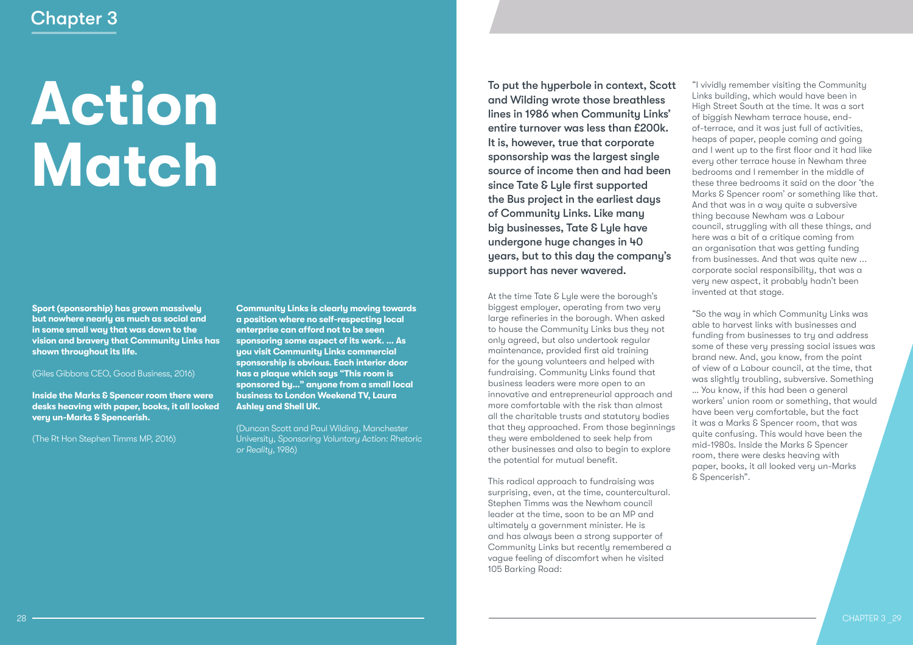# **Action Match**

**Sport (sponsorship) has grown massively but nowhere nearly as much as social and in some small way that was down to the vision and bravery that Community Links has shown throughout its life.** 

(Giles Gibbons CEO, Good Business, 2016)

**Inside the Marks & Spencer room there were desks heaving with paper, books, it all looked very un-Marks & Spencerish.**

(The Rt Hon Stephen Timms MP, 2016)

**Community Links is clearly moving towards a position where no self-respecting local enterprise can afford not to be seen sponsoring some aspect of its work. … As you visit Community Links commercial sponsorship is obvious. Each interior door has a plaque which says "This room is sponsored by…" anyone from a small local business to London Weekend TV, Laura Ashley and Shell UK.**

(Duncan Scott and Paul Wilding, Manchester University, *Sponsoring Voluntary Action: Rhetoric or Reality,* 1986)

To put the hyperbole in context, Scott and Wilding wrote those breathless lines in 1986 when Community Links' entire turnover was less than £200k. It is, however, true that corporate sponsorship was the largest single source of income then and had been since Tate & Lyle first supported the Bus project in the earliest days of Community Links. Like many big businesses, Tate & Lyle have undergone huge changes in 40 years, but to this day the company's support has never wavered.

At the time Tate & Lyle were the borough's biggest employer, operating from two very large refineries in the borough. When asked to house the Community Links bus they not only agreed, but also undertook regular maintenance, provided first aid training for the young volunteers and helped with fundraising. Community Links found that business leaders were more open to an innovative and entrepreneurial approach and more comfortable with the risk than almost all the charitable trusts and statutory bodies that they approached. From those beginnings they were emboldened to seek help from other businesses and also to begin to explore the potential for mutual benefit.

This radical approach to fundraising was surprising, even, at the time, countercultural. Stephen Timms was the Newham council leader at the time, soon to be an MP and ultimately a government minister. He is and has always been a strong supporter of Community Links but recently remembered a vague feeling of discomfort when he visited 105 Barking Road:

"I vividly remember visiting the Community Links building, which would have been in High Street South at the time. It was a sort of biggish Newham terrace house, endof-terrace, and it was just full of activities, heaps of paper, people coming and going and I went up to the first floor and it had like every other terrace house in Newham three bedrooms and I remember in the middle of these three bedrooms it said on the door 'the Marks & Spencer room' or something like that. And that was in a way quite a subversive thing because Newham was a Labour council, struggling with all these things, and here was a bit of a critique coming from an organisation that was getting funding from businesses. And that was quite new ... corporate social responsibility, that was a very new aspect, it probably hadn't been invented at that stage.

"So the way in which Community Links was able to harvest links with businesses and funding from businesses to try and address some of these very pressing social issues was brand new. And, you know, from the point of view of a Labour council, at the time, that was slightly troubling, subversive. Something … You know, if this had been a general workers' union room or something, that would have been very comfortable, but the fact it was a Marks & Spencer room, that was quite confusing. This would have been the mid-1980s. Inside the Marks & Spencer room, there were desks heaving with paper, books, it all looked very un-Marks & Spencerish".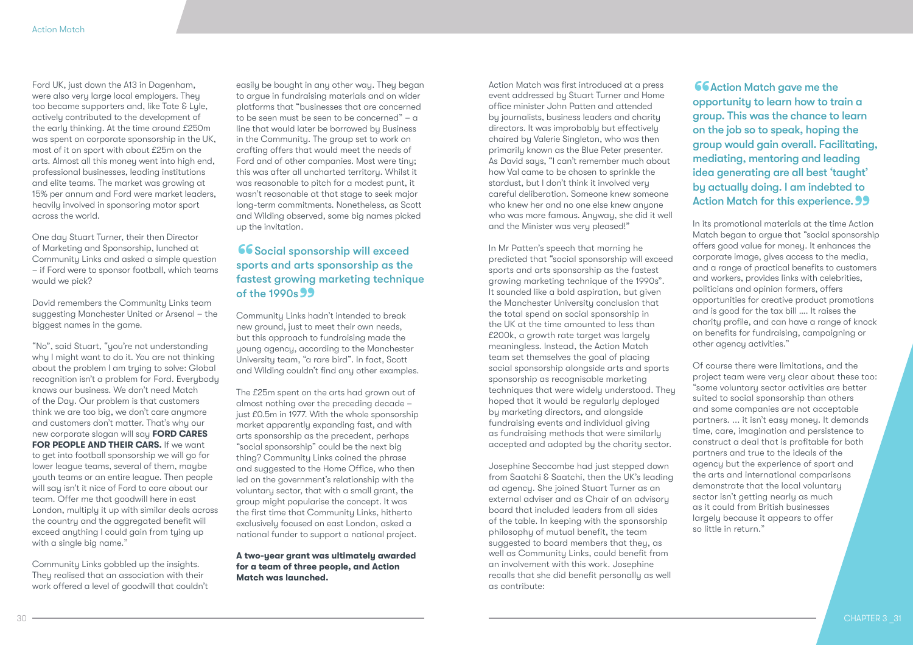Ford UK, just down the A13 in Dagenham, were also very large local employers. They too became supporters and, like Tate & Lyle, actively contributed to the development of the early thinking. At the time around £250m was spent on corporate sponsorship in the UK, most of it on sport with about £25m on the arts. Almost all this money went into high end, professional businesses, leading institutions and elite teams. The market was growing at 15% per annum and Ford were market leaders, heavily involved in sponsoring motor sport across the world.

One day Stuart Turner, their then Director of Marketing and Sponsorship, lunched at Community Links and asked a simple question – if Ford were to sponsor football, which teams would we pick?

David remembers the Community Links team suggesting Manchester United or Arsenal – the biggest names in the game.

"No", said Stuart, "you're not understanding why I might want to do it. You are not thinking about the problem I am trying to solve: Global recognition isn't a problem for Ford. Everybody knows our business. We don't need Match of the Day. Our problem is that customers think we are too big, we don't care anymore and customers don't matter. That's why our new corporate slogan will say **FORD CARES FOR PEOPLE AND THEIR CARS.** If we want to get into football sponsorship we will go for lower league teams, several of them, maybe youth teams or an entire league. Then people will say isn't it nice of Ford to care about our team. Offer me that goodwill here in east London, multiply it up with similar deals across the country and the aggregated benefit will exceed anything I could gain from tying up with a single big name."

Community Links gobbled up the insights. They realised that an association with their work offered a level of goodwill that couldn't

easily be bought in any other way. They began to argue in fundraising materials and on wider platforms that "businesses that are concerned to be seen must be seen to be concerned" – a line that would later be borrowed by Business in the Community. The group set to work on crafting offers that would meet the needs of Ford and of other companies. Most were tiny; this was after all uncharted territory. Whilst it was reasonable to pitch for a modest punt, it wasn't reasonable at that stage to seek major long-term commitments. Nonetheless, as Scott and Wilding observed, some big names picked up the invitation.

### **66** Social sponsorship will exceed<br>sports and arts sponsorship as the<br>fastest arowing marketing technic sports and arts sponsorship as the fastest growing marketing technique of the 1990s 99<br>Community Links ho

Community Links hadn't intended to break new ground, just to meet their own needs, but this approach to fundraising made the young agency, according to the Manchester University team, "a rare bird". In fact, Scott and Wilding couldn't find any other examples.

The £25m spent on the arts had grown out of almost nothing over the preceding decade – just £0.5m in 1977. With the whole sponsorship market apparently expanding fast, and with arts sponsorship as the precedent, perhaps "social sponsorship" could be the next big thing? Community Links coined the phrase and suggested to the Home Office, who then led on the government's relationship with the voluntary sector, that with a small grant, the group might popularise the concept. It was the first time that Community Links, hitherto exclusively focused on east London, asked a national funder to support a national project.

**A two-year grant was ultimately awarded for a team of three people, and Action Match was launched.**

Action Match was first introduced at a press event addressed by Stuart Turner and Home office minister John Patten and attended by journalists, business leaders and charity directors. It was improbably but effectively chaired by Valerie Singleton, who was then primarily known as the Blue Peter presenter. As David says, "I can't remember much about how Val came to be chosen to sprinkle the stardust, but I don't think it involved very careful deliberation. Someone knew someone who knew her and no one else knew anyone who was more famous. Anyway, she did it well and the Minister was very pleased!"

In Mr Patten's speech that morning he predicted that "social sponsorship will exceed sports and arts sponsorship as the fastest growing marketing technique of the 1990s". It sounded like a bold aspiration, but given the Manchester University conclusion that the total spend on social sponsorship in the UK at the time amounted to less than £200k, a growth rate target was largely meaningless. Instead, the Action Match team set themselves the goal of placing social sponsorship alongside arts and sports sponsorship as recognisable marketing techniques that were widely understood. They hoped that it would be regularly deployed by marketing directors, and alongside fundraising events and individual giving as fundraising methods that were similarly accepted and adopted by the charity sector.

Josephine Seccombe had just stepped down from Saatchi & Saatchi, then the UK's leading ad agency. She joined Stuart Turner as an external adviser and as Chair of an advisory board that included leaders from all sides of the table. In keeping with the sponsorship philosophy of mutual benefit, the team suggested to board members that they, as well as Community Links, could benefit from an involvement with this work. Josephine recalls that she did benefit personally as well as contribute:

**66** Action Match gave me the<br>opportunity to learn how to traction.<br>This was the chance to opportunity to learn how to train a group. This was the chance to learn on the job so to speak, hoping the group would gain overall. Facilitating, mediating, mentoring and leading idea generating are all best 'taught' by actually doing. I am indebted to Action Match for this experience. 99<br>In its promotional materials at the time Action

In its promotional materials at the time Action Match began to argue that "social sponsorship offers good value for money. It enhances the corporate image, gives access to the media, and a range of practical benefits to customers and workers, provides links with celebrities, politicians and opinion formers, offers opportunities for creative product promotions and is good for the tax bill …. It raises the charity profile, and can have a range of knock on benefits for fundraising, campaigning or other agency activities."

Of course there were limitations, and the project team were very clear about these too: "some voluntary sector activities are better suited to social sponsorship than others and some companies are not acceptable partners. ... it isn't easy money. It demands time, care, imagination and persistence to construct a deal that is profitable for both partners and true to the ideals of the agency but the experience of sport and the arts and international comparisons demonstrate that the local voluntary sector isn't getting nearly as much as it could from British businesses largely because it appears to offer so little in return."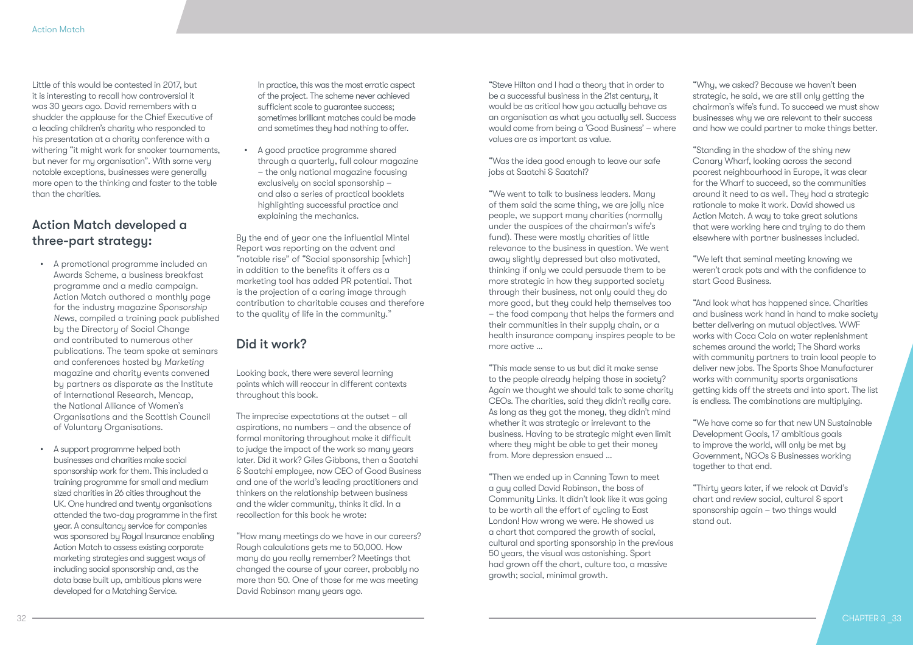Little of this would be contested in 2017, but it is interesting to recall how controversial it was 30 years ago. David remembers with a shudder the applause for the Chief Executive of a leading children's charity who responded to his presentation at a charity conference with a withering "it might work for snooker tournaments, but never for my organisation". With some very notable exceptions, businesses were generally more open to the thinking and faster to the table than the charities.

### Action Match developed a three-part strategy:

- A promotional programme included an Awards Scheme, a business breakfast programme and a media campaign. Action Match authored a monthly page for the industry magazine *Sponsorship News*, compiled a training pack published by the Directory of Social Change and contributed to numerous other publications. The team spoke at seminars and conferences hosted by *Marketing* magazine and charity events convened by partners as disparate as the Institute of International Research, Mencap, the National Alliance of Women's Organisations and the Scottish Council of Voluntary Organisations.
- A support programme helped both businesses and charities make social sponsorship work for them. This included a training programme for small and medium sized charities in 26 cities throughout the UK. One hundred and twenty organisations attended the two-day programme in the first year. A consultancy service for companies was sponsored by Royal Insurance enabling Action Match to assess existing corporate marketing strategies and suggest ways of including social sponsorship and, as the data base built up, ambitious plans were developed for a Matching Service.

In practice, this was the most erratic aspect of the project. The scheme never achieved sufficient scale to quarantee success: sometimes brilliant matches could be made and sometimes they had nothing to offer.

• A good practice programme shared through a quarterly, full colour magazine – the only national magazine focusing exclusively on social sponsorship – and also a series of practical booklets highlighting successful practice and explaining the mechanics.

By the end of year one the influential Mintel Report was reporting on the advent and "notable rise" of "Social sponsorship [which] in addition to the benefits it offers as a marketing tool has added PR potential. That is the projection of a caring image through contribution to charitable causes and therefore to the quality of life in the community."

### Did it work?

Looking back, there were several learning points which will reoccur in different contexts throughout this book.

The imprecise expectations at the outset – all aspirations, no numbers – and the absence of formal monitoring throughout make it difficult to judge the impact of the work so many years later. Did it work? Giles Gibbons, then a Saatchi & Saatchi employee, now CEO of Good Business and one of the world's leading practitioners and thinkers on the relationship between business and the wider community, thinks it did. In a recollection for this book he wrote:

"How many meetings do we have in our careers? Rough calculations gets me to 50,000. How many do you really remember? Meetings that changed the course of your career, probably no more than 50. One of those for me was meeting David Robinson many years ago.

"Steve Hilton and I had a theory that in order to be a successful business in the 21st century, it would be as critical how you actually behave as an organisation as what you actually sell. Success would come from being a 'Good Business' – where values are as important as value.

"Was the idea good enough to leave our safe jobs at Saatchi & Saatchi?

"We went to talk to business leaders. Many of them said the same thing, we are jolly nice people, we support many charities (normally under the auspices of the chairman's wife's fund). These were mostly charities of little relevance to the business in question. We went away slightly depressed but also motivated, thinking if only we could persuade them to be more strategic in how they supported society through their business, not only could they do more good, but they could help themselves too – the food company that helps the farmers and their communities in their supply chain, or a health insurance company inspires people to be more active …

"This made sense to us but did it make sense to the people already helping those in society? Again we thought we should talk to some charity CEOs. The charities, said they didn't really care. As long as they got the money, they didn't mind whether it was strategic or irrelevant to the business. Having to be strategic might even limit where they might be able to get their money from. More depression ensued …

"Then we ended up in Canning Town to meet a guy called David Robinson, the boss of Community Links. It didn't look like it was going to be worth all the effort of cycling to East London! How wrong we were. He showed us a chart that compared the growth of social, cultural and sporting sponsorship in the previous 50 years, the visual was astonishing. Sport had grown off the chart, culture too, a massive growth; social, minimal growth.

"Why, we asked? Because we haven't been strategic, he said, we are still only getting the chairman's wife's fund. To succeed we must show businesses why we are relevant to their success and how we could partner to make things better.

"Standing in the shadow of the shiny new Canary Wharf, looking across the second poorest neighbourhood in Europe, it was clear for the Wharf to succeed, so the communities around it need to as well. They had a strategic rationale to make it work. David showed us Action Match. A way to take great solutions that were working here and trying to do them elsewhere with partner businesses included.

"We left that seminal meeting knowing we weren't crack pots and with the confidence to start Good Business.

"And look what has happened since. Charities and business work hand in hand to make society better delivering on mutual objectives. WWF works with Coca Cola on water replenishment schemes around the world; The Shard works with community partners to train local people to deliver new jobs. The Sports Shoe Manufacturer works with community sports organisations getting kids off the streets and into sport. The list is endless. The combinations are multiplying.

"We have come so far that new UN Sustainable Development Goals, 17 ambitious goals to improve the world, will only be met by Government, NGOs & Businesses working together to that end.

"Thirty years later, if we relook at David's chart and review social, cultural & sport sponsorship again – two things would stand out.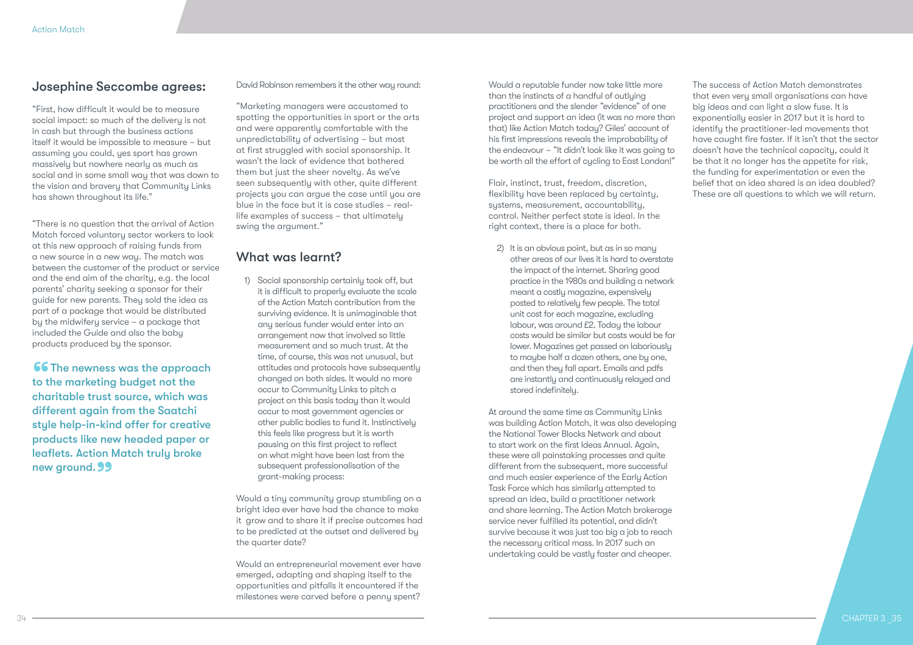### Josephine Seccombe agrees:

"First, how difficult it would be to measure social impact: so much of the delivery is not in cash but through the business actions itself it would be impossible to measure – but assuming you could, yes sport has grown massively but nowhere nearly as much as social and in some small way that was down to the vision and bravery that Community Links has shown throughout its life."

"There is no question that the arrival of Action Match forced voluntary sector workers to look at this new approach of raising funds from a new source in a new way. The match was between the customer of the product or service and the end aim of the charity, e.g. the local parents' charity seeking a sponsor for their guide for new parents. They sold the idea as part of a package that would be distributed by the midwifery service – a package that included the Guide and also the baby products produced by the sponsor.

**66 The newness was the approach** to the marketing budget not the charitable trust source, which was different again from the Saatchi style help-in-kind offer for creative products like new headed paper or leaflets. Action Match truly broke new ground. 99

### David Robinson remembers it the other way round:

"Marketing managers were accustomed to spotting the opportunities in sport or the arts and were apparently comfortable with the unpredictability of advertising – but most at first struggled with social sponsorship. It wasn't the lack of evidence that bothered them but just the sheer novelty. As we've seen subsequently with other, quite different projects you can argue the case until you are blue in the face but it is case studies – reallife examples of success – that ultimately swing the argument."

### What was learnt?

1) Social sponsorship certainly took off, but it is difficult to properly evaluate the scale of the Action Match contribution from the surviving evidence. It is unimaginable that any serious funder would enter into an arrangement now that involved so little measurement and so much trust. At the time, of course, this was not unusual, but attitudes and protocols have subsequently changed on both sides. It would no more occur to Community Links to pitch a project on this basis today than it would occur to most government agencies or other public bodies to fund it. Instinctively this feels like progress but it is worth pausing on this first project to reflect on what might have been lost from the subsequent professionalisation of the grant-making process:

Would a tiny community group stumbling on a bright idea ever have had the chance to make it grow and to share it if precise outcomes had to be predicted at the outset and delivered by the quarter date?

Would an entrepreneurial movement ever have emerged, adapting and shaping itself to the opportunities and pitfalls it encountered if the milestones were carved before a penny spent?

Would a reputable funder now take little more than the instincts of a handful of outlying practitioners and the slender "evidence" of one project and support an idea (it was no more than that) like Action Match today? Giles' account of his first impressions reveals the improbability of the endeavour – "It didn't look like it was going to be worth all the effort of cycling to East London!"

Flair, instinct, trust, freedom, discretion, flexibility have been replaced by certainty, systems, measurement, accountability, control. Neither perfect state is ideal. In the right context, there is a place for both.

2) It is an obvious point, but as in so many other areas of our lives it is hard to overstate the impact of the internet. Sharing good practice in the 1980s and building a network meant a costly magazine, expensively posted to relatively few people. The total unit cost for each magazine, excluding labour, was around £2. Today the labour costs would be similar but costs would be far lower. Magazines get passed on laboriously to maybe half a dozen others, one by one, and then they fall apart. Emails and pdfs are instantly and continuously relayed and stored indefinitely.

At around the same time as Community Links was building Action Match, it was also developing the National Tower Blocks Network and about to start work on the first Ideas Annual. Again, these were all painstaking processes and quite different from the subsequent, more successful and much easier experience of the Early Action Task Force which has similarly attempted to spread an idea, build a practitioner network and share learning. The Action Match brokerage service never fulfilled its potential, and didn't survive because it was just too big a job to reach the necessary critical mass. In 2017 such an undertaking could be vastly faster and cheaper.

The success of Action Match demonstrates that even very small organisations can have big ideas and can light a slow fuse. It is exponentially easier in 2017 but it is hard to identify the practitioner-led movements that have caught fire faster. If it isn't that the sector doesn't have the technical capacity, could it be that it no longer has the appetite for risk, the funding for experimentation or even the belief that an idea shared is an idea doubled? These are all questions to which we will return.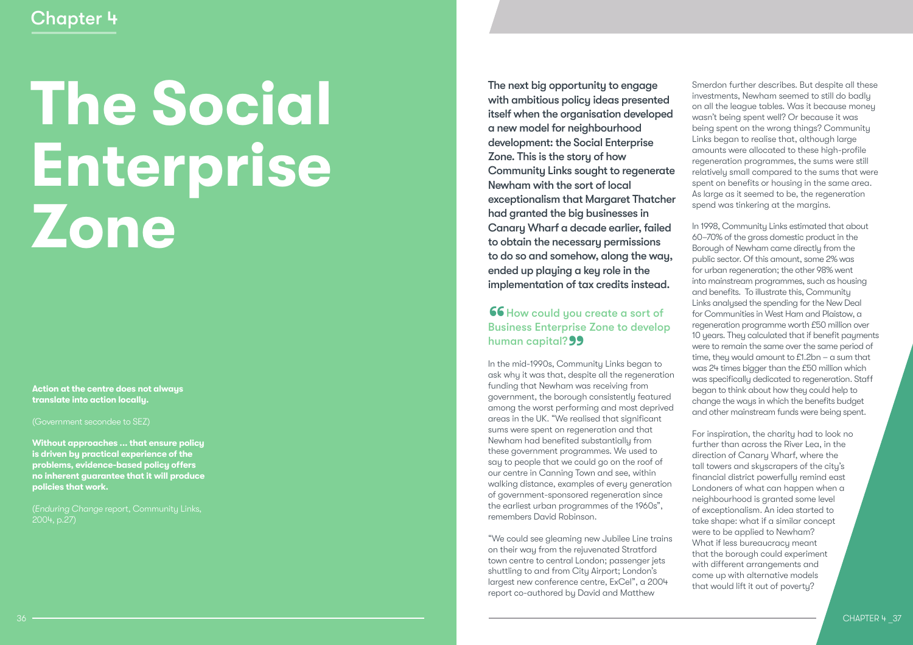# **The Social Enterprise Zone**

**Action at the centre does not always translate into action locally.**

(Government secondee to SEZ)

**Without approaches ... that ensure policy is driven by practical experience of the problems, evidence-based policy offers no inherent guarantee that it will produce policies that work.**

(*Enduring Change* report, Community Links, 2004, p.27)

The next big opportunity to engage with ambitious policy ideas presented itself when the organisation developed a new model for neighbourhood development: the Social Enterprise Zone. This is the story of how Community Links sought to regenerate Newham with the sort of local exceptionalism that Margaret Thatcher had granted the big businesses in Canary Wharf a decade earlier, failed to obtain the necessary permissions to do so and somehow, along the way, ended up playing a key role in the

implementation of tax credits instead.<br> **66** How could you create a sort of Business Enterprise Zone to develop human capital?

In the mid-1990s, Community Links began to ask why it was that, despite all the regeneration funding that Newham was receiving from government, the borough consistently featured among the worst performing and most deprived areas in the UK. "We realised that significant sums were spent on regeneration and that Newham had benefited substantially from these government programmes. We used to say to people that we could go on the roof of our centre in Canning Town and see, within walking distance, examples of every generation of government-sponsored regeneration since the earliest urban programmes of the 1960s", remembers David Robinson.

"We could see gleaming new Jubilee Line trains on their way from the rejuvenated Stratford town centre to central London; passenger jets shuttling to and from City Airport; London's largest new conference centre, ExCel", a 2004 report co-authored by David and Matthew

Smerdon further describes. But despite all these investments, Newham seemed to still do badly on all the league tables. Was it because money wasn't being spent well? Or because it was being spent on the wrong things? Community Links began to realise that, although large amounts were allocated to these high-profile regeneration programmes, the sums were still relatively small compared to the sums that were spent on benefits or housing in the same area. As large as it seemed to be, the regeneration spend was tinkering at the margins.

In 1998, Community Links estimated that about 60–70% of the gross domestic product in the Borough of Newham came directly from the public sector. Of this amount, some 2% was for urban regeneration; the other 98% went into mainstream programmes, such as housing and benefits. To illustrate this, Community Links analysed the spending for the New Deal for Communities in West Ham and Plaistow, a regeneration programme worth £50 million over 10 years. They calculated that if benefit payments were to remain the same over the same period of time, they would amount to £1.2bn – a sum that was 24 times bigger than the £50 million which was specifically dedicated to regeneration. Staff began to think about how they could help to change the ways in which the benefits budget and other mainstream funds were being spent.

For inspiration, the charity had to look no further than across the River Lea, in the direction of Canary Wharf, where the tall towers and skyscrapers of the city's financial district powerfully remind east Londoners of what can happen when a neighbourhood is granted some level of exceptionalism. An idea started to take shape: what if a similar concept were to be applied to Newham? What if less bureaucracy meant that the borough could experiment with different arrangements and come up with alternative models that would lift it out of poverty?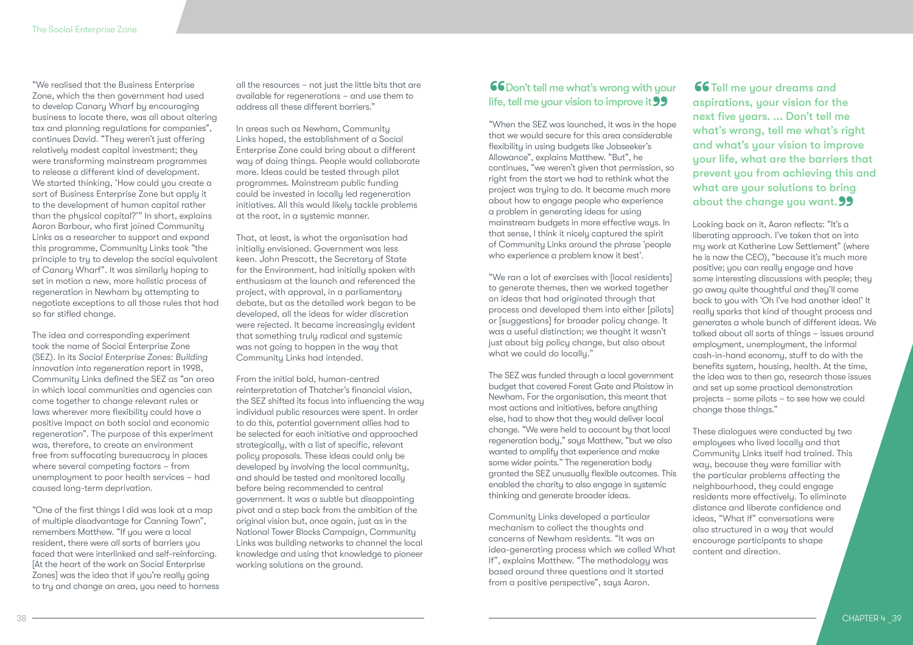"We realised that the Business Enterprise Zone, which the then government had used to develop Canary Wharf by encouraging business to locate there, was all about altering tax and planning regulations for companies", continues David. "They weren't just offering relatively modest capital investment; they were transforming mainstream programmes to release a different kind of development. We started thinking, 'How could you create a sort of Business Enterprise Zone but apply it to the development of human capital rather than the physical capital?'" In short, explains Aaron Barbour, who first joined Community Links as a researcher to support and expand this programme, Community Links took "the principle to try to develop the social equivalent of Canary Wharf". It was similarly hoping to set in motion a new, more holistic process of regeneration in Newham by attempting to negotiate exceptions to all those rules that had so far stifled change.

The idea and corresponding experiment took the name of Social Enterprise Zone (SEZ). In its *Social Enterprise Zones: Building innovation into regeneration* report in 1998, Community Links defined the SEZ as "an area in which local communities and agencies can come together to change relevant rules or laws wherever more flexibility could have a positive impact on both social and economic regeneration". The purpose of this experiment was, therefore, to create an environment free from suffocating bureaucracy in places where several competing factors – from unemployment to poor health services – had caused long-term deprivation.

"One of the first things I did was look at a map of multiple disadvantage for Canning Town", remembers Matthew. "If you were a local resident, there were all sorts of barriers you faced that were interlinked and self-reinforcing. [At the heart of the work on Social Enterprise Zones] was the idea that if you're really going to try and change an area, you need to harness all the resources – not just the little bits that are available for regenerations – and use them to address all these different barriers."

In areas such as Newham, Community Links hoped, the establishment of a Social Enterprise Zone could bring about a different way of doing things. People would collaborate more. Ideas could be tested through pilot programmes. Mainstream public funding could be invested in locally led regeneration initiatives. All this would likely tackle problems at the root, in a systemic manner.

That, at least, is what the organisation had initially envisioned. Government was less keen. John Prescott, the Secretary of State for the Environment, had initially spoken with enthusiasm at the launch and referenced the project, with approval, in a parliamentary debate, but as the detailed work began to be developed, all the ideas for wider discretion were rejected. It became increasingly evident that something truly radical and systemic was not going to happen in the way that Community Links had intended.

From the initial bold, human-centred reinterpretation of Thatcher's financial vision, the SEZ shifted its focus into influencing the way individual public resources were spent. In order to do this, potential government allies had to be selected for each initiative and approached strategically, with a list of specific, relevant policy proposals. These ideas could only be developed by involving the local community, and should be tested and monitored locally before being recommended to central government. It was a subtle but disappointing pivot and a step back from the ambition of the original vision but, once again, just as in the National Tower Blocks Campaign, Community Links was building networks to channel the local knowledge and using that knowledge to pioneer working solutions on the ground.

### **66**<br>life, **66** Don't tell me what's wrong with your life, tell me your vision to improve it **99**<br>"When the SEZ was launched, it was in the hop

"When the SEZ was launched, it was in the hope that we would secure for this area considerable flexibility in using budgets like Jobseeker's Allowance", explains Matthew. "But", he continues, "we weren't given that permission, so right from the start we had to rethink what the project was trying to do. It became much more about how to engage people who experience a problem in generating ideas for using mainstream budgets in more effective ways. In that sense, I think it nicely captured the spirit of Community Links around the phrase 'people who experience a problem know it best'.

"We ran a lot of exercises with [local residents] to generate themes, then we worked together on ideas that had originated through that process and developed them into either [pilots] or [suggestions] for broader policy change. It was a useful distinction; we thought it wasn't just about big policy change, but also about what we could do locally."

The SEZ was funded through a local government budget that covered Forest Gate and Plaistow in Newham. For the organisation, this meant that most actions and initiatives, before anything else, had to show that they would deliver local change. "We were held to account by that local regeneration body," says Matthew, "but we also wanted to amplify that experience and make some wider points." The regeneration body granted the SEZ unusually flexible outcomes. This enabled the charity to also engage in systemic thinking and generate broader ideas.

Community Links developed a particular mechanism to collect the thoughts and concerns of Newham residents. "It was an idea-generating process which we called What If", explains Matthew. "The methodology was based around three questions and it started from a positive perspective", says Aaron.

66 Tell me your dreams and aspirations, your vision for the next five years. ... Don't tell me what's wrong, tell me what's right and what's your vision to improve your life, what are the barriers that prevent you from achieving this and what are your solutions to bring about the change you want. 99<br>Looking back on it, Aaron reflects: "It's a

Looking back on it, Aaron reflects: "It's a liberating approach. I've taken that on into my work at Katherine Low Settlement" (where he is now the CEO), "because it's much more positive; you can really engage and have some interesting discussions with people; they go away quite thoughtful and they'll come back to you with 'Oh I've had another idea!' It really sparks that kind of thought process and generates a whole bunch of different ideas. We talked about all sorts of things – issues around employment, unemployment, the informal cash-in-hand economy, stuff to do with the benefits system, housing, health. At the time, the idea was to then go, research those issues and set up some practical demonstration projects – some pilots – to see how we could change those things."

These dialogues were conducted by two employees who lived locally and that Community Links itself had trained. This way, because they were familiar with the particular problems affecting the neighbourhood, they could engage residents more effectively. To eliminate distance and liberate confidence and ideas, "What If" conversations were also structured in a way that would encourage participants to shape content and direction.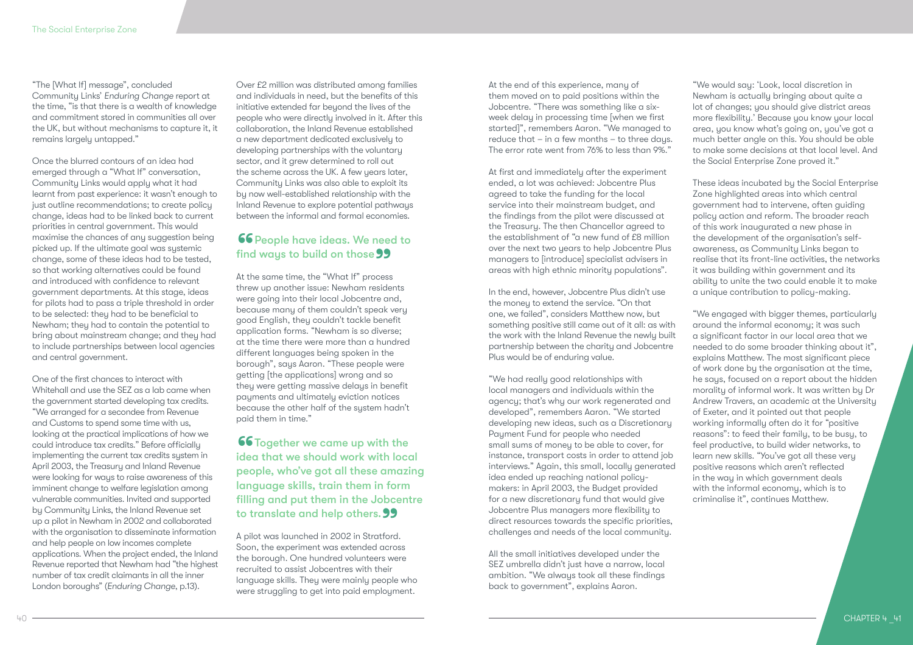"The [What If] message", concluded Community Links' *Enduring Change* report at the time, "is that there is a wealth of knowledge and commitment stored in communities all over the UK, but without mechanisms to capture it, it remains largely untapped."

Once the blurred contours of an idea had emerged through a "What If" conversation, Community Links would apply what it had learnt from past experience: it wasn't enough to just outline recommendations; to create policy change, ideas had to be linked back to current priorities in central government. This would maximise the chances of any suggestion being picked up. If the ultimate goal was systemic change, some of these ideas had to be tested, so that working alternatives could be found and introduced with confidence to relevant government departments. At this stage, ideas for pilots had to pass a triple threshold in order to be selected: they had to be beneficial to Newham; they had to contain the potential to bring about mainstream change; and they had to include partnerships between local agencies and central government.

One of the first chances to interact with Whitehall and use the SEZ as a lab came when the government started developing tax credits. "We arranged for a secondee from Revenue and Customs to spend some time with us, looking at the practical implications of how we could introduce tax credits." Before officially implementing the current tax credits system in April 2003, the Treasury and Inland Revenue were looking for ways to raise awareness of this imminent change to welfare legislation among vulnerable communities. Invited and supported by Community Links, the Inland Revenue set up a pilot in Newham in 2002 and collaborated with the organisation to disseminate information and help people on low incomes complete applications. When the project ended, the Inland Revenue reported that Newham had "the highest number of tax credit claimants in all the inner London boroughs" (*Enduring Change*, p.13).

Over £2 million was distributed among families and individuals in need, but the benefits of this initiative extended far beyond the lives of the people who were directly involved in it. After this collaboration, the Inland Revenue established a new department dedicated exclusively to developing partnerships with the voluntary sector, and it grew determined to roll out the scheme across the UK. A few years later, Community Links was also able to exploit its by now well-established relationship with the Inland Revenue to explore potential pathways between the informal and formal economies.

# **66** People have ideas. We need to find ways to build on those 99<br>At the same time, the "What If" process

At the same time, the "What If" process threw up another issue: Newham residents were going into their local Jobcentre and, because many of them couldn't speak very good English, they couldn't tackle benefit application forms. "Newham is so diverse; at the time there were more than a hundred different languages being spoken in the borough", says Aaron. "These people were getting [the applications] wrong and so they were getting massive delays in benefit payments and ultimately eviction notices because the other half of the system hadn't paid them in time."

66 Together we came up with the idea that we should work with local people, who've got all these amazing language skills, train them in form filling and put them in the Jobcentre to translate and help others. 99<br>A pilot was launched in 2002 in Stratford.

A pilot was launched in 2002 in Stratford. Soon, the experiment was extended across the borough. One hundred volunteers were recruited to assist Jobcentres with their language skills. They were mainly people who were struggling to get into paid employment.

At the end of this experience, many of them moved on to paid positions within the Jobcentre. "There was something like a sixweek delay in processing time [when we first started]", remembers Aaron. "We managed to reduce that – in a few months – to three days. The error rate went from 76% to less than 9%."

At first and immediately after the experiment ended, a lot was achieved: Jobcentre Plus agreed to take the funding for the local service into their mainstream budget, and the findings from the pilot were discussed at the Treasury. The then Chancellor agreed to the establishment of "a new fund of £8 million over the next two years to help Jobcentre Plus managers to [introduce] specialist advisers in areas with high ethnic minority populations".

In the end, however, Jobcentre Plus didn't use the money to extend the service. "On that one, we failed", considers Matthew now, but something positive still came out of it all: as with the work with the Inland Revenue the newly built partnership between the charity and Jobcentre Plus would be of enduring value.

"We had really good relationships with local managers and individuals within the agency; that's why our work regenerated and developed", remembers Aaron. "We started developing new ideas, such as a Discretionary Payment Fund for people who needed small sums of money to be able to cover, for instance, transport costs in order to attend job interviews." Again, this small, locally generated idea ended up reaching national policymakers: in April 2003, the Budget provided for a new discretionary fund that would give Jobcentre Plus managers more flexibility to direct resources towards the specific priorities, challenges and needs of the local community.

All the small initiatives developed under the SEZ umbrella didn't just have a narrow, local ambition. "We always took all these findings back to government", explains Aaron.

"We would say: 'Look, local discretion in Newham is actually bringing about quite a lot of changes; you should give district areas more flexibility.' Because you know your local area, you know what's going on, you've got a much better angle on this. You should be able to make some decisions at that local level. And the Social Enterprise Zone proved it."

These ideas incubated by the Social Enterprise Zone highlighted areas into which central government had to intervene, often guiding policy action and reform. The broader reach of this work inaugurated a new phase in the development of the organisation's selfawareness, as Community Links began to realise that its front-line activities, the networks it was building within government and its ability to unite the two could enable it to make a unique contribution to policy-making.

"We engaged with bigger themes, particularly around the informal economy; it was such a significant factor in our local area that we needed to do some broader thinking about it", explains Matthew. The most significant piece of work done by the organisation at the time, he says, focused on a report about the hidden morality of informal work. It was written by Dr Andrew Travers, an academic at the University of Exeter, and it pointed out that people working informally often do it for "positive reasons": to feed their family, to be busy, to feel productive, to build wider networks, to learn new skills. "You've got all these very positive reasons which aren't reflected in the way in which government deals with the informal economy, which is to criminalise it", continues Matthew.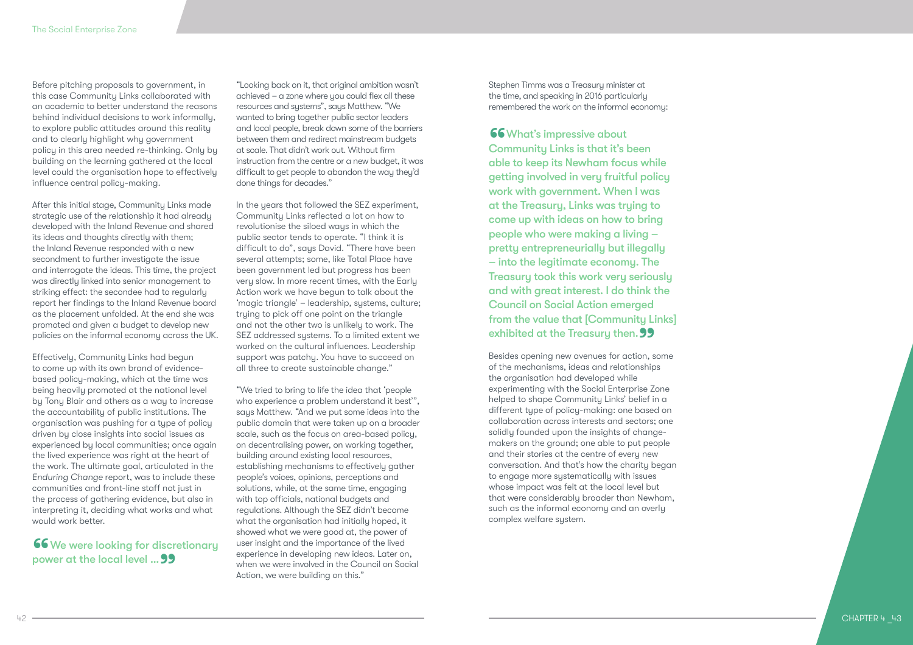Before pitching proposals to government, in this case Community Links collaborated with an academic to better understand the reasons behind individual decisions to work informally, to explore public attitudes around this reality and to clearly highlight why government policy in this area needed re-thinking. Only by building on the learning gathered at the local level could the organisation hope to effectively influence central policy-making.

After this initial stage, Community Links made strategic use of the relationship it had already developed with the Inland Revenue and shared its ideas and thoughts directly with them; the Inland Revenue responded with a new secondment to further investigate the issue and interrogate the ideas. This time, the project was directly linked into senior management to striking effect: the secondee had to regularly report her findings to the Inland Revenue board as the placement unfolded. At the end she was promoted and given a budget to develop new policies on the informal economy across the UK.

Effectively, Community Links had begun to come up with its own brand of evidencebased policy-making, which at the time was being heavily promoted at the national level by Tony Blair and others as a way to increase the accountability of public institutions. The organisation was pushing for a type of policy driven by close insights into social issues as experienced by local communities; once again the lived experience was right at the heart of the work. The ultimate goal, articulated in the *Enduring Change* report, was to include these communities and front-line staff not just in the process of gathering evidence, but also in interpreting it, deciding what works and what would work better.

**66** We were looking for discretionary<br>power at the local level ... **99** power at the local level ... **99** 

"Looking back on it, that original ambition wasn't achieved – a zone where you could flex all these resources and sustems", says Matthew. "We wanted to bring together public sector leaders and local people, break down some of the barriers between them and redirect mainstream budgets at scale. That didn't work out. Without firm instruction from the centre or a new budget, it was difficult to get people to abandon the way they'd done things for decades."

In the years that followed the SEZ experiment, Community Links reflected a lot on how to revolutionise the siloed ways in which the public sector tends to operate. "I think it is difficult to do", says David. "There have been several attempts; some, like Total Place have been government led but progress has been very slow. In more recent times, with the Early Action work we have begun to talk about the 'magic triangle' – leadership, systems, culture; trying to pick off one point on the triangle and not the other two is unlikely to work. The SEZ addressed systems. To a limited extent we worked on the cultural influences. Leadership support was patchy. You have to succeed on all three to create sustainable change."

"We tried to bring to life the idea that 'people who experience a problem understand it best'", says Matthew. "And we put some ideas into the public domain that were taken up on a broader scale, such as the focus on area-based policy, on decentralising power, on working together, building around existing local resources, establishing mechanisms to effectively gather people's voices, opinions, perceptions and solutions, while, at the same time, engaging with top officials, national budgets and regulations. Although the SEZ didn't become what the organisation had initially hoped, it showed what we were good at, the power of user insight and the importance of the lived experience in developing new ideas. Later on, when we were involved in the Council on Social Action, we were building on this."

Stephen Timms was a Treasury minister at the time, and speaking in 2016 particularly remembered the work on the informal economy:

### **66** What's impressive about

66<br>Cor<br><sub>oble</sub> Community Links is that it's been able to keep its Newham focus while getting involved in very fruitful policy work with government. When I was at the Treasuru, Links was truing to come up with ideas on how to bring people who were making a living – pretty entrepreneurially but illegally – into the legitimate economy. The Treasury took this work very seriously and with great interest. I do think the Council on Social Action emerged from the value that [Community Links] exhibited at the Treasury then. 99<br>Besides opening new avenues for action, some

of the mechanisms, ideas and relationships the organisation had developed while experimenting with the Social Enterprise Zone helped to shape Community Links' belief in a different type of policy-making: one based on collaboration across interests and sectors; one solidly founded upon the insights of changemakers on the ground; one able to put people and their stories at the centre of every new conversation. And that's how the charity began to engage more systematically with issues whose impact was felt at the local level but that were considerably broader than Newham, such as the informal economy and an overly complex welfare system.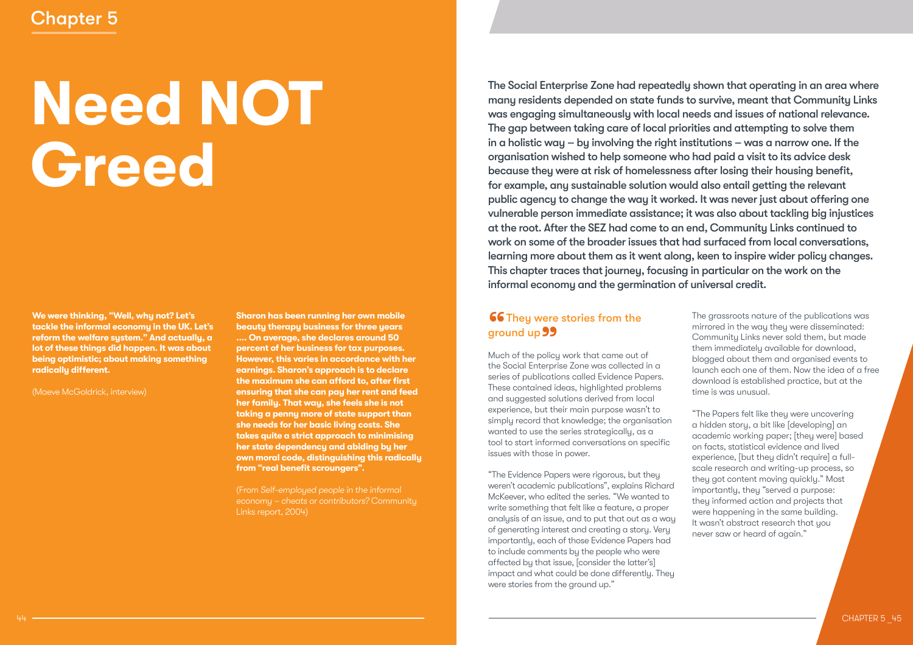# Chapter 5

# **Need NOT Greed**

**We were thinking, "Well, why not? Let's tackle the informal economy in the UK. Let's reform the welfare system." And actually, a lot of these things did happen. It was about being optimistic; about making something radically different.**

(Maeve McGoldrick, interview)

**Sharon has been running her own mobile beauty therapy business for three years .... On average, she declares around 50 percent of her business for tax purposes. However, this varies in accordance with her earnings. Sharon's approach is to declare the maximum she can afford to, after first ensuring that she can pay her rent and feed her family. That way, she feels she is not taking a penny more of state support than she needs for her basic living costs. She takes quite a strict approach to minimising her state dependency and abiding by her own moral code, distinguishing this radically from "real benefit scroungers".** 

(From *Self-employed people in the informal* 

The Social Enterprise Zone had repeatedly shown that operating in an area where many residents depended on state funds to survive, meant that Community Links was engaging simultaneously with local needs and issues of national relevance. The gap between taking care of local priorities and attempting to solve them in a holistic way – by involving the right institutions – was a narrow one. If the organisation wished to help someone who had paid a visit to its advice desk because they were at risk of homelessness after losing their housing benefit, for example, any sustainable solution would also entail getting the relevant public agency to change the way it worked. It was never just about offering one vulnerable person immediate assistance; it was also about tackling big injustices at the root. After the SEZ had come to an end, Community Links continued to work on some of the broader issues that had surfaced from local conversations, learning more about them as it went along, keen to inspire wider policy changes. This chapter traces that journey, focusing in particular on the work on the informal economy and the germination of universal credit.

# **66 They were stories from the** ground up 99<br>Much of the policy

Much of the policy work that came out of the Social Enterprise Zone was collected in a series of publications called Evidence Papers. These contained ideas, highlighted problems and suggested solutions derived from local experience, but their main purpose wasn't to simply record that knowledge; the organisation wanted to use the series strategically, as a tool to start informed conversations on specific issues with those in power.

"The Evidence Papers were rigorous, but they weren't academic publications", explains Richard McKeever, who edited the series. "We wanted to write something that felt like a feature, a proper analysis of an issue, and to put that out as a way of generating interest and creating a story. Very importantly, each of those Evidence Papers had to include comments by the people who were affected by that issue, [consider the latter's] impact and what could be done differently. They were stories from the ground up."

The grassroots nature of the publications was mirrored in the way they were disseminated: Community Links never sold them, but made them immediately available for download, blogged about them and organised events to launch each one of them. Now the idea of a free download is established practice, but at the time is was unusual.

"The Papers felt like they were uncovering a hidden story, a bit like [developing] an academic working paper; [they were] based on facts, statistical evidence and lived experience, [but they didn't require] a fullscale research and writing-up process, so they got content moving quickly." Most importantly, they "served a purpose: they informed action and projects that were happening in the same building. It wasn't abstract research that you never saw or heard of again."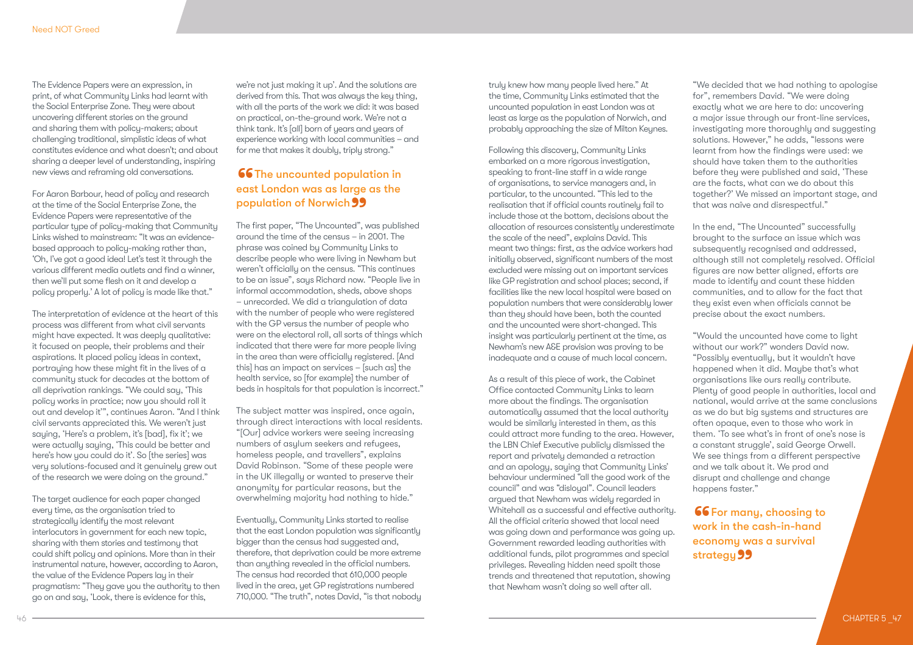The Evidence Papers were an expression, in print, of what Community Links had learnt with the Social Enterprise Zone. They were about uncovering different stories on the ground and sharing them with policy-makers; about challenging traditional, simplistic ideas of what constitutes evidence and what doesn't; and about sharing a deeper level of understanding, inspiring new views and reframing old conversations.

For Aaron Barbour, head of policy and research at the time of the Social Enterprise Zone, the Evidence Papers were representative of the particular type of policy-making that Community Links wished to mainstream: "It was an evidencebased approach to policy-making rather than, 'Oh, I've got a good idea! Let's test it through the various different media outlets and find a winner, then we'll put some flesh on it and develop a policy properly.' A lot of policy is made like that."

The interpretation of evidence at the heart of this process was different from what civil servants might have expected. It was deeply qualitative: it focused on people, their problems and their aspirations. It placed policy ideas in context, portraying how these might fit in the lives of a community stuck for decades at the bottom of all deprivation rankings. "We could say, 'This policy works in practice; now you should roll it out and develop it'", continues Aaron. "And I think civil servants appreciated this. We weren't just saying, 'Here's a problem, it's [bad], fix it'; we were actually saying, 'This could be better and here's how you could do it'. So [the series] was very solutions-focused and it genuinely grew out of the research we were doing on the ground."

The target audience for each paper changed every time, as the organisation tried to strategically identify the most relevant interlocutors in government for each new topic, sharing with them stories and testimony that could shift policy and opinions. More than in their instrumental nature, however, according to Aaron, the value of the Evidence Papers lay in their pragmatism: "They gave you the authority to then go on and say, 'Look, there is evidence for this,

we're not just making it up'. And the solutions are derived from this. That was always the key thing, with all the parts of the work we did: it was based on practical, on-the-ground work. We're not a think tank. It's [all] born of years and years of experience working with local communities – and for me that makes it doubly, triply strong."

# **66** The uncounted population in east London was as large as the **population of Norwich 99**<br>The first paper, "The Uncounted", v

The first paper, "The Uncounted", was published around the time of the census – in 2001. The phrase was coined by Community Links to describe people who were living in Newham but weren't officially on the census. "This continues to be an issue", says Richard now. "People live in informal accommodation, sheds, above shops – unrecorded. We did a triangulation of data with the number of people who were registered with the GP versus the number of people who were on the electoral roll, all sorts of things which indicated that there were far more people living in the area than were officially registered. [And this] has an impact on services – [such as] the health service, so [for example] the number of beds in hospitals for that population is incorrect."

The subject matter was inspired, once again, through direct interactions with local residents. "[Our] advice workers were seeing increasing numbers of asylum seekers and refugees, homeless people, and travellers", explains David Robinson. "Some of these people were in the UK illegally or wanted to preserve their anonymity for particular reasons, but the overwhelming majority had nothing to hide."

Eventually, Community Links started to realise that the east London population was significantly bigger than the census had suggested and, therefore, that deprivation could be more extreme than anything revealed in the official numbers. The census had recorded that 610,000 people lived in the area, yet GP registrations numbered 710,000. "The truth", notes David, "is that nobody truly knew how many people lived here." At the time, Community Links estimated that the uncounted population in east London was at least as large as the population of Norwich, and probably approaching the size of Milton Keynes.

Following this discovery, Community Links embarked on a more rigorous investigation, speaking to front-line staff in a wide range of organisations, to service managers and, in particular, to the uncounted. "This led to the realisation that if official counts routinely fail to include those at the bottom, decisions about the allocation of resources consistently underestimate the scale of the need", explains David. This meant two things: first, as the advice workers had initially observed, significant numbers of the most excluded were missing out on important services like GP registration and school places; second, if facilities like the new local hospital were based on population numbers that were considerably lower than they should have been, both the counted and the uncounted were short-changed. This insight was particularly pertinent at the time, as Newham's new A&E provision was proving to be inadequate and a cause of much local concern.

As a result of this piece of work, the Cabinet Office contacted Community Links to learn more about the findings. The organisation automatically assumed that the local authority would be similarly interested in them, as this could attract more funding to the area. However, the LBN Chief Executive publicly dismissed the report and privately demanded a retraction and an apology, saying that Community Links' behaviour undermined "all the good work of the council" and was "disloyal". Council leaders argued that Newham was widely regarded in Whitehall as a successful and effective authority. All the official criteria showed that local need was going down and performance was going up. Government rewarded leading authorities with additional funds, pilot programmes and special privileges. Revealing hidden need spoilt those trends and threatened that reputation, showing that Newham wasn't doing so well after all.

"We decided that we had nothing to apologise for", remembers David. "We were doing exactly what we are here to do: uncovering a major issue through our front-line services, investigating more thoroughly and suggesting solutions. However," he adds, "lessons were learnt from how the findings were used: we should have taken them to the authorities before they were published and said, 'These are the facts, what can we do about this together?' We missed an important stage, and that was naïve and disrespectful."

In the end, "The Uncounted" successfully brought to the surface an issue which was subsequently recognised and addressed, although still not completely resolved. Official figures are now better aligned, efforts are made to identify and count these hidden communities, and to allow for the fact that they exist even when officials cannot be precise about the exact numbers.

"Would the uncounted have come to light without our work?" wonders David now. "Possibly eventually, but it wouldn't have happened when it did. Maybe that's what organisations like ours really contribute. Plenty of good people in authorities, local and national, would arrive at the same conclusions as we do but big systems and structures are often opaque, even to those who work in them. 'To see what's in front of one's nose is a constant struggle', said George Orwell. We see things from a different perspective and we talk about it. We prod and disrupt and challenge and change happens faster."

**66** For many, choosing to work in the cash-in-hand economy was a survival strategy 99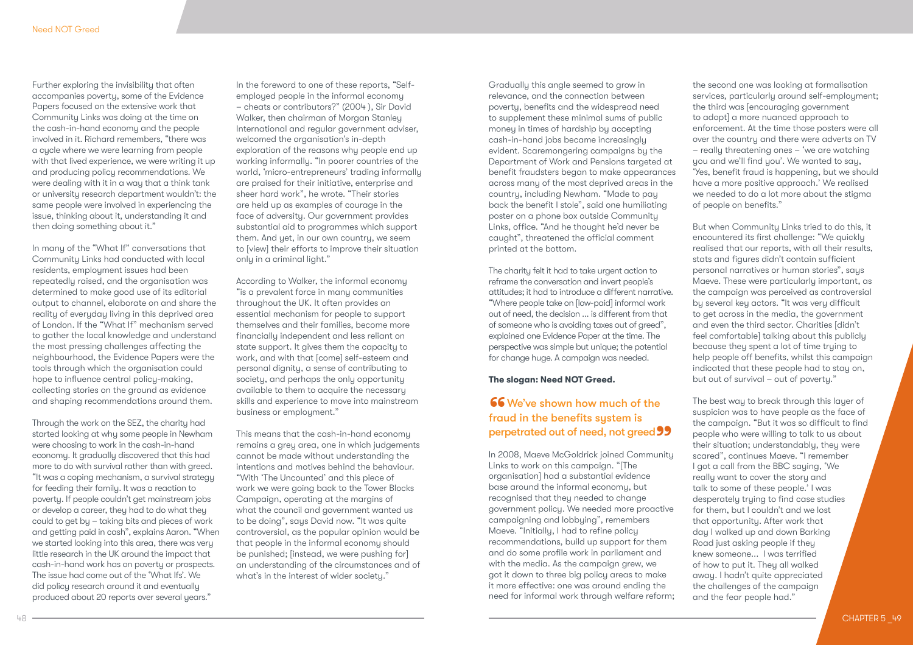Further exploring the invisibility that often accompanies poverty, some of the Evidence Papers focused on the extensive work that Community Links was doing at the time on the cash-in-hand economy and the people involved in it. Richard remembers, "there was a cycle where we were learning from people with that lived experience, we were writing it up and producing policy recommendations. We were dealing with it in a way that a think tank or university research department wouldn't: the same people were involved in experiencing the issue, thinking about it, understanding it and then doing something about it."

In many of the "What If" conversations that Community Links had conducted with local residents, employment issues had been repeatedly raised, and the organisation was determined to make good use of its editorial output to channel, elaborate on and share the reality of everyday living in this deprived area of London. If the "What If" mechanism served to gather the local knowledge and understand the most pressing challenges affecting the neighbourhood, the Evidence Papers were the tools through which the organisation could hope to influence central policy-making, collecting stories on the ground as evidence and shaping recommendations around them.

Through the work on the SEZ, the charity had started looking at why some people in Newham were choosing to work in the cash-in-hand economy. It gradually discovered that this had more to do with survival rather than with greed. "It was a coping mechanism, a survival strategy for feeding their family. It was a reaction to poverty. If people couldn't get mainstream jobs or develop a career, they had to do what they could to get by – taking bits and pieces of work and getting paid in cash", explains Aaron. "When we started looking into this area, there was very little research in the UK around the impact that cash-in-hand work has on poverty or prospects. The issue had come out of the 'What Ifs'. We did policy research around it and eventually produced about 20 reports over several years."

In the foreword to one of these reports, "Selfemployed people in the informal economy – cheats or contributors?" (2004 ), Sir David Walker, then chairman of Morgan Stanley International and regular government adviser, welcomed the organisation's in-depth exploration of the reasons why people end up working informally. "In poorer countries of the world, 'micro-entrepreneurs' trading informally are praised for their initiative, enterprise and sheer hard work", he wrote. "Their stories are held up as examples of courage in the face of adversity. Our government provides substantial aid to programmes which support them. And yet, in our own country, we seem to [view] their efforts to improve their situation only in a criminal light."

According to Walker, the informal economy "is a prevalent force in many communities throughout the UK. It often provides an essential mechanism for people to support themselves and their families, become more financially independent and less reliant on state support. It gives them the capacity to work, and with that [come] self-esteem and personal dignity, a sense of contributing to society, and perhaps the only opportunity available to them to acquire the necessary skills and experience to move into mainstream business or employment."

This means that the cash-in-hand economy remains a grey area, one in which judgements cannot be made without understanding the intentions and motives behind the behaviour. "With 'The Uncounted' and this piece of work we were going back to the Tower Blocks Campaign, operating at the margins of what the council and government wanted us to be doing", says David now. "It was quite controversial, as the popular opinion would be that people in the informal economy should be punished; [instead, we were pushing for] an understanding of the circumstances and of what's in the interest of wider society."

Gradually this angle seemed to grow in relevance, and the connection between poverty, benefits and the widespread need to supplement these minimal sums of public money in times of hardship by accepting cash-in-hand jobs became increasingly evident. Scaremongering campaigns by the Department of Work and Pensions targeted at benefit fraudsters began to make appearances across many of the most deprived areas in the country, including Newham. "Made to pay back the benefit I stole", said one humiliating poster on a phone box outside Community Links, office. "And he thought he'd never be caught", threatened the official comment printed at the bottom.

The charity felt it had to take urgent action to reframe the conversation and invert people's attitudes; it had to introduce a different narrative. "Where people take on [low-paid] informal work out of need, the decision ... is different from that of someone who is avoiding taxes out of greed", explained one Evidence Paper at the time. The perspective was simple but unique; the potential for change huge. A campaign was needed.

### **The slogan: Need NOT Greed.**

# **66** We've shown how much of the fraud in the benefits system is **perpetrated out of need, not greed 99**<br>In 2008, Maeve McGoldrick joined Community

In 2008, Maeve McGoldrick joined Community Links to work on this campaign. "[The organisation] had a substantial evidence base around the informal economy, but recognised that they needed to change government policy. We needed more proactive campaigning and lobbying", remembers Maeve. "Initially, I had to refine policy recommendations, build up support for them and do some profile work in parliament and with the media. As the campaign grew, we got it down to three big policy areas to make it more effective: one was around ending the need for informal work through welfare reform;

the second one was looking at formalisation services, particularly around self-employment; the third was [encouraging government to adopt] a more nuanced approach to enforcement. At the time those posters were all over the country and there were adverts on TV – really threatening ones – 'we are watching you and we'll find you'. We wanted to say, 'Yes, benefit fraud is happening, but we should have a more positive approach.' We realised we needed to do a lot more about the stigma of people on benefits."

But when Community Links tried to do this, it encountered its first challenge: "We quickly realised that our reports, with all their results, stats and figures didn't contain sufficient personal narratives or human stories", says Maeve. These were particularly important, as the campaign was perceived as controversial by several key actors. "It was very difficult to get across in the media, the government and even the third sector. Charities [didn't feel comfortable] talking about this publicly because they spent a lot of time trying to help people off benefits, whilst this campaign indicated that these people had to stay on, but out of survival – out of poverty."

The best way to break through this layer of suspicion was to have people as the face of the campaign. "But it was so difficult to find people who were willing to talk to us about their situation; understandably, they were scared", continues Maeve. "I remember I got a call from the BBC saying, 'We really want to cover the story and talk to some of these people.' I was desperately trying to find case studies for them, but I couldn't and we lost that opportunity. After work that day I walked up and down Barking Road just asking people if they knew someone... I was terrified of how to put it. They all walked away. I hadn't quite appreciated the challenges of the campaign and the fear people had."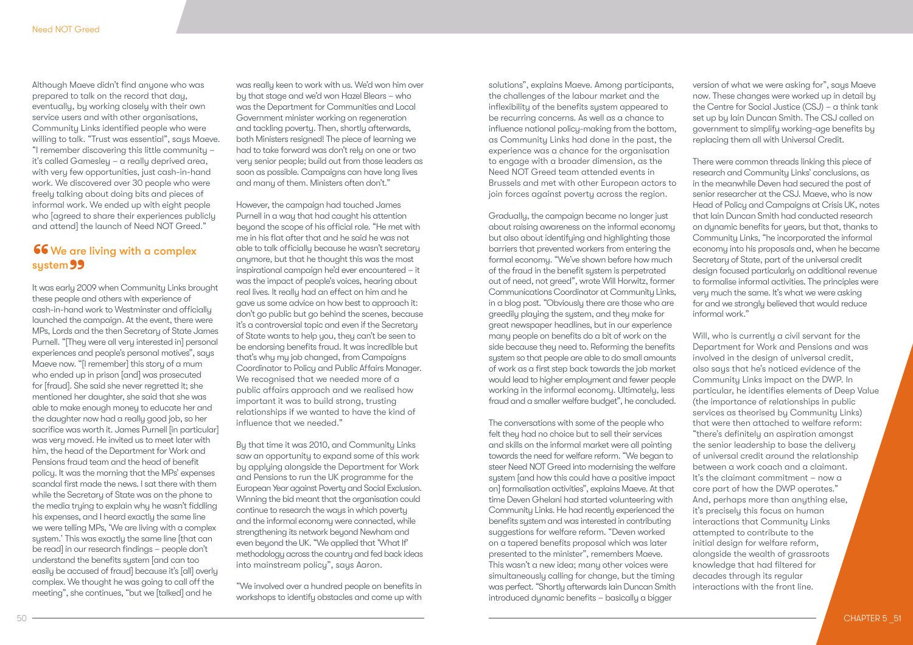Although Maeve didn't find anyone who was prepared to talk on the record that day, eventually, by working closely with their own service users and with other organisations, Community Links identified people who were willing to talk. "Trust was essential", says Maeve. "I remember discovering this little community – it's called Gamesley – a really deprived area, with very few opportunities, just cash-in-hand work. We discovered over 30 people who were freely talking about doing bits and pieces of informal work. We ended up with eight people who [agreed to share their experiences publicly and attend] the launch of Need NOT Greed."

# 66 We are living with a complex **system 99**<br>It was early 20

It was early 2009 when Community Links brought these people and others with experience of cash-in-hand work to Westminster and officially launched the campaign. At the event, there were MPs, Lords and the then Secretary of State James Purnell. "[They were all very interested in] personal experiences and people's personal motives", says Maeve now. "[I remember] this story of a mum who ended up in prison [and] was prosecuted for [fraud]. She said she never regretted it; she mentioned her daughter, she said that she was able to make enough money to educate her and the daughter now had a really good job, so her sacrifice was worth it. James Purnell [in particular] was very moved. He invited us to meet later with him, the head of the Department for Work and Pensions fraud team and the head of benefit policy. It was the morning that the MPs' expenses scandal first made the news. I sat there with them while the Secretary of State was on the phone to the media trying to explain why he wasn't fiddling his expenses, and I heard exactly the same line we were telling MPs, 'We are living with a complex system.' This was exactly the same line [that can be read] in our research findings – people don't understand the benefits system [and can too easily be accused of fraud] because it's [all] overly complex. We thought he was going to call off the meeting", she continues, "but we [talked] and he

was really keen to work with us. We'd won him over by that stage and we'd won Hazel Blears – who was the Department for Communities and Local Government minister working on regeneration and tackling poverty. Then, shortly afterwards, both Ministers resigned! The piece of learning we had to take forward was don't rely on one or two very senior people; build out from those leaders as soon as possible. Campaigns can have long lives and many of them. Ministers often don't."

However, the campaign had touched James Purnell in a way that had caught his attention beyond the scope of his official role. "He met with me in his flat after that and he said he was not able to talk officially because he wasn't secretary anymore, but that he thought this was the most inspirational campaign he'd ever encountered – it was the impact of people's voices, hearing about real lives. It really had an effect on him and he gave us some advice on how best to approach it: don't go public but go behind the scenes, because it's a controversial topic and even if the Secretary of State wants to help you, they can't be seen to be endorsing benefits fraud. It was incredible but that's why my job changed, from Campaigns Coordinator to Policy and Public Affairs Manager. We recognised that we needed more of a public affairs approach and we realised how important it was to build strong, trusting relationships if we wanted to have the kind of influence that we needed."

By that time it was 2010, and Community Links saw an opportunity to expand some of this work by applying alongside the Department for Work and Pensions to run the UK programme for the European Year against Poverty and Social Exclusion. Winning the bid meant that the organisation could continue to research the ways in which poverty and the informal economy were connected, while strengthening its network beyond Newham and even beyond the UK. "We applied that 'What If' methodology across the country and fed back ideas into mainstream policy", says Aaron.

"We involved over a hundred people on benefits in workshops to identify obstacles and come up with

solutions", explains Maeve. Among participants, the challenges of the labour market and the inflexibility of the benefits system appeared to be recurring concerns. As well as a chance to influence national policy-making from the bottom, as Community Links had done in the past, the experience was a chance for the organisation to engage with a broader dimension, as the Need NOT Greed team attended events in Brussels and met with other European actors to join forces against poverty across the region.

Gradually, the campaign became no longer just about raising awareness on the informal economy but also about identifying and highlighting those barriers that prevented workers from entering the formal economy. "We've shown before how much of the fraud in the benefit system is perpetrated out of need, not greed", wrote Will Horwitz, former Communications Coordinator at Community Links, in a blog post. "Obviously there are those who are greedily playing the system, and they make for great newspaper headlines, but in our experience many people on benefits do a bit of work on the side because they need to. Reforming the benefits system so that people are able to do small amounts of work as a first step back towards the job market would lead to higher employment and fewer people working in the informal economy. Ultimately, less fraud and a smaller welfare budget", he concluded.

The conversations with some of the people who felt they had no choice but to sell their services and skills on the informal market were all pointing towards the need for welfare reform. "We began to steer Need NOT Greed into modernising the welfare system [and how this could have a positive impact on] formalisation activities", explains Maeve. At that time Deven Ghelani had started volunteering with Community Links. He had recently experienced the benefits system and was interested in contributing suggestions for welfare reform. "Deven worked on a tapered benefits proposal which was later presented to the minister", remembers Maeve. This wasn't a new idea; many other voices were simultaneously calling for change, but the timing was perfect. "Shortly afterwards Iain Duncan Smith introduced dynamic benefits – basically a bigger

version of what we were asking for", says Maeve now. These changes were worked up in detail by the Centre for Social Justice (CSJ) – a think tank set up by Iain Duncan Smith. The CSJ called on government to simplify working-age benefits by replacing them all with Universal Credit.

There were common threads linking this piece of research and Community Links' conclusions, as in the meanwhile Deven had secured the post of senior researcher at the CSJ. Maeve, who is now Head of Policy and Campaigns at Crisis UK, notes that Iain Duncan Smith had conducted research on dynamic benefits for years, but that, thanks to Community Links, "he incorporated the informal economy into his proposals and, when he became Secretary of State, part of the universal credit design focused particularly on additional revenue to formalise informal activities. The principles were very much the same. It's what we were asking for and we strongly believed that would reduce informal work."

Will, who is currently a civil servant for the Department for Work and Pensions and was involved in the design of universal credit, also says that he's noticed evidence of the Community Links impact on the DWP. In particular, he identifies elements of Deep Value (the importance of relationships in public services as theorised by Community Links) that were then attached to welfare reform: "there's definitely an aspiration amongst the senior leadership to base the delivery of universal credit around the relationship between a work coach and a claimant. It's the claimant commitment – now a core part of how the DWP operates." And, perhaps more than anything else, it's precisely this focus on human interactions that Community Links attempted to contribute to the initial design for welfare reform, alongside the wealth of grassroots knowledge that had filtered for decades through its regular interactions with the front line.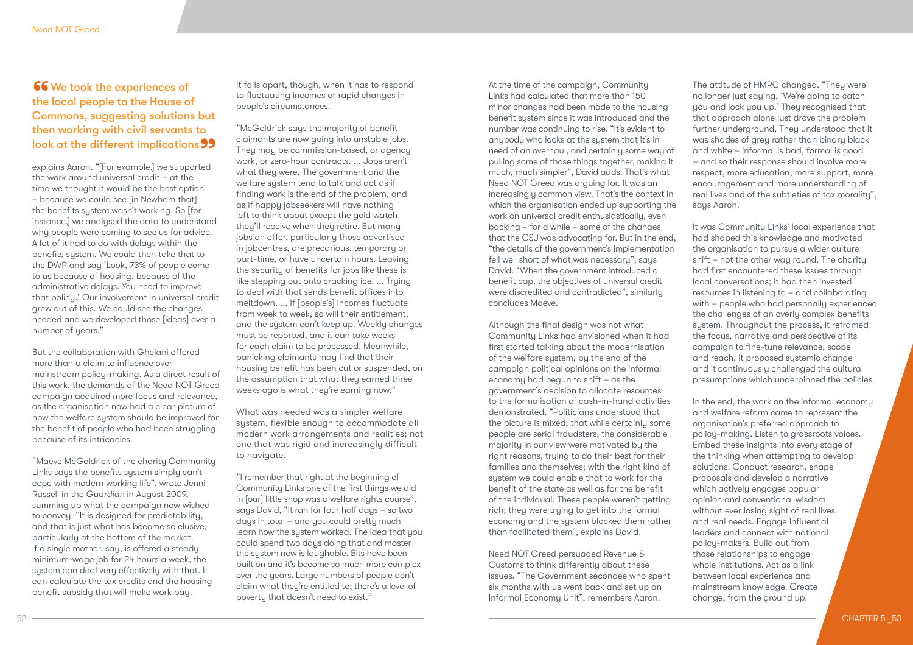### **66** We took the experiences of the local people to the House of Commons, suggesting solutions but then working with civil servants to **look at the different implications 99**<br>explains Aaron. "[For example,] we supported

explains Aaron. "[For example,] we supported the work around universal credit – at the time we thought it would be the best option – because we could see [in Newham that] the benefits system wasn't working. So [for instance,] we analysed the data to understand why people were coming to see us for advice. A lot of it had to do with delays within the benefits system. We could then take that to the DWP and say 'Look, 73% of people come to us because of housing, because of the administrative delays. You need to improve that policy.' Our involvement in universal credit grew out of this. We could see the changes needed and we developed those [ideas] over a number of years."

But the collaboration with Ghelani offered more than a claim to influence over mainstream policy-making. As a direct result of this work, the demands of the Need NOT Greed campaign acquired more focus and relevance, as the organisation now had a clear picture of how the welfare system should be improved for the benefit of people who had been struggling because of its intricacies.

"Maeve McGoldrick of the charity Community Links says the benefits system simply can't cope with modern working life", wrote Jenni Russell in the *Guardian* in August 2009, summing up what the campaign now wished to convey. "It is designed for predictability, and that is just what has become so elusive, particularly at the bottom of the market. If a single mother, say, is offered a steady minimum-wage job for 24 hours a week, the system can deal very effectively with that. It can calculate the tax credits and the housing benefit subsidy that will make work pay.

It falls apart, though, when it has to respond to fluctuating incomes or rapid changes in people's circumstances.

"McGoldrick says the majority of benefit claimants are now going into unstable jobs. They may be commission-based, or agency work, or zero-hour contracts. ... Jobs aren't what they were. The government and the welfare system tend to talk and act as if finding work is the end of the problem, and as if happy jobseekers will have nothing left to think about except the gold watch they'll receive when they retire. But many jobs on offer, particularly those advertised in jobcentres, are precarious, temporary or part-time, or have uncertain hours. Leaving the security of benefits for jobs like these is like stepping out onto cracking ice. ... Trying to deal with that sends benefit offices into meltdown. ... If [people's] incomes fluctuate from week to week, so will their entitlement, and the system can't keep up. Weekly changes must be reported, and it can take weeks for each claim to be processed. Meanwhile, panicking claimants may find that their housing benefit has been cut or suspended, on the assumption that what they earned three weeks ago is what they're earning now."

What was needed was a simpler welfare system, flexible enough to accommodate all modern work arrangements and realities; not one that was rigid and increasingly difficult to navigate.

"I remember that right at the beginning of Community Links one of the first things we did in [our] little shop was a welfare rights course", says David, "It ran for four half days – so two days in total – and you could pretty much learn how the system worked. The idea that you could spend two days doing that and master the system now is laughable. Bits have been built on and it's become so much more complex over the years. Large numbers of people don't claim what they're entitled to; there's a level of poverty that doesn't need to exist."

At the time of the campaign, Community Links had calculated that more than 150 minor changes had been made to the housing benefit system since it was introduced and the number was continuing to rise. "It's evident to anybody who looks at the system that it's in need of an overhaul, and certainly some way of pulling some of those things together, making it much, much simpler", David adds. That's what Need NOT Greed was arguing for. It was an increasingly common view. That's the context in which the organisation ended up supporting the work on universal credit enthusiastically, even backing – for a while – some of the changes that the CSJ was advocating for. But in the end, "the details of the government's implementation fell well short of what was necessary", says David. "When the government introduced a benefit cap, the objectives of universal credit were discredited and contradicted", similarly concludes Maeve.

Although the final design was not what Community Links had envisioned when it had first started talking about the modernisation of the welfare system, by the end of the campaign political opinions on the informal economy had begun to shift – as the government's decision to allocate resources to the formalisation of cash-in-hand activities demonstrated. "Politicians understood that the picture is mixed; that while certainly some people are serial fraudsters, the considerable majority in our view were motivated by the right reasons, trying to do their best for their families and themselves; with the right kind of system we could enable that to work for the benefit of the state as well as for the benefit of the individual. These people weren't getting rich; they were trying to get into the formal economy and the system blocked them rather than facilitated them", explains David.

Need NOT Greed persuaded Revenue & Customs to think differently about these issues. "The Government secondee who spent six months with us went back and set up an Informal Economy Unit", remembers Aaron.

The attitude of HMRC changed. "They were no longer just saying, 'We're going to catch you and lock you up.' They recognised that that approach alone just drove the problem further underground. They understood that it was shades of grey rather than binary black and white – informal is bad, formal is good – and so their response should involve more respect, more education, more support, more encouragement and more understanding of real lives and of the subtleties of tax morality", says Aaron.

It was Community Links' local experience that had shaped this knowledge and motivated the organisation to pursue a wider culture shift – not the other way round. The charity had first encountered these issues through local conversations; it had then invested resources in listening to – and collaborating with – people who had personally experienced the challenges of an overly complex benefits system. Throughout the process, it reframed the focus, narrative and perspective of its campaign to fine-tune relevance, scope and reach, it proposed systemic change and it continuously challenged the cultural presumptions which underpinned the policies.

In the end, the work on the informal economy and welfare reform came to represent the organisation's preferred approach to policy-making. Listen to grassroots voices. Embed these insights into every stage of the thinking when attempting to develop solutions. Conduct research, shape proposals and develop a narrative which actively engages popular opinion and conventional wisdom without ever losing sight of real lives and real needs. Engage influential leaders and connect with national policy-makers. Build out from those relationships to engage whole institutions. Act as a link between local experience and mainstream knowledge. Create change, from the ground up.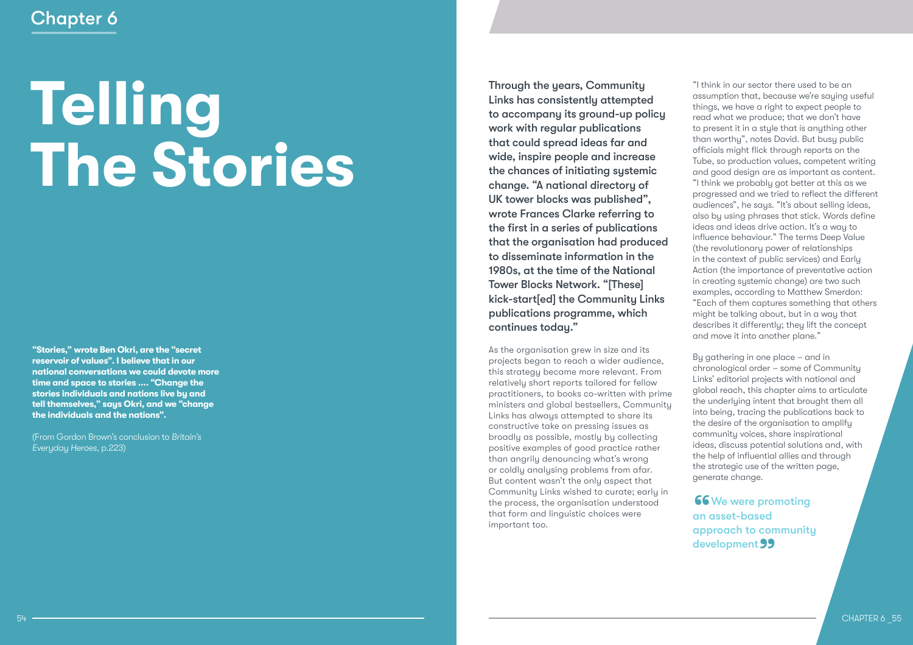# Chapter 6

# **Telling The Stories**

**"Stories," wrote Ben Okri, are the "secret reservoir of values". I believe that in our national conversations we could devote more time and space to stories .... "Change the stories individuals and nations live by and tell themselves," says Okri, and we "change the individuals and the nations".**

(From Gordon Brown's conclusion to *Britain's Everyday Heroes*, p.223)

Through the years, Community Links has consistently attempted to accompany its ground-up policy work with regular publications that could spread ideas far and wide, inspire people and increase the chances of initiating systemic change. "A national directory of UK tower blocks was published", wrote Frances Clarke referring to the first in a series of publications that the organisation had produced to disseminate information in the 1980s, at the time of the National Tower Blocks Network. "[These] kick-start[ed] the Community Links publications programme, which continues today."

As the organisation grew in size and its projects began to reach a wider audience, this strategy became more relevant. From relatively short reports tailored for fellow practitioners, to books co-written with prime ministers and global bestsellers, Community Links has always attempted to share its constructive take on pressing issues as broadly as possible, mostly by collecting positive examples of good practice rather than angrily denouncing what's wrong or coldly analysing problems from afar. But content wasn't the only aspect that Community Links wished to curate; early in the process, the organisation understood that form and linguistic choices were important too.

"I think in our sector there used to be an assumption that, because we're saying useful things, we have a right to expect people to read what we produce; that we don't have to present it in a style that is anything other than worthy", notes David. But busy public officials might flick through reports on the Tube, so production values, competent writing and good design are as important as content. "I think we probably got better at this as we progressed and we tried to reflect the different audiences", he says. "It's about selling ideas, also by using phrases that stick. Words define ideas and ideas drive action. It's a way to influence behaviour." The terms Deep Value (the revolutionary power of relationships in the context of public services) and Early Action (the importance of preventative action in creating systemic change) are two such examples, according to Matthew Smerdon: "Each of them captures something that others might be talking about, but in a way that describes it differently; they lift the concept and move it into another plane."

By gathering in one place – and in chronological order – some of Community Links' editorial projects with national and global reach, this chapter aims to articulate the underlying intent that brought them all into being, tracing the publications back to the desire of the organisation to amplify community voices, share inspirational ideas, discuss potential solutions and, with the help of influential allies and through the strategic use of the written page, generate change.

66 We were promoting an asset-based approach to community development 99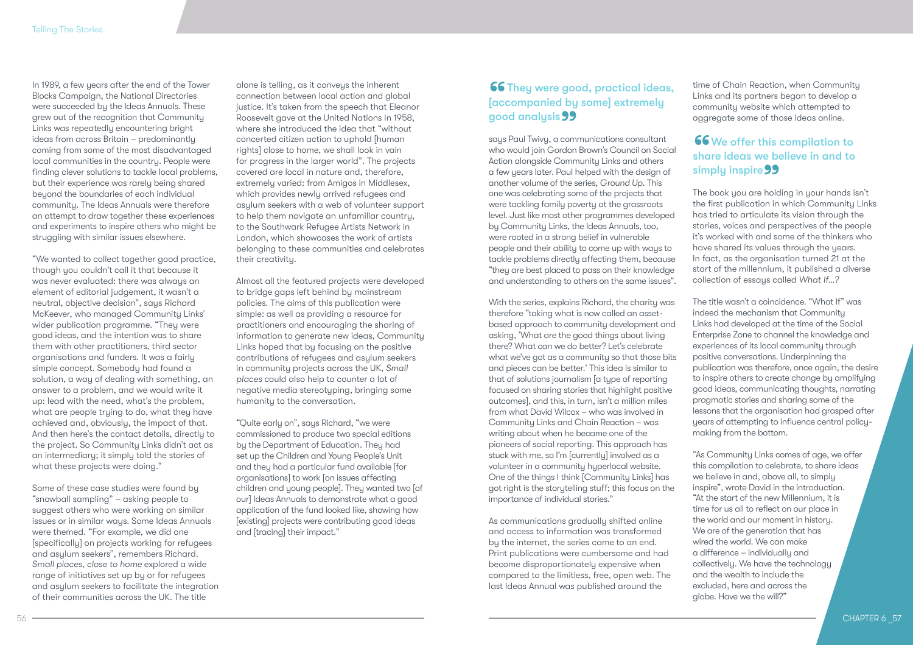In 1989, a few years after the end of the Tower Blocks Campaign, the National Directories were succeeded by the Ideas Annuals. These grew out of the recognition that Community Links was repeatedly encountering bright ideas from across Britain – predominantly coming from some of the most disadvantaged local communities in the country. People were finding clever solutions to tackle local problems, but their experience was rarely being shared beyond the boundaries of each individual community. The Ideas Annuals were therefore an attempt to draw together these experiences and experiments to inspire others who might be struggling with similar issues elsewhere.

"We wanted to collect together good practice, though you couldn't call it that because it was never evaluated: there was always an element of editorial judgement, it wasn't a neutral, objective decision", says Richard McKeever, who managed Community Links' wider publication programme. "They were good ideas, and the intention was to share them with other practitioners, third sector organisations and funders. It was a fairly simple concept. Somebody had found a solution, a way of dealing with something, an answer to a problem, and we would write it up: lead with the need, what's the problem, what are people trying to do, what they have achieved and, obviously, the impact of that. And then here's the contact details, directly to the project. So Community Links didn't act as an intermediary; it simply told the stories of what these projects were doing."

Some of these case studies were found by "snowball sampling" – asking people to suggest others who were working on similar issues or in similar ways. Some Ideas Annuals were themed. "For example, we did one [specifically] on projects working for refugees and asylum seekers", remembers Richard. *Small places, close to home* explored a wide range of initiatives set up by or for refugees and asylum seekers to facilitate the integration of their communities across the UK. The title

alone is telling, as it conveys the inherent connection between local action and global justice. It's taken from the speech that Eleanor Roosevelt gave at the United Nations in 1958, where she introduced the idea that "without concerted citizen action to uphold [human rights] close to home, we shall look in vain for progress in the larger world". The projects covered are local in nature and, therefore, extremely varied: from Amigos in Middlesex, which provides newly arrived refugees and asylum seekers with a web of volunteer support to help them navigate an unfamiliar country, to the Southwark Refugee Artists Network in London, which showcases the work of artists belonging to these communities and celebrates their creativity.

Almost all the featured projects were developed to bridge gaps left behind by mainstream policies. The aims of this publication were simple: as well as providing a resource for practitioners and encouraging the sharing of information to generate new ideas, Community Links hoped that by focusing on the positive contributions of refugees and asylum seekers in community projects across the UK, *Small places* could also help to counter a lot of negative media stereotyping, bringing some humanity to the conversation.

"Quite early on", says Richard, "we were commissioned to produce two special editions by the Department of Education. They had set up the Children and Young People's Unit and they had a particular fund available [for organisations] to work [on issues affecting children and young people]. They wanted two [of our] Ideas Annuals to demonstrate what a good application of the fund looked like, showing how [existing] projects were contributing good ideas and [tracing] their impact."

# **66** They were good, practical ideas, [accompanied by some] extremely g<mark>ood analysis **99**<br>says Paul Twivy, a comi</mark>

says Paul Twivy, a communications consultant who would join Gordon Brown's Council on Social Action alongside Community Links and others a few years later. Paul helped with the design of another volume of the series, *Ground Up*. This one was celebrating some of the projects that were tackling family poverty at the grassroots level. Just like most other programmes developed by Community Links, the Ideas Annuals, too, were rooted in a strong belief in vulnerable people and their ability to come up with ways to tackle problems directly affecting them, because "they are best placed to pass on their knowledge and understanding to others on the same issues".

With the series, explains Richard, the charity was therefore "taking what is now called an assetbased approach to community development and asking, 'What are the good things about living there? What can we do better? Let's celebrate what we've got as a community so that those bits and pieces can be better.' This idea is similar to that of solutions journalism [a type of reporting focused on sharing stories that highlight positive outcomes], and this, in turn, isn't a million miles from what David Wilcox – who was involved in Community Links and Chain Reaction – was writing about when he became one of the pioneers of social reporting. This approach has stuck with me, so I'm [currently] involved as a volunteer in a community hyperlocal website. One of the things I think [Community Links] has got right is the storytelling stuff; this focus on the importance of individual stories."

As communications gradually shifted online and access to information was transformed by the internet, the series came to an end. Print publications were cumbersome and had become disproportionately expensive when compared to the limitless, free, open web. The last Ideas Annual was published around the

time of Chain Reaction, when Community Links and its partners began to develop a community website which attempted to aggregate some of those ideas online.

# 66 We offer this compilation to share ideas we believe in and to si<mark>mply inspire 99</mark><br>The book you are hold

The book you are holding in your hands isn't the first publication in which Community Links has tried to articulate its vision through the stories, voices and perspectives of the people it's worked with and some of the thinkers who have shared its values through the years. In fact, as the organisation turned 21 at the start of the millennium, it published a diverse collection of essays called *What If…?*

The title wasn't a coincidence. "What If" was indeed the mechanism that Community Links had developed at the time of the Social Enterprise Zone to channel the knowledge and experiences of its local community through positive conversations. Underpinning the publication was therefore, once again, the desire to inspire others to create change by amplifying good ideas, communicating thoughts, narrating pragmatic stories and sharing some of the lessons that the organisation had grasped after years of attempting to influence central policymaking from the bottom.

"As Community Links comes of age, we offer this compilation to celebrate, to share ideas we believe in and, above all, to simply inspire", wrote David in the introduction. "At the start of the new Millennium, it is time for us all to reflect on our place in the world and our moment in history. We are of the generation that has wired the world. We can make a difference – individually and collectively. We have the technology and the wealth to include the excluded, here and across the globe. Have we the will?"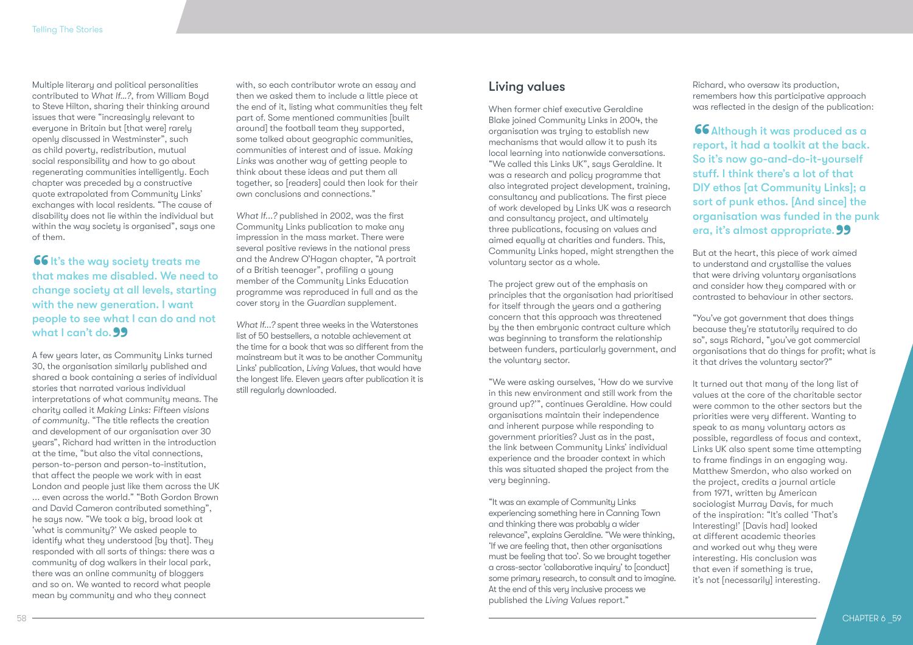Multiple literary and political personalities contributed to *What If…?*, from William Boyd to Steve Hilton, sharing their thinking around issues that were "increasingly relevant to everyone in Britain but [that were] rarely openly discussed in Westminster", such as child poverty, redistribution, mutual social responsibility and how to go about regenerating communities intelligently. Each chapter was preceded by a constructive quote extrapolated from Community Links' exchanges with local residents. "The cause of disability does not lie within the individual but within the way society is organised", says one of them.

**66** It's the way society treats me that makes me disabled. We need to change society at all levels, starting with the new generation. I want people to see what I can do and not what I can't do. 99 **what I can't do. 99**<br>A few years later, as Community Links turned

30, the organisation similarly published and shared a book containing a series of individual stories that narrated various individual interpretations of what community means. The charity called it *Making Links: Fifteen visions of community*. "The title reflects the creation and development of our organisation over 30 years", Richard had written in the introduction at the time, "but also the vital connections, person-to-person and person-to-institution, that affect the people we work with in east London and people just like them across the UK ... even across the world." "Both Gordon Brown and David Cameron contributed something", he says now. "We took a big, broad look at 'what is community?' We asked people to identify what they understood [by that]. They responded with all sorts of things: there was a community of dog walkers in their local park, there was an online community of bloggers and so on. We wanted to record what people mean by community and who they connect

with, so each contributor wrote an essay and then we asked them to include a little piece at the end of it, listing what communities they felt part of. Some mentioned communities [built around] the football team they supported, some talked about geographic communities, communities of interest and of issue. *Making Links* was another way of getting people to think about these ideas and put them all together, so [readers] could then look for their own conclusions and connections."

*What If...?* published in 2002, was the first Community Links publication to make any impression in the mass market. There were several positive reviews in the national press and the Andrew O'Hagan chapter, "A portrait of a British teenager", profiling a young member of the Community Links Education programme was reproduced in full and as the cover story in the *Guardian* supplement.

*What If...?* spent three weeks in the Waterstones list of 50 bestsellers, a notable achievement at the time for a book that was so different from the mainstream but it was to be another Community Links' publication, *Living Values*, that would have the longest life. Eleven years after publication it is still regularly downloaded.

### Living values

When former chief executive Geraldine Blake joined Community Links in 2004, the organisation was trying to establish new mechanisms that would allow it to push its local learning into nationwide conversations. "We called this Links UK", says Geraldine. It was a research and policy programme that also integrated project development, training, consultancy and publications. The first piece of work developed by Links UK was a research and consultancy project, and ultimately three publications, focusing on values and aimed equally at charities and funders. This, Community Links hoped, might strengthen the voluntary sector as a whole.

The project grew out of the emphasis on principles that the organisation had prioritised for itself through the years and a gathering concern that this approach was threatened by the then embryonic contract culture which was beginning to transform the relationship between funders, particularly government, and the voluntary sector.

"We were asking ourselves, 'How do we survive in this new environment and still work from the ground up?'", continues Geraldine. How could organisations maintain their independence and inherent purpose while responding to government priorities? Just as in the past, the link between Community Links' individual experience and the broader context in which this was situated shaped the project from the very beginning.

"It was an example of Community Links experiencing something here in Canning Town and thinking there was probably a wider relevance", explains Geraldine. "We were thinking, 'If we are feeling that, then other organisations must be feeling that too'. So we brought together a cross-sector 'collaborative inquiry' to [conduct] some primary research, to consult and to imagine. At the end of this very inclusive process we published the *Living Values* report."

Richard, who oversaw its production, remembers how this participative approach was reflected in the design of the publication:

**66** Although it was produced as a<br>report, it had a toolkit at the back.<br>So it's now go-and-do-it-uourself report, it had a toolkit at the back. So it's now go-and-do-it-yourself stuff. I think there's a lot of that DIY ethos [at Community Links]; a sort of punk ethos. [And since] the organisation was funded in the punk era, it's almost appropriate. 99<br>But at the heart, this piece of work aimer

But at the heart, this piece of work aimed to understand and crystallise the values that were driving voluntary organisations and consider how they compared with or contrasted to behaviour in other sectors.

"You've got government that does things because they're statutorily required to do so", says Richard, "you've got commercial organisations that do things for profit; what is it that drives the voluntary sector?"

It turned out that many of the long list of values at the core of the charitable sector were common to the other sectors but the priorities were very different. Wanting to speak to as many voluntary actors as possible, regardless of focus and context, Links UK also spent some time attempting to frame findings in an engaging way. Matthew Smerdon, who also worked on the project, credits a journal article from 1971, written by American sociologist Murray Davis, for much of the inspiration: "It's called 'That's Interesting!' [Davis had] looked at different academic theories and worked out why they were interesting. His conclusion was that even if something is true, it's not [necessarily] interesting.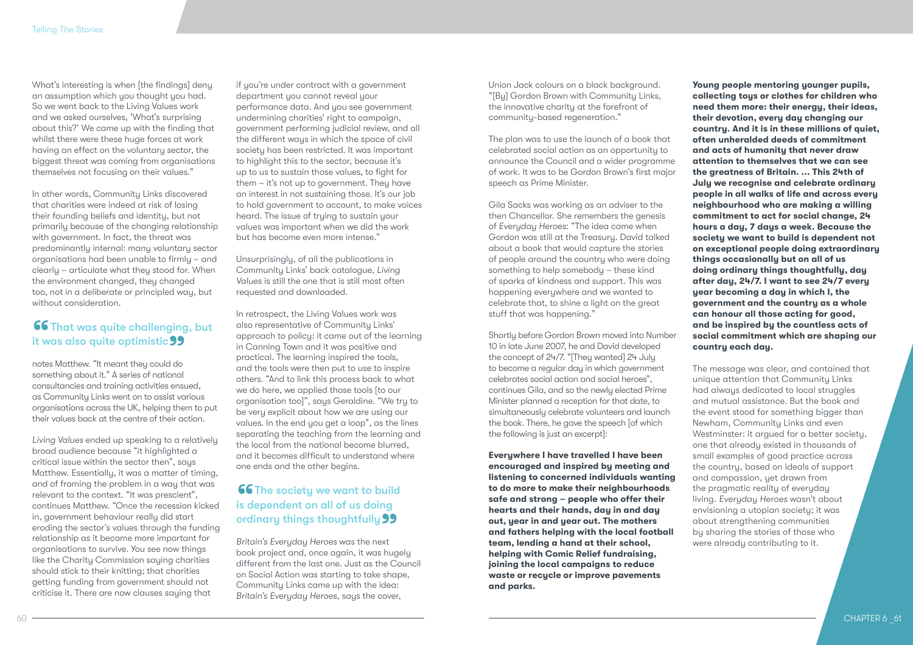What's interesting is when [the findings] deny an assumption which you thought you had. So we went back to the Living Values work and we asked ourselves, 'What's surprising about this?' We came up with the finding that whilst there were these huge forces at work having an effect on the voluntary sector, the biggest threat was coming from organisations themselves not focusing on their values."

In other words, Community Links discovered that charities were indeed at risk of losing their founding beliefs and identity, but not primarily because of the changing relationship with government. In fact, the threat was predominantly internal: many voluntary sector organisations had been unable to firmly – and clearly – articulate what they stood for. When the environment changed, they changed too, not in a deliberate or principled way, but without consideration.

# 66 That was quite challenging, but it was also quite optimistic 99<br>notes Matthew. "It meant they could do

notes Matthew. "It meant they could do something about it." A series of national consultancies and training activities ensued, as Community Links went on to assist various organisations across the UK, helping them to put their values back at the centre of their action.

*Living Values* ended up speaking to a relatively broad audience because "it highlighted a critical issue within the sector then", says Matthew. Essentially, it was a matter of timing, and of framing the problem in a way that was relevant to the context. "It was prescient", continues Matthew. "Once the recession kicked in, government behaviour really did start eroding the sector's values through the funding relationship as it became more important for organisations to survive. You see now things like the Charity Commission saying charities should stick to their knitting; that charities getting funding from government should not criticise it. There are now clauses saying that

if you're under contract with a government department you cannot reveal your performance data. And you see government undermining charities' right to campaign, government performing judicial review, and all the different ways in which the space of civil society has been restricted. It was important to highlight this to the sector, because it's up to us to sustain those values, to fight for them – it's not up to government. They have an interest in not sustaining those. It's our job to hold government to account, to make voices heard. The issue of trying to sustain your values was important when we did the work but has become even more intense."

Unsurprisingly, of all the publications in Community Links' back catalogue, *Living Values* is still the one that is still most often requested and downloaded.

In retrospect, the Living Values work was also representative of Community Links' approach to policy: it came out of the learning in Canning Town and it was positive and practical. The learning inspired the tools, and the tools were then put to use to inspire others. "And to link this process back to what we do here, we applied those tools [to our organisation too]", says Geraldine. "We try to be very explicit about how we are using our values. In the end you get a loop", as the lines separating the teaching from the learning and the local from the national become blurred, and it becomes difficult to understand where one ends and the other begins.

# **66** The society we want to build<br>is dependent on all of us doing<br>ordinary things thoughtfully is dependent on all of us doing ordinary things thoughtfully 99<br>Britain's Everyday Heroes was the next

*Britain's Everyday Heroes* was the next book project and, once again, it was hugely different from the last one. Just as the Council on Social Action was starting to take shape, Community Links came up with the idea: *Britain's Everyday Heroes*, says the cover,

Union Jack colours on a black background. "[By] Gordon Brown with Community Links, the innovative charity at the forefront of community-based regeneration."

The plan was to use the launch of a book that celebrated social action as an opportunity to announce the Council and a wider programme of work. It was to be Gordon Brown's first major speech as Prime Minister.

Gila Sacks was working as an adviser to the then Chancellor. She remembers the genesis of *Everyday Heroes*: "The idea came when Gordon was still at the Treasury. David talked about a book that would capture the stories of people around the country who were doing something to help somebody – these kind of sparks of kindness and support. This was happening everywhere and we wanted to celebrate that, to shine a light on the great stuff that was happening."

Shortly before Gordon Brown moved into Number 10 in late June 2007, he and David developed the concept of 24/7. "[They wanted] 24 July to become a regular day in which government celebrates social action and social heroes", continues Gila, and so the newly elected Prime Minister planned a reception for that date, to simultaneously celebrate volunteers and launch the book. There, he gave the speech [of which the following is just an excerpt]:

**Everywhere I have travelled I have been encouraged and inspired by meeting and listening to concerned individuals wanting to do more to make their neighbourhoods safe and strong – people who offer their hearts and their hands, day in and day out, year in and year out. The mothers and fathers helping with the local football team, lending a hand at their school, helping with Comic Relief fundraising, joining the local campaigns to reduce waste or recycle or improve pavements and parks.** 

**Young people mentoring younger pupils, collecting toys or clothes for children who need them more: their energy, their ideas, their devotion, every day changing our country. And it is in these millions of quiet, often unheralded deeds of commitment and acts of humanity that never draw attention to themselves that we can see the greatness of Britain. ... This 24th of July we recognise and celebrate ordinary people in all walks of life and across every neighbourhood who are making a willing commitment to act for social change, 24 hours a day, 7 days a week. Because the society we want to build is dependent not on exceptional people doing extraordinary things occasionally but on all of us doing ordinary things thoughtfully, day after day, 24/7. I want to see 24/7 every year becoming a day in which I, the government and the country as a whole can honour all those acting for good, and be inspired by the countless acts of social commitment which are shaping our country each day.**

The message was clear, and contained that unique attention that Community Links had always dedicated to local struggles and mutual assistance. But the book and the event stood for something bigger than Newham, Community Links and even Westminster: it argued for a better society, one that already existed in thousands of small examples of good practice across the country, based on ideals of support and compassion, yet drawn from the pragmatic reality of everyday living. *Everyday Heroes* wasn't about envisioning a utopian society; it was about strengthening communities by sharing the stories of those who were already contributing to it.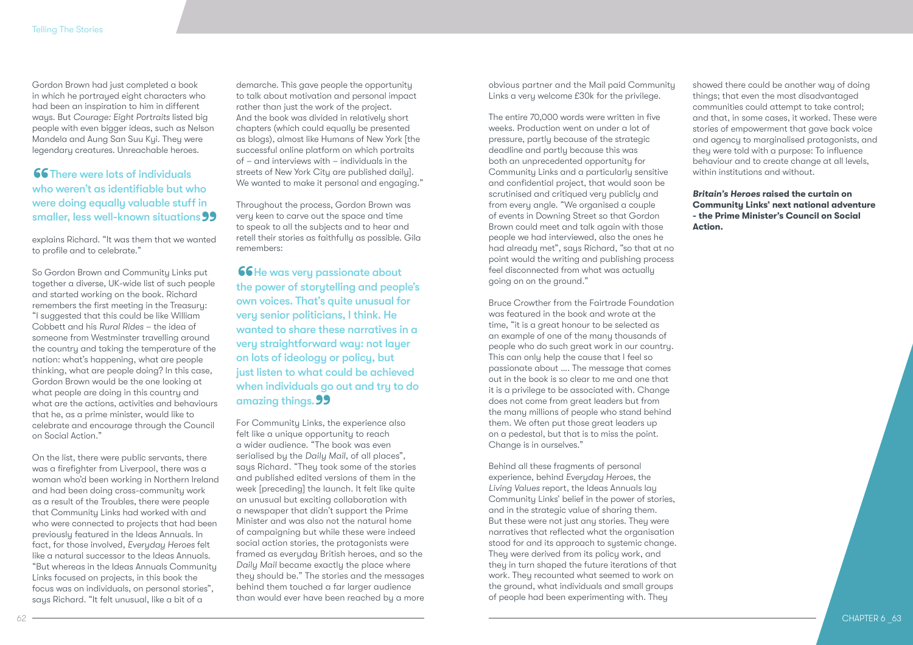Gordon Brown had just completed a book in which he portrayed eight characters who had been an inspiration to him in different ways. But *Courage: Eight Portraits* listed big people with even bigger ideas, such as Nelson Mandela and Aung San Suu Kyi. They were legendary creatures. Unreachable heroes.

**66** There were lots of individuals<br>who weren't as identifiable but w<br>were doing equally valuable stuff who weren't as identifiable but who were doing equally valuable stuff in smaller, less well-known situations 99<br>explains Richard. "It was them that we wanted

explains Richard. "It was them that we wanted to profile and to celebrate."

So Gordon Brown and Community Links put together a diverse, UK-wide list of such people and started working on the book. Richard remembers the first meeting in the Treasury: "I suggested that this could be like William Cobbett and his *Rural Rides* – the idea of someone from Westminster travelling around the country and taking the temperature of the nation: what's happening, what are people thinking, what are people doing? In this case, Gordon Brown would be the one looking at what people are doing in this country and what are the actions, activities and behaviours that he, as a prime minister, would like to celebrate and encourage through the Council on Social Action."

On the list, there were public servants, there was a firefighter from Liverpool, there was a woman who'd been working in Northern Ireland and had been doing cross-community work as a result of the Troubles, there were people that Community Links had worked with and who were connected to projects that had been previously featured in the Ideas Annuals. In fact, for those involved, *Everyday Heroes* felt like a natural successor to the Ideas Annuals. "But whereas in the Ideas Annuals Community Links focused on projects, in this book the focus was on individuals, on personal stories", says Richard. "It felt unusual, like a bit of a

demarche. This gave people the opportunity to talk about motivation and personal impact rather than just the work of the project. And the book was divided in relatively short chapters (which could equally be presented as blogs), almost like Humans of New York [the successful online platform on which portraits of – and interviews with – individuals in the streets of New York City are published daily]. We wanted to make it personal and engaging."

Throughout the process, Gordon Brown was very keen to carve out the space and time to speak to all the subjects and to hear and retell their stories as faithfully as possible. Gila remembers:

**66** He was very passionate about<br>the power of storytelling and peop<br>own voices. That's quite unusual fo the power of storytelling and people's own voices. That's quite unusual for very senior politicians, I think. He wanted to share these narratives in a very straightforward way: not layer on lots of ideology or policy, but just listen to what could be achieved when individuals go out and try to do a<mark>mazing things. **99**<br>For Community Links, tl</mark>

For Community Links, the experience also felt like a unique opportunity to reach a wider audience. "The book was even serialised by the *Daily Mail*, of all places", says Richard. "They took some of the stories and published edited versions of them in the week [preceding] the launch. It felt like quite an unusual but exciting collaboration with a newspaper that didn't support the Prime Minister and was also not the natural home of campaigning but while these were indeed social action stories, the protagonists were framed as everyday British heroes, and so the *Daily Mail* became exactly the place where they should be." The stories and the messages behind them touched a far larger audience than would ever have been reached by a more obvious partner and the Mail paid Community Links a very welcome £30k for the privilege.

The entire 70,000 words were written in five weeks. Production went on under a lot of pressure, partly because of the strategic deadline and partly because this was both an unprecedented opportunity for Community Links and a particularly sensitive and confidential project, that would soon be scrutinised and critiqued very publicly and from every angle. "We organised a couple of events in Downing Street so that Gordon Brown could meet and talk again with those people we had interviewed, also the ones he had already met", says Richard, "so that at no point would the writing and publishing process feel disconnected from what was actually going on on the ground."

Bruce Crowther from the Fairtrade Foundation was featured in the book and wrote at the time, "it is a great honour to be selected as an example of one of the many thousands of people who do such great work in our country. This can only help the cause that I feel so passionate about …. The message that comes out in the book is so clear to me and one that it is a privilege to be associated with. Change does not come from great leaders but from the many millions of people who stand behind them. We often put those great leaders up on a pedestal, but that is to miss the point. Change is in ourselves."

Behind all these fragments of personal experience, behind *Everyday Heroes*, the *Living Values* report, the Ideas Annuals lay Community Links' belief in the power of stories, and in the strategic value of sharing them. But these were not just any stories. They were narratives that reflected what the organisation stood for and its approach to systemic change. They were derived from its policy work, and they in turn shaped the future iterations of that work. They recounted what seemed to work on the ground, what individuals and small groups of people had been experimenting with. They

showed there could be another way of doing things; that even the most disadvantaged communities could attempt to take control; and that, in some cases, it worked. These were stories of empowerment that gave back voice and agency to marginalised protagonists, and they were told with a purpose: To influence behaviour and to create change at all levels, within institutions and without.

*Britain's Heroes* **raised the curtain on Community Links' next national adventure - the Prime Minister's Council on Social Action.**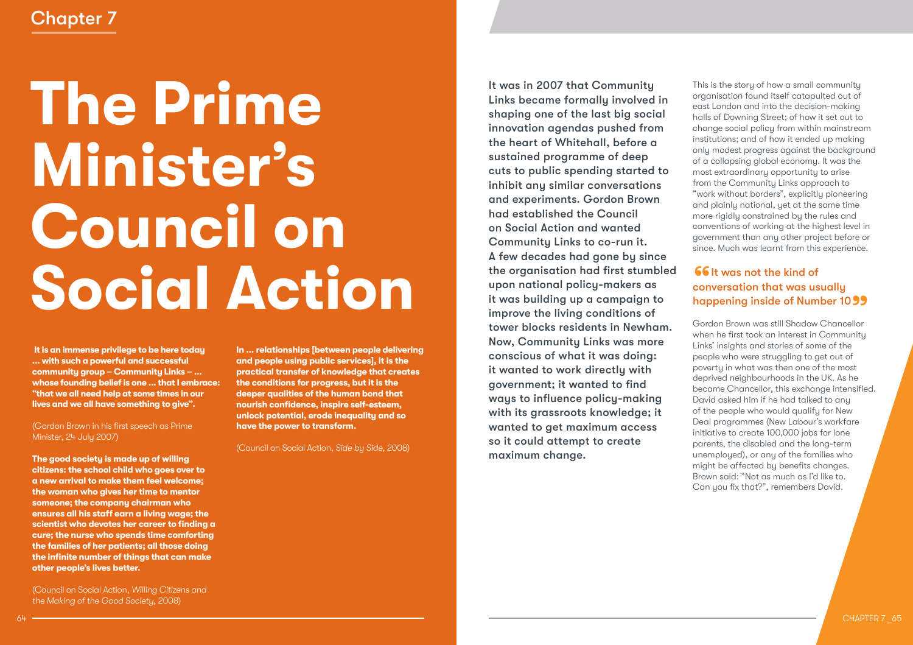# Chapter 7

# **The Prime Minister's Council on Social Action**

 **It is an immense privilege to be here today ... with such a powerful and successful community group – Community Links – ... whose founding belief is one ... that I embrace: "that we all need help at some times in our lives and we all have something to give".**

### (Gordon Brown in his first speech as Prime Minister, 24 July 2007)

**The good society is made up of willing citizens: the school child who goes over to a new arrival to make them feel welcome; the woman who gives her time to mentor someone; the company chairman who ensures all his staff earn a living wage; the scientist who devotes her career to finding a cure; the nurse who spends time comforting the families of her patients; all those doing the infinite number of things that can make other people's lives better.**

(Council on Social Action, *Willing Citizens and the Making of the Good Society*, 2008)

**In ... relationships [between people delivering and people using public services], it is the practical transfer of knowledge that creates the conditions for progress, but it is the deeper qualities of the human bond that nourish confidence, inspire self-esteem, unlock potential, erode inequality and so have the power to transform.**

(Council on Social Action, *Side by Side*, 2008)

It was in 2007 that Community Links became formally involved in shaping one of the last big social innovation agendas pushed from the heart of Whitehall, before a sustained programme of deep cuts to public spending started to inhibit any similar conversations and experiments. Gordon Brown had established the Council on Social Action and wanted Community Links to co-run it. A few decades had gone by since the organisation had first stumbled upon national policy-makers as it was building up a campaign to improve the living conditions of tower blocks residents in Newham. Now, Community Links was more conscious of what it was doing: it wanted to work directly with government; it wanted to find ways to influence policy-making with its grassroots knowledge; it wanted to get maximum access so it could attempt to create maximum change.

This is the story of how a small community organisation found itself catapulted out of east London and into the decision-making halls of Downing Street; of how it set out to change social policy from within mainstream institutions; and of how it ended up making only modest progress against the background of a collapsing global economy. It was the most extraordinary opportunity to arise from the Community Links approach to "work without borders", explicitly pioneering and plainly national, yet at the same time more rigidly constrained by the rules and conventions of working at the highest level in government than any other project before or since. Much was learnt from this experience.

# **66** It was not the kind of<br>conversation that was us<br>bannening inside of Num conversation that was usually **happening inside of Number 10 99**<br>Gordon Brown was still Shadow Chancellor

Gordon Brown was still Shadow Chancellor when he first took an interest in Community Links' insights and stories of some of the people who were struggling to get out of poverty in what was then one of the most deprived neighbourhoods in the UK. As he became Chancellor, this exchange intensified. David asked him if he had talked to any of the people who would qualify for New Deal programmes (New Labour's workfare initiative to create 100,000 jobs for lone parents, the disabled and the long-term unemployed), or any of the families who might be affected by benefits changes. Brown said: "Not as much as I'd like to. Can you fix that?", remembers David.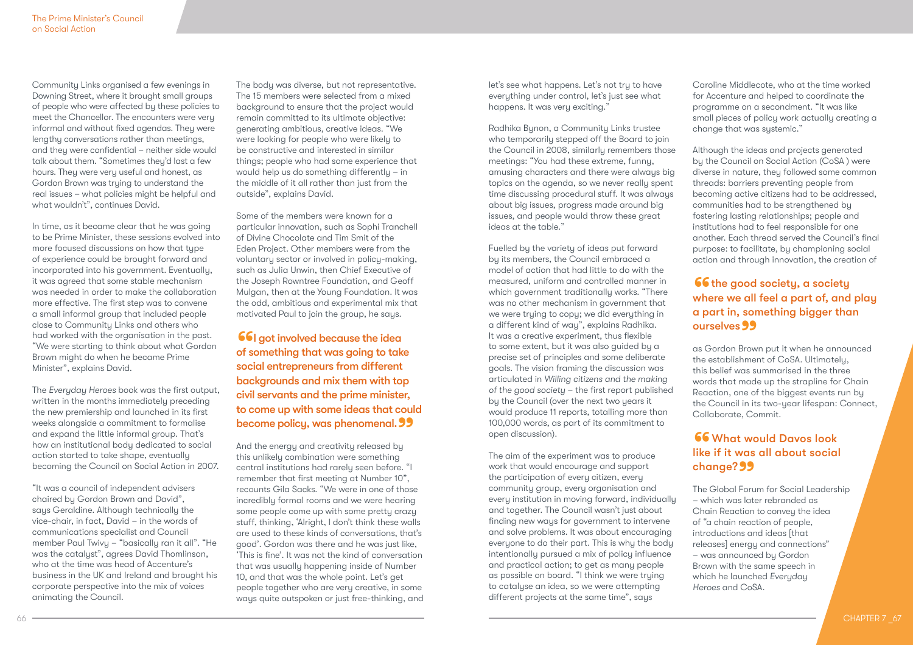Community Links organised a few evenings in Downing Street, where it brought small groups of people who were affected by these policies to meet the Chancellor. The encounters were very informal and without fixed agendas. They were lengthy conversations rather than meetings, and they were confidential – neither side would talk about them. "Sometimes they'd last a few hours. They were very useful and honest, as Gordon Brown was trying to understand the real issues – what policies might be helpful and what wouldn't", continues David.

In time, as it became clear that he was going to be Prime Minister, these sessions evolved into more focused discussions on how that tupe of experience could be brought forward and incorporated into his government. Eventually, it was agreed that some stable mechanism was needed in order to make the collaboration more effective. The first step was to convene a small informal group that included people close to Community Links and others who had worked with the organisation in the past. "We were starting to think about what Gordon Brown might do when he became Prime Minister", explains David.

The *Everyday Heroes* book was the first output, written in the months immediately preceding the new premiership and launched in its first weeks alongside a commitment to formalise and expand the little informal group. That's how an institutional body dedicated to social action started to take shape, eventually becoming the Council on Social Action in 2007.

"It was a council of independent advisers chaired by Gordon Brown and David", says Geraldine. Although technically the vice-chair, in fact, David – in the words of communications specialist and Council member Paul Twivy – "basically ran it all". "He was the catalyst", agrees David Thomlinson, who at the time was head of Accenture's business in the UK and Ireland and brought his corporate perspective into the mix of voices animating the Council.

The body was diverse, but not representative. The 15 members were selected from a mixed background to ensure that the project would remain committed to its ultimate objective: generating ambitious, creative ideas. "We were looking for people who were likely to be constructive and interested in similar things; people who had some experience that would help us do something differently – in the middle of it all rather than just from the outside", explains David.

Some of the members were known for a particular innovation, such as Sophi Tranchell of Divine Chocolate and Tim Smit of the Eden Project. Other members were from the voluntary sector or involved in policy-making, such as Julia Unwin, then Chief Executive of the Joseph Rowntree Foundation, and Geoff Mulgan, then at the Young Foundation. It was the odd, ambitious and experimental mix that motivated Paul to join the group, he says.

66<br>of s **66** | got involved because the idea of something that was going to take social entrepreneurs from different backgrounds and mix them with top civil servants and the prime minister, to come up with some ideas that could **become policy, was phenomenal. 99**<br>And the energy and creativity released by

And the energy and creativity released by this unlikely combination were something central institutions had rarely seen before. "I remember that first meeting at Number 10", recounts Gila Sacks. "We were in one of those incredibly formal rooms and we were hearing some people come up with some pretty crazy stuff, thinking, 'Alright, I don't think these walls are used to these kinds of conversations, that's good'. Gordon was there and he was just like, 'This is fine'. It was not the kind of conversation that was usually happening inside of Number 10, and that was the whole point. Let's get people together who are very creative, in some ways quite outspoken or just free-thinking, and let's see what happens. Let's not try to have everything under control, let's just see what happens. It was very exciting."

Radhika Bynon, a Community Links trustee who temporarily stepped off the Board to join the Council in 2008, similarly remembers those meetings: "You had these extreme, funny, amusing characters and there were always big topics on the agenda, so we never really spent time discussing procedural stuff. It was always about big issues, progress made around big issues, and people would throw these great ideas at the table."

Fuelled by the variety of ideas put forward by its members, the Council embraced a model of action that had little to do with the measured, uniform and controlled manner in which government traditionally works. "There was no other mechanism in government that we were trying to copy; we did everything in a different kind of way", explains Radhika. It was a creative experiment, thus flexible to some extent, but it was also guided by a precise set of principles and some deliberate goals. The vision framing the discussion was articulated in *Willing citizens and the making of the good society* – the first report published by the Council (over the next two years it would produce 11 reports, totalling more than 100,000 words, as part of its commitment to open discussion).

The aim of the experiment was to produce work that would encourage and support the participation of every citizen, every community group, every organisation and every institution in moving forward, individually and together. The Council wasn't just about finding new ways for government to intervene and solve problems. It was about encouraging everyone to do their part. This is why the body intentionally pursued a mix of policy influence and practical action; to get as many people as possible on board. "I think we were trying to catalyse an idea, so we were attempting different projects at the same time", says

Caroline Middlecote, who at the time worked for Accenture and helped to coordinate the programme on a secondment. "It was like small pieces of policy work actually creating a change that was sustemic."

Although the ideas and projects generated by the Council on Social Action (CoSA ) were diverse in nature, they followed some common threads: barriers preventing people from becoming active citizens had to be addressed, communities had to be strengthened by fostering lasting relationships; people and institutions had to feel responsible for one another. Each thread served the Council's final purpose: to facilitate, by championing social action and through innovation, the creation of

### $66$  the good society, a society where we all feel a part of, and play a part in, something bigger than ourselves 99 ourselves 99<br>as Gordon Brown put it when he announced

the establishment of CoSA. Ultimately, this belief was summarised in the three words that made up the strapline for Chain Reaction, one of the biggest events run by the Council in its two-year lifespan: Connect, Collaborate, Commit.

# **66** What would Davos look<br>like if it was all about social<br>change? **99** like if it was all about social **change? 99**<br>The Global Foru

The Global Forum for Social Leadership – which was later rebranded as Chain Reaction to convey the idea of "a chain reaction of people, introductions and ideas [that releases] energy and connections" – was announced by Gordon Brown with the same speech in which he launched *Everyday Heroes* and CoSA.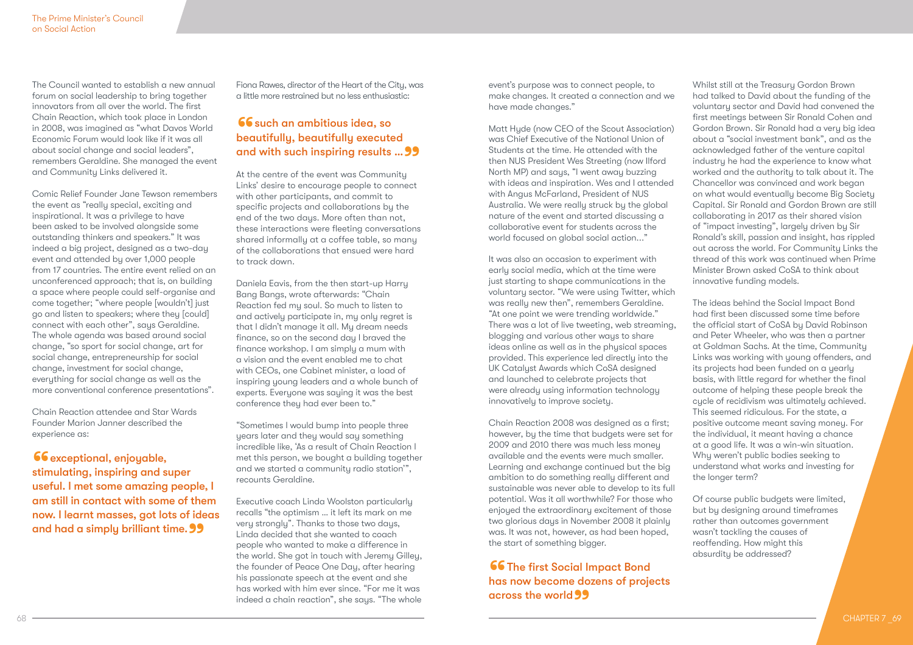The Council wanted to establish a new annual forum on social leadership to bring together innovators from all over the world. The first Chain Reaction, which took place in London in 2008, was imagined as "what Davos World Economic Forum would look like if it was all about social change and social leaders", remembers Geraldine. She managed the event and Community Links delivered it.

Comic Relief Founder Jane Tewson remembers the event as "really special, exciting and inspirational. It was a privilege to have been asked to be involved alongside some outstanding thinkers and speakers." It was indeed a big project, designed as a two-day event and attended by over 1,000 people from 17 countries. The entire event relied on an unconferenced approach; that is, on building a space where people could self-organise and come together; "where people [wouldn't] just go and listen to speakers; where they [could] connect with each other", says Geraldine. The whole agenda was based around social change, "so sport for social change, art for social change, entrepreneurship for social change, investment for social change, everything for social change as well as the more conventional conference presentations".

Chain Reaction attendee and Star Wards Founder Marion Janner described the experience as:

**66** exceptional, enjoyable,<br>stimulating, inspiring and succful I mot some amazing stimulating, inspiring and super useful. I met some amazing people, I am still in contact with some of them now. I learnt masses, got lots of ideas and had a simply brilliant time. 99

Fiona Rawes, director of the Heart of the City, was a little more restrained but no less enthusiastic:

# **66** such an ambitious idea, so<br>beautifully, beautifully execute<br>and with such inspiring results beautifully, beautifully executed and with such inspiring results ... 99<br>At the centre of the event was Community

At the centre of the event was Community Links' desire to encourage people to connect with other participants, and commit to specific projects and collaborations by the end of the two days. More often than not, these interactions were fleeting conversations shared informally at a coffee table, so many of the collaborations that ensued were hard to track down.

Daniela Eavis, from the then start-up Harry Bang Bangs, wrote afterwards: "Chain Reaction fed my soul. So much to listen to and actively participate in, my only regret is that I didn't manage it all. My dream needs finance, so on the second day I braved the finance workshop. I am simply a mum with a vision and the event enabled me to chat with CEOs, one Cabinet minister, a load of inspiring young leaders and a whole bunch of experts. Everyone was saying it was the best conference they had ever been to."

"Sometimes I would bump into people three years later and they would say something incredible like, 'As a result of Chain Reaction I met this person, we bought a building together and we started a community radio station'", recounts Geraldine.

Executive coach Linda Woolston particularly recalls "the optimism … it left its mark on me very strongly". Thanks to those two days, Linda decided that she wanted to coach people who wanted to make a difference in the world. She got in touch with Jeremy Gilley, the founder of Peace One Day, after hearing his passionate speech at the event and she has worked with him ever since. "For me it was indeed a chain reaction", she says. "The whole

event's purpose was to connect people, to make changes. It created a connection and we have made changes."

Matt Hyde (now CEO of the Scout Association) was Chief Executive of the National Union of Students at the time. He attended with the then NUS President Wes Streeting (now Ilford North MP) and says, "I went away buzzing with ideas and inspiration. Wes and I attended with Angus McFarland, President of NUS Australia. We were really struck by the global nature of the event and started discussing a collaborative event for students across the world focused on global social action..."

It was also an occasion to experiment with early social media, which at the time were just starting to shape communications in the voluntary sector. "We were using Twitter, which was really new then", remembers Geraldine. "At one point we were trending worldwide." There was a lot of live tweeting, web streaming, blogging and various other ways to share ideas online as well as in the physical spaces provided. This experience led directly into the UK Catalyst Awards which CoSA designed and launched to celebrate projects that were already using information technology innovatively to improve society.

Chain Reaction 2008 was designed as a first; however, by the time that budgets were set for 2009 and 2010 there was much less money available and the events were much smaller. Learning and exchange continued but the big ambition to do something really different and sustainable was never able to develop to its full potential. Was it all worthwhile? For those who enjoyed the extraordinary excitement of those two glorious days in November 2008 it plainly was. It was not, however, as had been hoped, the start of something bigger.

### **66** The first Social Impact Bond<br>has now become dozens of proje<br>geross the world has now become dozens of projects across the world"

Whilst still at the Treasury Gordon Brown had talked to David about the funding of the voluntary sector and David had convened the first meetings between Sir Ronald Cohen and Gordon Brown. Sir Ronald had a very big idea about a "social investment bank", and as the acknowledged father of the venture capital industry he had the experience to know what worked and the authority to talk about it. The Chancellor was convinced and work began on what would eventually become Big Society Capital. Sir Ronald and Gordon Brown are still collaborating in 2017 as their shared vision of "impact investing", largely driven by Sir Ronald's skill, passion and insight, has rippled out across the world. For Community Links the thread of this work was continued when Prime Minister Brown asked CoSA to think about innovative funding models.

The ideas behind the Social Impact Bond had first been discussed some time before the official start of CoSA by David Robinson and Peter Wheeler, who was then a partner at Goldman Sachs. At the time, Community Links was working with young offenders, and its projects had been funded on a yearly basis, with little regard for whether the final outcome of helping these people break the cycle of recidivism was ultimately achieved. This seemed ridiculous. For the state, a positive outcome meant saving money. For the individual, it meant having a chance at a good life. It was a win-win situation. Why weren't public bodies seeking to understand what works and investing for the longer term?

Of course public budgets were limited, but by designing around timeframes rather than outcomes government wasn't tackling the causes of reoffending. How might this absurdity be addressed?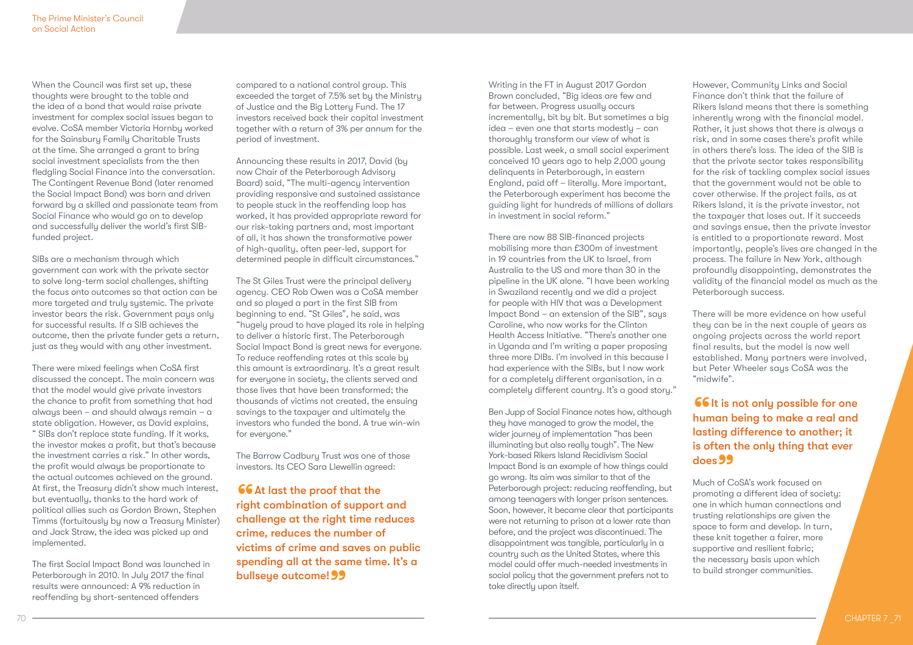When the Council was first set up, these thoughts were brought to the table and the idea of a bond that would raise private investment for complex social issues began to evolve. CoSA member Victoria Hornby worked for the Sainsbury Family Charitable Trusts at the time. She arranged a grant to bring social investment specialists from the then fledgling Social Finance into the conversation. The Contingent Revenue Bond (later renamed the Social Impact Bond) was born and driven forward by a skilled and passionate team from Social Finance who would go on to develop and successfully deliver the world's first SIBfunded project.

SIBs are a mechanism through which government can work with the private sector to solve long-term social challenges, shifting the focus onto outcomes so that action can be more targeted and truly systemic. The private investor bears the risk. Government pays only for successful results. If a SIB achieves the outcome, then the private funder gets a return, just as they would with any other investment.

There were mixed feelings when CoSA first discussed the concept. The main concern was that the model would give private investors the chance to profit from something that had always been – and should always remain – a state obligation. However, as David explains, " SIBs don't replace state funding. If it works, the investor makes a profit, but that's because the investment carries a risk." In other words, the profit would always be proportionate to the actual outcomes achieved on the ground. At first, the Treasury didn't show much interest, but eventually, thanks to the hard work of political allies such as Gordon Brown, Stephen Timms (fortuitously by now a Treasury Minister) and Jack Straw, the idea was picked up and implemented.

The first Social Impact Bond was launched in Peterborough in 2010. In July 2017 the final results were announced: A 9% reduction in reoffending by short-sentenced offenders

compared to a national control group. This exceeded the target of 7.5% set by the Ministry of Justice and the Big Lottery Fund. The 17 investors received back their capital investment together with a return of 3% per annum for the period of investment.

Announcing these results in 2017, David (by now Chair of the Peterborough Advisory Board) said, "The multi-agency intervention providing responsive and sustained assistance to people stuck in the reoffending loop has worked, it has provided appropriate reward for our risk-taking partners and, most important of all, it has shown the transformative power of high-quality, often peer-led, support for determined people in difficult circumstances."

The St Giles Trust were the principal delivery agency. CEO Rob Owen was a CoSA member and so played a part in the first SIB from beginning to end. "St Giles", he said, was "hugely proud to have played its role in helping to deliver a historic first. The Peterborough Social Impact Bond is great news for everyone. To reduce reoffending rates at this scale by this amount is extraordinary. It's a great result for everyone in society, the clients served and those lives that have been transformed; the thousands of victims not created, the ensuing savings to the taxpayer and ultimately the investors who funded the bond. A true win-win for everyone."

The Barrow Cadbury Trust was one of those investors. Its CEO Sara Llewellin agreed:

**66** At last the proof that the<br>right combination of support<br>challenge at the right time re right combination of support and challenge at the right time reduces crime, reduces the number of victims of crime and saves on public spending all at the same time. It's a bullseye outcome! 99

Writing in the FT in August 2017 Gordon Brown concluded, "Big ideas are few and far between. Progress usually occurs incrementally, bit by bit. But sometimes a big idea – even one that starts modestly – can thoroughly transform our view of what is possible. Last week, a small social experiment conceived 10 years ago to help 2,000 young delinquents in Peterborough, in eastern England, paid off – literally. More important, the Peterborough experiment has become the guiding light for hundreds of millions of dollars in investment in social reform."

There are now 88 SIB-financed projects mobilising more than £300m of investment in 19 countries from the UK to Israel, from Australia to the US and more than 30 in the pipeline in the UK alone. "I have been working in Swaziland recently and we did a project for people with HIV that was a Development Impact Bond – an extension of the SIB", says Caroline, who now works for the Clinton Health Access Initiative. "There's another one in Uganda and I'm writing a paper proposing three more DIBs. I'm involved in this because I had experience with the SIBs, but I now work for a completely different organisation, in a completely different country. It's a good story."

Ben Jupp of Social Finance notes how, although they have managed to grow the model, the wider journey of implementation "has been illuminating but also really tough". The New York-based Rikers Island Recidivism Social Impact Bond is an example of how things could go wrong. Its aim was similar to that of the Peterborough project: reducing reoffending, but among teenagers with longer prison sentences. Soon, however, it became clear that participants were not returning to prison at a lower rate than before, and the project was discontinued. The disappointment was tangible, particularly in a country such as the United States, where this model could offer much-needed investments in social policy that the government prefers not to take directly upon itself.

However, Community Links and Social Finance don't think that the failure of Rikers Island means that there is something inherently wrong with the financial model. Rather, it just shows that there is always a risk, and in some cases there's profit while in others there's loss. The idea of the SIB is that the private sector takes responsibility for the risk of tackling complex social issues that the government would not be able to cover otherwise. If the project fails, as at Rikers Island, it is the private investor, not the taxpayer that loses out. If it succeeds and savings ensue, then the private investor is entitled to a proportionate reward. Most importantly, people's lives are changed in the process. The failure in New York, although profoundly disappointing, demonstrates the validity of the financial model as much as the Peterborough success.

There will be more evidence on how useful they can be in the next couple of years as ongoing projects across the world report final results, but the model is now well established. Many partners were involved, but Peter Wheeler says CoSA was the "midwife".

**66** It is not only possible for one human being to make a real and lasting difference to another; it is often the only thing that ever does **99** does 99<br>Much of CoSA's work focused on

promoting a different idea of society: one in which human connections and trusting relationships are given the space to form and develop. In turn, these knit together a fairer, more supportive and resilient fabric; the necessary basis upon which to build stronger communities.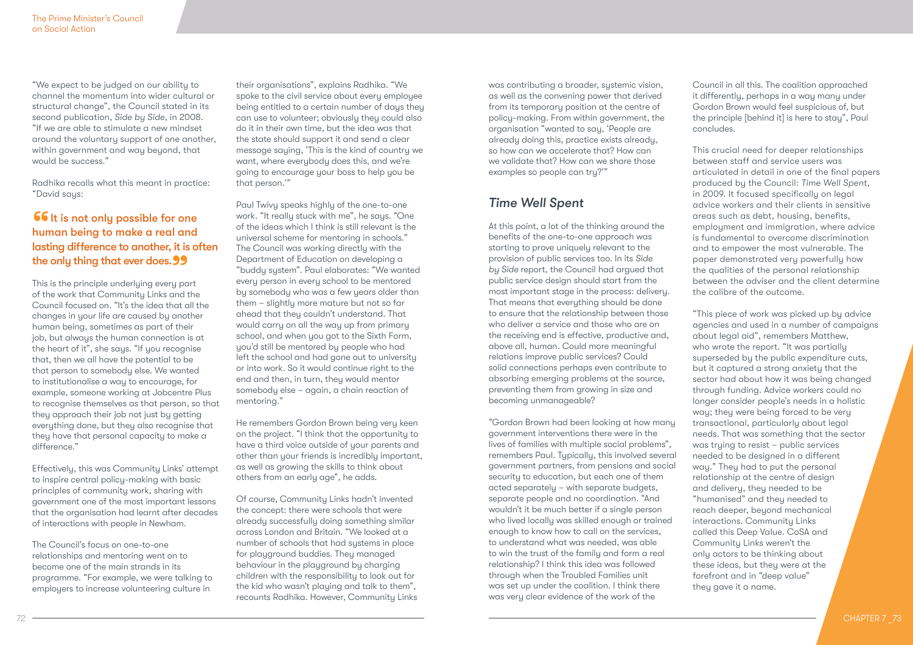"We expect to be judged on our ability to channel the momentum into wider cultural or structural change", the Council stated in its second publication, *Side by Side*, in 2008. "If we are able to stimulate a new mindset around the voluntary support of one another, within government and way beyond, that would be success."

Radhika recalls what this meant in practice: "David says:

### **66** It is not only possible for one<br>human being to make a real and<br>lasting difference to another it is a human being to make a real and lasting difference to another, it is often the only thing that ever does. 99<br>This is the principle underlying every pa

This is the principle underlying every part of the work that Community Links and the Council focused on. "It's the idea that all the changes in your life are caused by another human being, sometimes as part of their job, but always the human connection is at the heart of it", she says. "If you recognise that, then we all have the potential to be that person to somebody else. We wanted to institutionalise a way to encourage, for example, someone working at Jobcentre Plus to recognise themselves as that person, so that they approach their job not just by getting everything done, but they also recognise that they have that personal capacity to make a difference."

Effectively, this was Community Links' attempt to inspire central policy-making with basic principles of community work, sharing with government one of the most important lessons that the organisation had learnt after decades of interactions with people in Newham.

The Council's focus on one-to-one relationships and mentoring went on to become one of the main strands in its programme. "For example, we were talking to employers to increase volunteering culture in

their organisations", explains Radhika. "We spoke to the civil service about every employee being entitled to a certain number of days they can use to volunteer; obviously they could also do it in their own time, but the idea was that the state should support it and send a clear message saying, 'This is the kind of country we want, where everybody does this, and we're going to encourage your boss to help you be that person.'"

Paul Twivy speaks highly of the one-to-one work. "It really stuck with me", he says. "One of the ideas which I think is still relevant is the universal scheme for mentoring in schools." The Council was working directly with the Department of Education on developing a "buddy system". Paul elaborates: "We wanted every person in every school to be mentored by somebody who was a few years older than them – slightly more mature but not so far ahead that they couldn't understand. That would carry on all the way up from primary school, and when you got to the Sixth Form, you'd still be mentored by people who had left the school and had gone out to university or into work. So it would continue right to the end and then, in turn, they would mentor somebody else – again, a chain reaction of mentoring."

He remembers Gordon Brown being very keen on the project. "I think that the opportunity to have a third voice outside of your parents and other than your friends is incredibly important, as well as growing the skills to think about others from an early age", he adds.

Of course, Community Links hadn't invented the concept: there were schools that were already successfully doing something similar across London and Britain. "We looked at a number of schools that had systems in place for playground buddies. They managed behaviour in the playground by charging children with the responsibility to look out for the kid who wasn't playing and talk to them", recounts Radhika. However, Community Links was contributing a broader, systemic vision, as well as the convening power that derived from its temporary position at the centre of policy-making. From within government, the organisation "wanted to say, 'People are already doing this, practice exists already, so how can we accelerate that? How can we validate that? How can we share those examples so people can try?'"

### *Time Well Spent*

At this point, a lot of the thinking around the benefits of the one-to-one approach was starting to prove uniquely relevant to the provision of public services too. In its *Side by Side* report, the Council had argued that public service design should start from the most important stage in the process: delivery. That means that everything should be done to ensure that the relationship between those who deliver a service and those who are on the receiving end is effective, productive and, above all, human. Could more meaningful relations improve public services? Could solid connections perhaps even contribute to absorbing emerging problems at the source, preventing them from growing in size and becoming unmanageable?

"Gordon Brown had been looking at how many government interventions there were in the lives of families with multiple social problems", remembers Paul. Typically, this involved several government partners, from pensions and social security to education, but each one of them acted separately – with separate budgets, separate people and no coordination. "And wouldn't it be much better if a single person who lived locally was skilled enough or trained enough to know how to call on the services, to understand what was needed, was able to win the trust of the family and form a real relationship? I think this idea was followed through when the Troubled Families unit was set up under the coalition. I think there was very clear evidence of the work of the

Council in all this. The coalition approached it differently, perhaps in a way many under Gordon Brown would feel suspicious of, but the principle [behind it] is here to stay", Paul concludes.

This crucial need for deeper relationships between staff and service users was articulated in detail in one of the final papers produced by the Council: *Time Well Spent*, in 2009. It focused specifically on legal advice workers and their clients in sensitive areas such as debt, housing, benefits, employment and immigration, where advice is fundamental to overcome discrimination and to empower the most vulnerable. The paper demonstrated very powerfully how the qualities of the personal relationship between the adviser and the client determine the calibre of the outcome.

"This piece of work was picked up by advice agencies and used in a number of campaigns about legal aid", remembers Matthew, who wrote the report. "It was partially superseded by the public expenditure cuts, but it captured a strong anxiety that the sector had about how it was being changed through funding. Advice workers could no longer consider people's needs in a holistic way; they were being forced to be very transactional, particularly about legal needs. That was something that the sector was trying to resist – public services needed to be designed in a different way." They had to put the personal relationship at the centre of design and delivery, they needed to be "humanised" and they needed to reach deeper, beyond mechanical interactions. Community Links called this Deep Value. CoSA and Community Links weren't the only actors to be thinking about these ideas, but they were at the forefront and in "deep value" they gave it a name.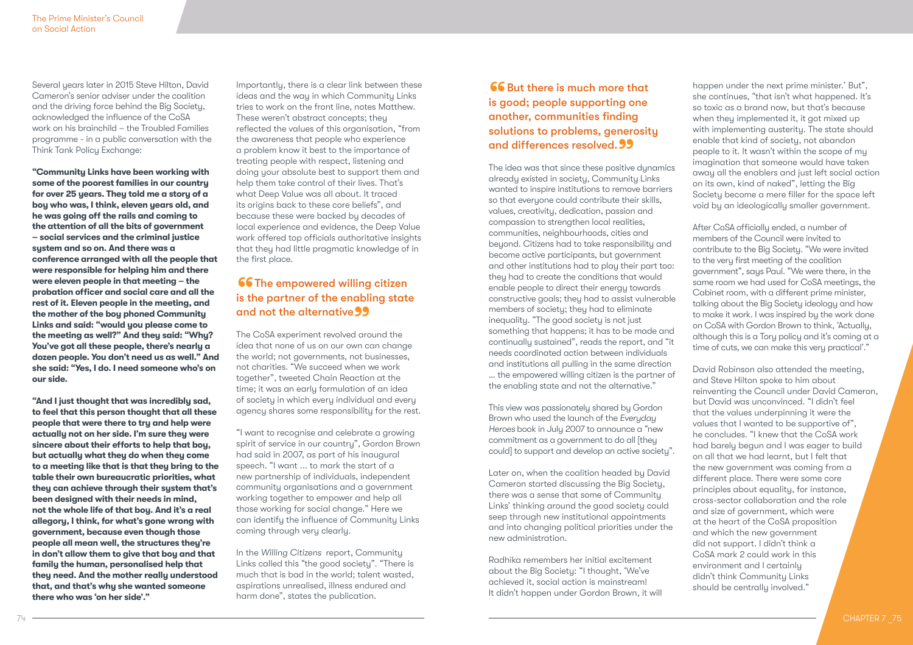Several years later in 2015 Steve Hilton, David Cameron's senior adviser under the coalition and the driving force behind the Big Society, acknowledged the influence of the CoSA work on his brainchild – the Troubled Families programme - in a public conversation with the Think Tank Policy Exchange:

**"Community Links have been working with some of the poorest families in our country for over 25 years. They told me a story of a boy who was, I think, eleven years old, and he was going off the rails and coming to the attention of all the bits of government – social services and the criminal justice system and so on. And there was a conference arranged with all the people that were responsible for helping him and there were eleven people in that meeting – the probation officer and social care and all the rest of it. Eleven people in the meeting, and the mother of the boy phoned Community Links and said: "would you please come to the meeting as well?" And they said: "Why? You've got all these people, there's nearly a dozen people. You don't need us as well." And she said: "Yes, I do. I need someone who's on our side.**

**"And I just thought that was incredibly sad, to feel that this person thought that all these people that were there to try and help were actually not on her side. I'm sure they were sincere about their efforts to help that boy, but actually what they do when they come to a meeting like that is that they bring to the table their own bureaucratic priorities, what they can achieve through their system that's been designed with their needs in mind, not the whole life of that boy. And it's a real allegory, I think, for what's gone wrong with government, because even though those people all mean well, the structures they're in don't allow them to give that boy and that family the human, personalised help that they need. And the mother really understood that, and that's why she wanted someone there who was 'on her side'."** 

Importantly, there is a clear link between these ideas and the way in which Community Links tries to work on the front line, notes Matthew. These weren't abstract concepts; they reflected the values of this organisation, "from the awareness that people who experience a problem know it best to the importance of treating people with respect, listening and doing your absolute best to support them and help them take control of their lives. That's what Deep Value was all about. It traced its origins back to these core beliefs", and because these were backed by decades of local experience and evidence, the Deep Value work offered top officials authoritative insights that they had little pragmatic knowledge of in the first place.

# **66 The empowered willing citizen** is the partner of the enabling state and not the alternative 99<br>The CoSA experiment revolved aro

The CoSA experiment revolved around the idea that none of us on our own can change the world; not governments, not businesses, not charities. "We succeed when we work together", tweeted Chain Reaction at the time; it was an early formulation of an idea of society in which every individual and every agency shares some responsibility for the rest.

"I want to recognise and celebrate a growing spirit of service in our country", Gordon Brown had said in 2007, as part of his inaugural speech. "I want ... to mark the start of a new partnership of individuals, independent community organisations and a government working together to empower and help all those working for social change." Here we can identify the influence of Community Links coming through very clearly.

In the *Willing Citizens* report, Community Links called this "the good society". "There is much that is bad in the world; talent wasted, aspirations unrealised, illness endured and harm done", states the publication.

### **66** But there is much more that<br>is good; people supporting one<br>another communities finding is good; people supporting one another, communities finding solutions to problems, generosity and differences resolved. 99<br>The idea was that since these positive

The idea was that since these positive dunamics already existed in society, Community Links wanted to inspire institutions to remove barriers so that everyone could contribute their skills, values, creativity, dedication, passion and compassion to strengthen local realities, communities, neighbourhoods, cities and beyond. Citizens had to take responsibility and become active participants, but government and other institutions had to play their part too: they had to create the conditions that would enable people to direct their energy towards constructive goals; they had to assist vulnerable members of society; they had to eliminate inequality. "The good society is not just something that happens; it has to be made and continually sustained", reads the report, and "it needs coordinated action between individuals and institutions all pulling in the same direction … the empowered willing citizen is the partner of the enabling state and not the alternative."

This view was passionately shared by Gordon Brown who used the launch of the *Everyday Heroes* book in July 2007 to announce a "new commitment as a government to do all [they could] to support and develop an active society".

Later on, when the coalition headed by David Cameron started discussing the Big Society, there was a sense that some of Community Links' thinking around the good society could seep through new institutional appointments and into changing political priorities under the new administration.

Radhika remembers her initial excitement about the Big Society: "I thought, 'We've achieved it, social action is mainstream! It didn't happen under Gordon Brown, it will happen under the next prime minister.' But", she continues, "that isn't what happened. It's so toxic as a brand now, but that's because when they implemented it, it got mixed up with implementing austerity. The state should enable that kind of society, not abandon people to it. It wasn't within the scope of my imagination that someone would have taken away all the enablers and just left social action on its own, kind of naked", letting the Big Society become a mere filler for the space left void by an ideologically smaller government.

After CoSA officially ended, a number of members of the Council were invited to contribute to the Big Society. "We were invited to the very first meeting of the coalition government", says Paul. "We were there, in the same room we had used for CoSA meetings, the Cabinet room, with a different prime minister, talking about the Big Society ideology and how to make it work. I was inspired by the work done on CoSA with Gordon Brown to think, 'Actually, although this is a Tory policy and it's coming at a time of cuts, we can make this very practical'."

David Robinson also attended the meeting, and Steve Hilton spoke to him about reinventing the Council under David Cameron, but David was unconvinced. "I didn't feel that the values underpinning it were the values that I wanted to be supportive of", he concludes. "I knew that the CoSA work had barely begun and I was eager to build on all that we had learnt, but I felt that the new government was coming from a different place. There were some core principles about equality, for instance, cross-sector collaboration and the role and size of government, which were at the heart of the CoSA proposition and which the new government did not support. I didn't think a CoSA mark 2 could work in this environment and I certainly didn't think Community Links should be centrally involved."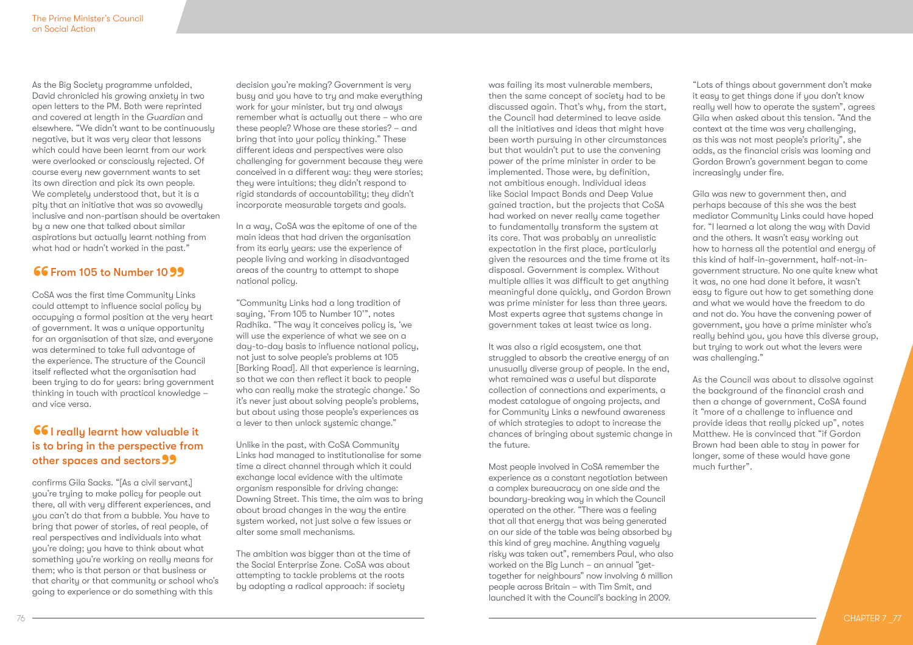As the Big Society programme unfolded, David chronicled his growing anxiety in two open letters to the PM. Both were reprinted and covered at length in the *Guardian* and elsewhere. "We didn't want to be continuously negative, but it was very clear that lessons which could have been learnt from our work were overlooked or consciously rejected. Of course every new government wants to set its own direction and pick its own people. We completely understood that, but it is a pity that an initiative that was so avowedly inclusive and non-partisan should be overtaken by a new one that talked about similar aspirations but actually learnt nothing from what had or hadn't worked in the past."

**66 From 105 to Number 10 99**<br>CoSA was the first time Community Links could attempt to influence social policy by occupying a formal position at the very heart of government. It was a unique opportunity for an organisation of that size, and everyone was determined to take full advantage of the experience. The structure of the Council itself reflected what the organisation had been trying to do for years: bring government thinking in touch with practical knowledge – and vice versa.

# **66** I really learnt how valuable it<br>is to bring in the perspective from<br>other spaces and sectors is to bring in the perspective from other spaces and sectors 99<br>confirms Gila Sacks. "[As a civil servo

confirms Gila Sacks. "[As a civil servant,] you're trying to make policy for people out there, all with very different experiences, and you can't do that from a bubble. You have to bring that power of stories, of real people, of real perspectives and individuals into what you're doing; you have to think about what something you're working on really means for them; who is that person or that business or that charity or that community or school who's going to experience or do something with this

decision you're making? Government is very busy and you have to try and make everything work for your minister, but try and always remember what is actually out there – who are these people? Whose are these stories? – and bring that into your policy thinking." These different ideas and perspectives were also challenging for government because they were conceived in a different way: they were stories; they were intuitions; they didn't respond to rigid standards of accountability; they didn't incorporate measurable targets and goals.

In a way, CoSA was the epitome of one of the main ideas that had driven the organisation from its early years: use the experience of people living and working in disadvantaged areas of the country to attempt to shape national policy.

"Community Links had a long tradition of saying, 'From 105 to Number 10'", notes Radhika. "The way it conceives policy is, 'we will use the experience of what we see on a day-to-day basis to influence national policy, not just to solve people's problems at 105 [Barking Road]. All that experience is learning, so that we can then reflect it back to people who can really make the strategic change.' So it's never just about solving people's problems, but about using those people's experiences as a lever to then unlock systemic change."

Unlike in the past, with CoSA Community Links had managed to institutionalise for some time a direct channel through which it could exchange local evidence with the ultimate organism responsible for driving change: Downing Street. This time, the aim was to bring about broad changes in the way the entire system worked, not just solve a few issues or alter some small mechanisms.

The ambition was bigger than at the time of the Social Enterprise Zone. CoSA was about attempting to tackle problems at the roots by adopting a radical approach: if society

was failing its most vulnerable members, then the same concept of society had to be discussed again. That's why, from the start, the Council had determined to leave aside all the initiatives and ideas that might have been worth pursuing in other circumstances but that wouldn't put to use the convening power of the prime minister in order to be implemented. Those were, by definition, not ambitious enough. Individual ideas like Social Impact Bonds and Deep Value gained traction, but the projects that CoSA had worked on never really came together to fundamentally transform the system at its core. That was probably an unrealistic expectation in the first place, particularly given the resources and the time frame at its disposal. Government is complex. Without multiple allies it was difficult to get anything meaningful done quickly, and Gordon Brown was prime minister for less than three years. Most experts agree that systems change in government takes at least twice as long.

It was also a rigid ecosystem, one that struggled to absorb the creative energy of an unusually diverse group of people. In the end, what remained was a useful but disparate collection of connections and experiments, a modest catalogue of ongoing projects, and for Community Links a newfound awareness of which strategies to adopt to increase the chances of bringing about systemic change in the future.

Most people involved in CoSA remember the experience as a constant negotiation between a complex bureaucracy on one side and the boundary-breaking way in which the Council operated on the other. "There was a feeling that all that energy that was being generated on our side of the table was being absorbed by this kind of grey machine. Anything vaguely risky was taken out", remembers Paul, who also worked on the Big Lunch – an annual "gettogether for neighbours" now involving 6 million people across Britain – with Tim Smit, and launched it with the Council's backing in 2009.

"Lots of things about government don't make it easy to get things done if you don't know really well how to operate the system", agrees Gila when asked about this tension. "And the context at the time was very challenging, as this was not most people's priority", she adds, as the financial crisis was looming and Gordon Brown's government began to come increasingly under fire.

Gila was new to government then, and perhaps because of this she was the best mediator Community Links could have hoped for. "I learned a lot along the way with David and the others. It wasn't easy working out how to harness all the potential and energy of this kind of half-in-government, half-not-ingovernment structure. No one quite knew what it was, no one had done it before, it wasn't easy to figure out how to get something done and what we would have the freedom to do and not do. You have the convening power of government, you have a prime minister who's really behind you, you have this diverse group, but trying to work out what the levers were was challenging."

As the Council was about to dissolve against the background of the financial crash and then a change of government, CoSA found it "more of a challenge to influence and provide ideas that really picked up", notes Matthew. He is convinced that "if Gordon Brown had been able to stay in power for longer, some of these would have gone much further".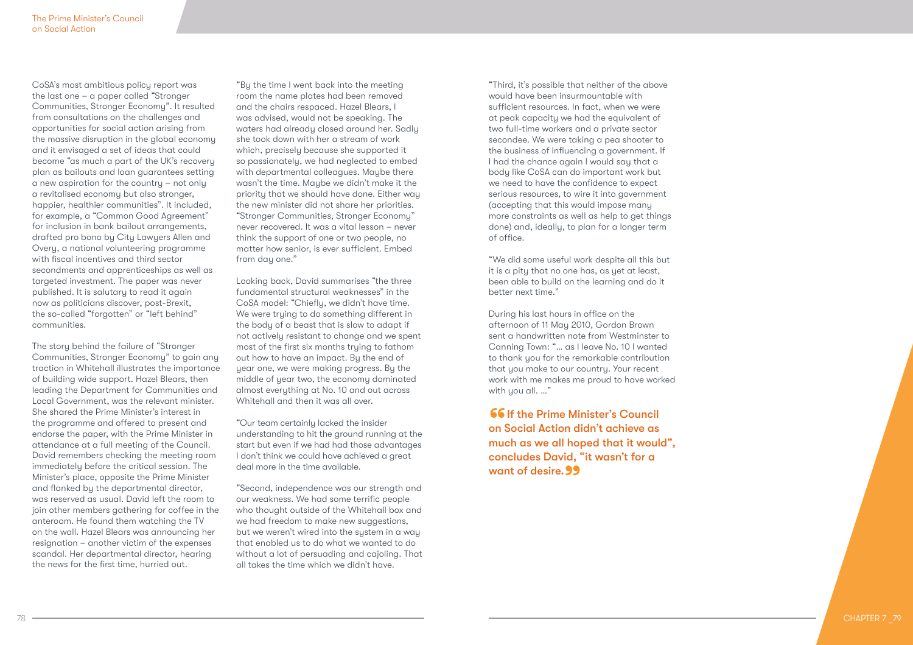CoSA's most ambitious policy report was the last one – a paper called "Stronger Communities, Stronger Economy". It resulted from consultations on the challenges and opportunities for social action arising from the massive disruption in the global economy and it envisaged a set of ideas that could become "as much a part of the UK's recovery plan as bailouts and loan guarantees setting a new aspiration for the country – not only a revitalised economy but also stronger, happier, healthier communities". It included, for example, a "Common Good Agreement" for inclusion in bank bailout arrangements, drafted pro bono by City Lawyers Allen and Overy, a national volunteering programme with fiscal incentives and third sector secondments and apprenticeships as well as targeted investment. The paper was never published. It is salutary to read it again now as politicians discover, post-Brexit, the so-called "forgotten" or "left behind" communities.

The story behind the failure of "Stronger Communities, Stronger Economy" to gain any traction in Whitehall illustrates the importance of building wide support. Hazel Blears, then leading the Department for Communities and Local Government, was the relevant minister. She shared the Prime Minister's interest in the programme and offered to present and endorse the paper, with the Prime Minister in attendance at a full meeting of the Council. David remembers checking the meeting room immediately before the critical session. The Minister's place, opposite the Prime Minister and flanked by the departmental director, was reserved as usual. David left the room to join other members gathering for coffee in the anteroom. He found them watching the TV on the wall. Hazel Blears was announcing her resignation – another victim of the expenses scandal. Her departmental director, hearing the news for the first time, hurried out.

"By the time I went back into the meeting room the name plates had been removed and the chairs respaced. Hazel Blears, I was advised, would not be speaking. The waters had already closed around her. Sadly she took down with her a stream of work which, precisely because she supported it so passionately, we had neglected to embed with departmental colleagues. Maybe there wasn't the time. Maybe we didn't make it the priority that we should have done. Either way the new minister did not share her priorities. "Stronger Communities, Stronger Economy" never recovered. It was a vital lesson – never think the support of one or two people, no matter how senior, is ever sufficient. Embed from day one."

Looking back, David summarises "the three fundamental structural weaknesses" in the CoSA model: "Chiefly, we didn't have time. We were trying to do something different in the body of a beast that is slow to adapt if not actively resistant to change and we spent most of the first six months trying to fathom out how to have an impact. By the end of year one, we were making progress. By the middle of year two, the economy dominated almost everything at No. 10 and out across Whitehall and then it was all over.

"Our team certainly lacked the insider understanding to hit the ground running at the start but even if we had had those advantages I don't think we could have achieved a great deal more in the time available.

"Second, independence was our strength and our weakness. We had some terrific people who thought outside of the Whitehall box and we had freedom to make new suggestions, but we weren't wired into the system in a way that enabled us to do what we wanted to do without a lot of persuading and cajoling. That all takes the time which we didn't have.

"Third, it's possible that neither of the above would have been insurmountable with sufficient resources. In fact, when we were at peak capacity we had the equivalent of two full-time workers and a private sector secondee. We were taking a pea shooter to the business of influencing a government. If I had the chance again I would say that a body like CoSA can do important work but we need to have the confidence to expect serious resources, to wire it into government (accepting that this would impose many more constraints as well as help to get things done) and, ideally, to plan for a longer term of office.

"We did some useful work despite all this but it is a pity that no one has, as yet at least, been able to build on the learning and do it better next time."

During his last hours in office on the afternoon of 11 May 2010, Gordon Brown sent a handwritten note from Westminster to Canning Town: "… as I leave No. 10 I wanted to thank you for the remarkable contribution that you make to our country. Your recent work with me makes me proud to have worked with you all. …"

**66** If the Prime Minister's Council<br>on Social Action didn't achieve as<br>much as we all boned that it would on Social Action didn't achieve as much as we all hoped that it would", concludes David, "it wasn't for a want of desire. **99**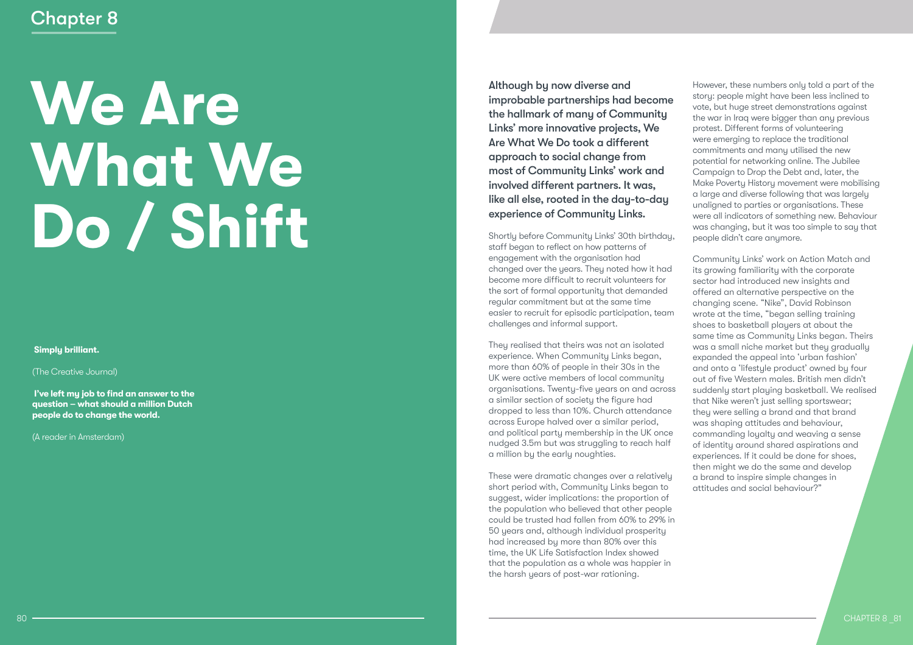# **We Are What We Do / Shift**

### **Simply brilliant.**

(The Creative Journal)

 **I've left my job to find an answer to the question – what should a million Dutch people do to change the world.** 

(A reader in Amsterdam)

Although by now diverse and improbable partnerships had become the hallmark of many of Community Links' more innovative projects, We Are What We Do took a different approach to social change from most of Community Links' work and involved different partners. It was, like all else, rooted in the day-to-day experience of Community Links.

Shortly before Community Links' 30th birthday, staff began to reflect on how patterns of engagement with the organisation had changed over the years. They noted how it had become more difficult to recruit volunteers for the sort of formal opportunity that demanded regular commitment but at the same time easier to recruit for episodic participation, team challenges and informal support.

They realised that theirs was not an isolated experience. When Community Links began, more than 60% of people in their 30s in the UK were active members of local community organisations. Twenty-five years on and across a similar section of society the figure had dropped to less than 10%. Church attendance across Europe halved over a similar period, and political party membership in the UK once nudged 3.5m but was struggling to reach half a million by the early noughties.

These were dramatic changes over a relatively short period with, Community Links began to suggest, wider implications: the proportion of the population who believed that other people could be trusted had fallen from 60% to 29% in 50 years and, although individual prosperity had increased by more than 80% over this time, the UK Life Satisfaction Index showed that the population as a whole was happier in the harsh years of post-war rationing.

However, these numbers only told a part of the story: people might have been less inclined to vote, but huge street demonstrations against the war in Iraq were bigger than any previous protest. Different forms of volunteering were emerging to replace the traditional commitments and many utilised the new potential for networking online. The Jubilee Campaign to Drop the Debt and, later, the Make Poverty History movement were mobilising a large and diverse following that was largely unaligned to parties or organisations. These were all indicators of something new. Behaviour was changing, but it was too simple to say that people didn't care anymore.

Community Links' work on Action Match and its growing familiarity with the corporate sector had introduced new insights and offered an alternative perspective on the changing scene. "Nike", David Robinson wrote at the time, "began selling training shoes to basketball players at about the same time as Community Links began. Theirs was a small niche market but they gradually expanded the appeal into 'urban fashion' and onto a 'lifestyle product' owned by four out of five Western males. British men didn't suddenly start playing basketball. We realised that Nike weren't just selling sportswear; they were selling a brand and that brand was shaping attitudes and behaviour, commanding loyalty and weaving a sense of identity around shared aspirations and experiences. If it could be done for shoes, then might we do the same and develop a brand to inspire simple changes in attitudes and social behaviour?"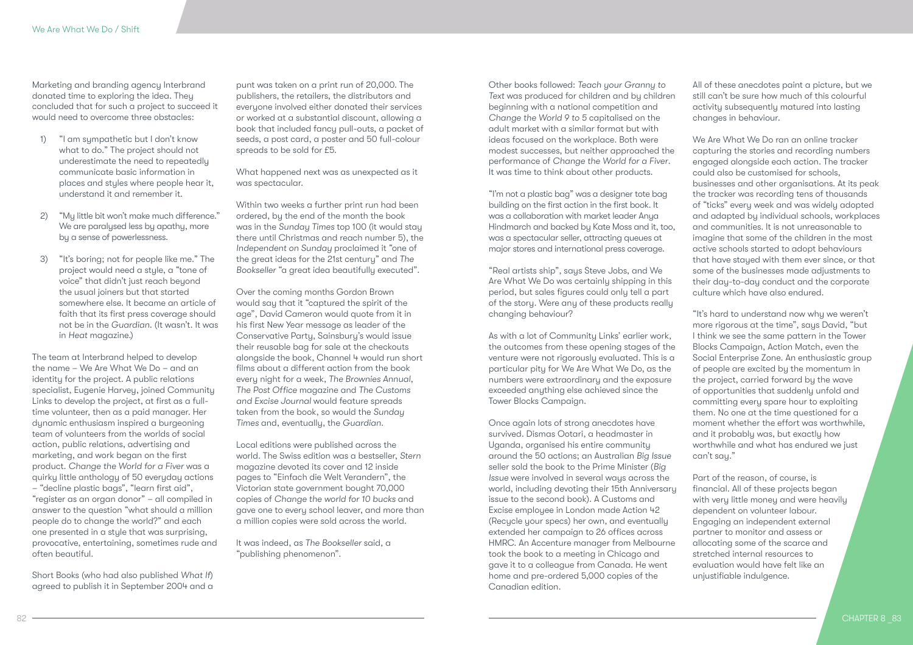Marketing and branding agency Interbrand donated time to exploring the idea. They concluded that for such a project to succeed it would need to overcome three obstacles:

- 1) "I am sympathetic but I don't know what to do." The project should not underestimate the need to repeatedly communicate basic information in places and styles where people hear it, understand it and remember it.
- 2) "My little bit won't make much difference." We are paralysed less by apathy, more by a sense of powerlessness.
- 3) "It's boring; not for people like me." The project would need a style, a "tone of voice" that didn't just reach beyond the usual joiners but that started somewhere else. It became an article of faith that its first press coverage should not be in the *Guardian*. (It wasn't. It was in *Heat* magazine.)

The team at Interbrand helped to develop the name – We Are What We Do – and an identity for the project. A public relations specialist, Eugenie Harvey, joined Community Links to develop the project, at first as a fulltime volunteer, then as a paid manager. Her dynamic enthusiasm inspired a burgeoning team of volunteers from the worlds of social action, public relations, advertising and marketing, and work began on the first product. *Change the World for a Fiver* was a quirky little anthology of 50 everyday actions – "decline plastic bags", "learn first aid", "register as an organ donor" – all compiled in answer to the question "what should a million people do to change the world?" and each one presented in a style that was surprising, provocative, entertaining, sometimes rude and often beautiful.

Short Books (who had also published *What If*) agreed to publish it in September 2004 and a

punt was taken on a print run of 20,000. The publishers, the retailers, the distributors and everyone involved either donated their services or worked at a substantial discount, allowing a book that included fancy pull-outs, a packet of seeds, a post card, a poster and 50 full-colour spreads to be sold for £5.

What happened next was as unexpected as it was spectacular.

Within two weeks a further print run had been ordered, by the end of the month the book was in the *Sunday Times* top 100 (it would stay there until Christmas and reach number 5), the *Independent on Sunday* proclaimed it "one of the great ideas for the 21st century" and *The Bookseller* "a great idea beautifully executed".

Over the coming months Gordon Brown would say that it "captured the spirit of the age", David Cameron would quote from it in his first New Year message as leader of the Conservative Party, Sainsbury's would issue their reusable bag for sale at the checkouts alongside the book, Channel 4 would run short films about a different action from the book every night for a week, *The Brownies Annual, The Post Office* magazine and *The Customs and Excise Journal* would feature spreads taken from the book, so would the *Sunday Times* and, eventually, the *Guardian.*

Local editions were published across the world. The Swiss edition was a bestseller, *Stern*  magazine devoted its cover and 12 inside pages to "Einfach die Welt Verandern", the Victorian state government bought 70,000 copies of *Change the world for 10 bucks* and gave one to every school leaver, and more than a million copies were sold across the world.

It was indeed, as *The Bookseller* said, a "publishing phenomenon".

Other books followed: *Teach your Granny to Text* was produced for children and by children beginning with a national competition and *Change the World 9 to 5* capitalised on the adult market with a similar format but with ideas focused on the workplace. Both were modest successes, but neither approached the performance of *Change the World for a Fiver*. It was time to think about other products.

"I'm not a plastic bag" was a designer tote bag building on the first action in the first book. It was a collaboration with market leader Anya Hindmarch and backed by Kate Moss and it, too, was a spectacular seller, attracting queues at major stores and international press coverage.

"Real artists ship", says Steve Jobs, and We Are What We Do was certainly shipping in this period, but sales figures could only tell a part of the story. Were any of these products really changing behaviour?

As with a lot of Community Links' earlier work, the outcomes from these opening stages of the venture were not rigorously evaluated. This is a particular pity for We Are What We Do, as the numbers were extraordinary and the exposure exceeded anything else achieved since the Tower Blocks Campaign.

Once again lots of strong anecdotes have survived. Dismas Ootari, a headmaster in Uganda, organised his entire community around the 50 actions; an Australian *Big Issue* seller sold the book to the Prime Minister (*Big Issue* were involved in several ways across the world, including devoting their 15th Anniversary issue to the second book). A Customs and Excise employee in London made Action 42 (Recycle your specs) her own, and eventually extended her campaign to 26 offices across HMRC. An Accenture manager from Melbourne took the book to a meeting in Chicago and gave it to a colleague from Canada. He went home and pre-ordered 5,000 copies of the Canadian edition.

All of these anecdotes paint a picture, but we still can't be sure how much of this colourful activity subsequently matured into lasting changes in behaviour.

We Are What We Do ran an online tracker capturing the stories and recording numbers engaged alongside each action. The tracker could also be customised for schools, businesses and other organisations. At its peak the tracker was recording tens of thousands of "ticks" every week and was widely adopted and adapted by individual schools, workplaces and communities. It is not unreasonable to imagine that some of the children in the most active schools started to adopt behaviours that have stayed with them ever since, or that some of the businesses made adjustments to their day-to-day conduct and the corporate culture which have also endured.

"It's hard to understand now why we weren't more rigorous at the time", says David, "but I think we see the same pattern in the Tower Blocks Campaign, Action Match, even the Social Enterprise Zone. An enthusiastic group of people are excited by the momentum in the project, carried forward by the wave of opportunities that suddenly unfold and committing every spare hour to exploiting them. No one at the time questioned for a moment whether the effort was worthwhile, and it probably was, but exactly how worthwhile and what has endured we just can't sau."

Part of the reason, of course, is financial. All of these projects began with very little money and were heavily dependent on volunteer labour. Engaging an independent external partner to monitor and assess or allocating some of the scarce and stretched internal resources to evaluation would have felt like an unjustifiable indulgence.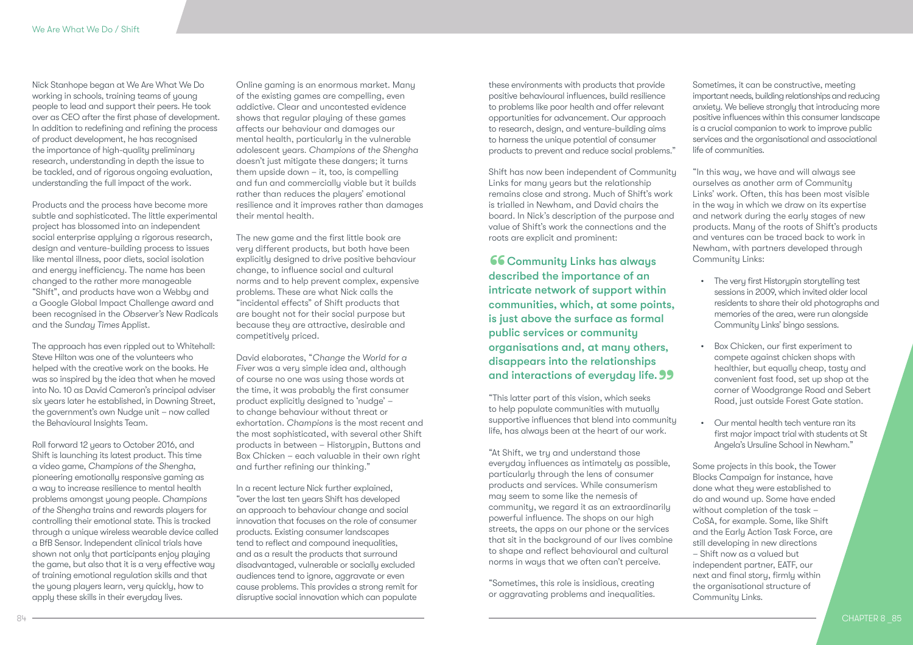Nick Stanhope began at We Are What We Do working in schools, training teams of young people to lead and support their peers. He took over as CEO after the first phase of development. In addition to redefining and refining the process of product development, he has recognised the importance of high-quality preliminary research, understanding in depth the issue to be tackled, and of rigorous ongoing evaluation, understanding the full impact of the work.

Products and the process have become more subtle and sophisticated. The little experimental project has blossomed into an independent social enterprise applying a rigorous research, design and venture-building process to issues like mental illness, poor diets, social isolation and energy inefficiency. The name has been changed to the rather more manageable "Shift", and products have won a Webby and a Google Global Impact Challenge award and been recognised in the *Observer's* New Radicals and the *Sunday Times* Applist.

The approach has even rippled out to Whitehall: Steve Hilton was one of the volunteers who helped with the creative work on the books. He was so inspired by the idea that when he moved into No. 10 as David Cameron's principal adviser six years later he established, in Downing Street, the government's own Nudge unit – now called the Behavioural Insights Team.

Roll forward 12 years to October 2016, and Shift is launching its latest product. This time a video game, *Champions of the Shengha*, pioneering emotionally responsive gaming as a way to increase resilience to mental health problems amongst young people. *Champions of the Shengha* trains and rewards players for controlling their emotional state. This is tracked through a unique wireless wearable device called a BfB Sensor. Independent clinical trials have shown not only that participants enjoy playing the game, but also that it is a very effective way of training emotional regulation skills and that the young players learn, very quickly, how to apply these skills in their everyday lives.

Online gaming is an enormous market. Many of the existing games are compelling, even addictive. Clear and uncontested evidence shows that regular playing of these games affects our behaviour and damages our mental health, particularly in the vulnerable adolescent years. *Champions of the Shengha*  doesn't just mitigate these dangers; it turns them upside down – it, too, is compelling and fun and commercially viable but it builds rather than reduces the players' emotional resilience and it improves rather than damages their mental health.

The new game and the first little book are very different products, but both have been explicitly designed to drive positive behaviour change, to influence social and cultural norms and to help prevent complex, expensive problems. These are what Nick calls the "incidental effects" of Shift products that are bought not for their social purpose but because they are attractive, desirable and competitively priced.

David elaborates, "*Change the World for a Fiver* was a very simple idea and, although of course no one was using those words at the time, it was probably the first consumer product explicitly designed to 'nudge' – to change behaviour without threat or exhortation. *Champions* is the most recent and the most sophisticated, with several other Shift products in between – Historypin, Buttons and Box Chicken – each valuable in their own right and further refining our thinking."

In a recent lecture Nick further explained, "over the last ten years Shift has developed an approach to behaviour change and social innovation that focuses on the role of consumer products. Existing consumer landscapes tend to reflect and compound inequalities, and as a result the products that surround disadvantaged, vulnerable or socially excluded audiences tend to ignore, aggravate or even cause problems. This provides a strong remit for disruptive social innovation which can populate

these environments with products that provide positive behavioural influences, build resilience to problems like poor health and offer relevant opportunities for advancement. Our approach to research, design, and venture-building aims to harness the unique potential of consumer products to prevent and reduce social problems."

Shift has now been independent of Community Links for many years but the relationship remains close and strong. Much of Shift's work is trialled in Newham, and David chairs the board. In Nick's description of the purpose and value of Shift's work the connections and the roots are explicit and prominent:

**66 Community Links has always** described the importance of an intricate network of support within communities, which, at some points, is just above the surface as formal public services or community organisations and, at many others, disappears into the relationships and interactions of everyday life. 99<br>"This latter part of this vision, which seeks

"This latter part of this vision, which seeks to help populate communities with mutually supportive influences that blend into community life, has always been at the heart of our work.

"At Shift, we try and understand those everyday influences as intimately as possible, particularly through the lens of consumer products and services. While consumerism may seem to some like the nemesis of community, we regard it as an extraordinarily powerful influence. The shops on our high streets, the apps on our phone or the services that sit in the background of our lives combine to shape and reflect behavioural and cultural norms in ways that we often can't perceive.

"Sometimes, this role is insidious, creating or aggravating problems and inequalities.

Sometimes, it can be constructive, meeting important needs, building relationships and reducing anxiety. We believe strongly that introducing more positive influences within this consumer landscape is a crucial companion to work to improve public services and the organisational and associational life of communities.

"In this way, we have and will always see ourselves as another arm of Community Links' work. Often, this has been most visible in the way in which we draw on its expertise and network during the early stages of new products. Many of the roots of Shift's products and ventures can be traced back to work in Newham, with partners developed through Community Links:

- The very first Historypin storytelling test sessions in 2009, which invited older local residents to share their old photographs and memories of the area, were run alongside Community Links' bingo sessions.
- Box Chicken, our first experiment to compete against chicken shops with healthier, but equally cheap, tasty and convenient fast food, set up shop at the corner of Woodgrange Road and Sebert Road, just outside Forest Gate station.
- Our mental health tech venture ran its first major impact trial with students at St Angela's Ursuline School in Newham."

Some projects in this book, the Tower Blocks Campaign for instance, have done what they were established to do and wound up. Some have ended without completion of the task – CoSA, for example. Some, like Shift and the Early Action Task Force, are still developing in new directions – Shift now as a valued but independent partner, EATF, our next and final story, firmly within the organisational structure of Community Links.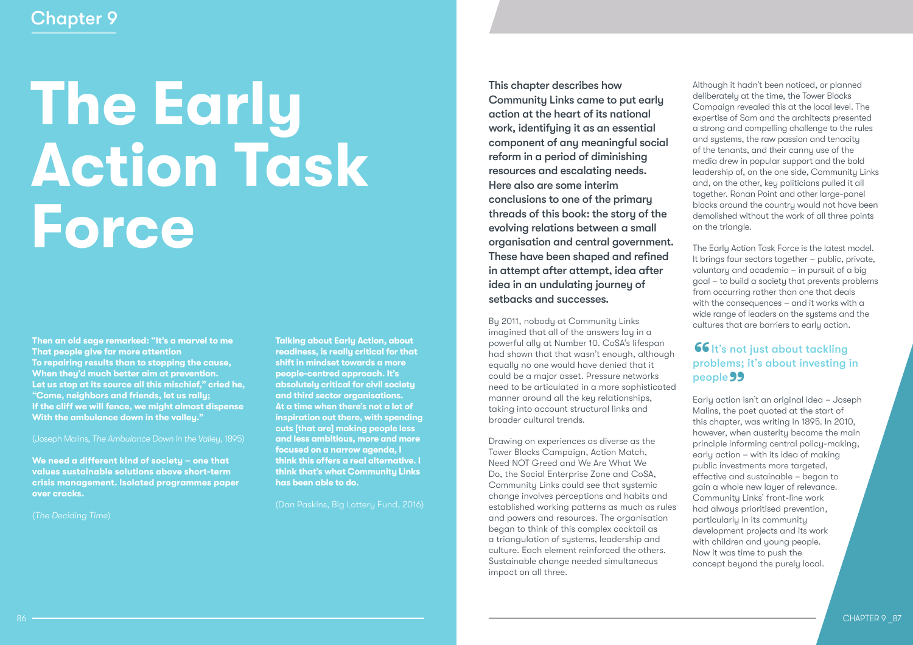# **The Early Action Task Force**

**Then an old sage remarked: "It's a marvel to me That people give far more attention To repairing results than to stopping the cause, When they'd much better aim at prevention. Let us stop at its source all this mischief," cried he, "Come, neighbors and friends, let us rally; If the cliff we will fence, we might almost dispense With the ambulance down in the valley."**

**We need a different kind of society – one that values sustainable solutions above short-term crisis management. Isolated programmes paper over cracks.**

(*The Deciding Time*)

**Talking about Early Action, about readiness, is really critical for that shift in mindset towards a more people-centred approach. It's absolutely critical for civil society and third sector organisations. At a time when there's not a lot of inspiration out there, with spending cuts [that are] making people less and less ambitious, more and more focused on a narrow agenda, I think this offers a real alternative. I think that's what Community Links has been able to do.**

(Dan Paskins, Big Lottery Fund, 2016)

This chapter describes how Community Links came to put early action at the heart of its national work, identifuing it as an essential component of any meaningful social reform in a period of diminishing resources and escalating needs. Here also are some interim conclusions to one of the primary threads of this book: the story of the evolving relations between a small organisation and central government. These have been shaped and refined in attempt after attempt, idea after idea in an undulating journey of setbacks and successes.

By 2011, nobody at Community Links imagined that all of the answers lay in a powerful ally at Number 10. CoSA's lifespan had shown that that wasn't enough, although equally no one would have denied that it could be a major asset. Pressure networks need to be articulated in a more sophisticated manner around all the key relationships, taking into account structural links and broader cultural trends.

Drawing on experiences as diverse as the Tower Blocks Campaign, Action Match, Need NOT Greed and We Are What We Do, the Social Enterprise Zone and CoSA, Community Links could see that systemic change involves perceptions and habits and established working patterns as much as rules and powers and resources. The organisation began to think of this complex cocktail as a triangulation of systems, leadership and culture. Each element reinforced the others. Sustainable change needed simultaneous impact on all three.

Although it hadn't been noticed, or planned deliberately at the time, the Tower Blocks Campaign revealed this at the local level. The expertise of Sam and the architects presented a strong and compelling challenge to the rules and systems, the raw passion and tenacity of the tenants, and their canny use of the media drew in popular support and the bold leadership of, on the one side, Community Links and, on the other, key politicians pulled it all together. Ronan Point and other large-panel blocks around the country would not have been demolished without the work of all three points on the triangle.

The Early Action Task Force is the latest model. It brings four sectors together – public, private, voluntary and academia – in pursuit of a big goal – to build a society that prevents problems from occurring rather than one that deals with the consequences – and it works with a wide range of leaders on the systems and the cultures that are barriers to early action.

### **66** It's not just about tackling<br>problems; it's about investing i problems; it's about investing in people **99** people 99<br>Early action isn't an original idea – Joseph

Malins, the poet quoted at the start of this chapter, was writing in 1895. In 2010, however, when austerity became the main principle informing central policy-making, early action – with its idea of making public investments more targeted, effective and sustainable – began to gain a whole new layer of relevance. Community Links' front-line work had always prioritised prevention, particularly in its community development projects and its work with children and young people. Now it was time to push the concept beyond the purely local.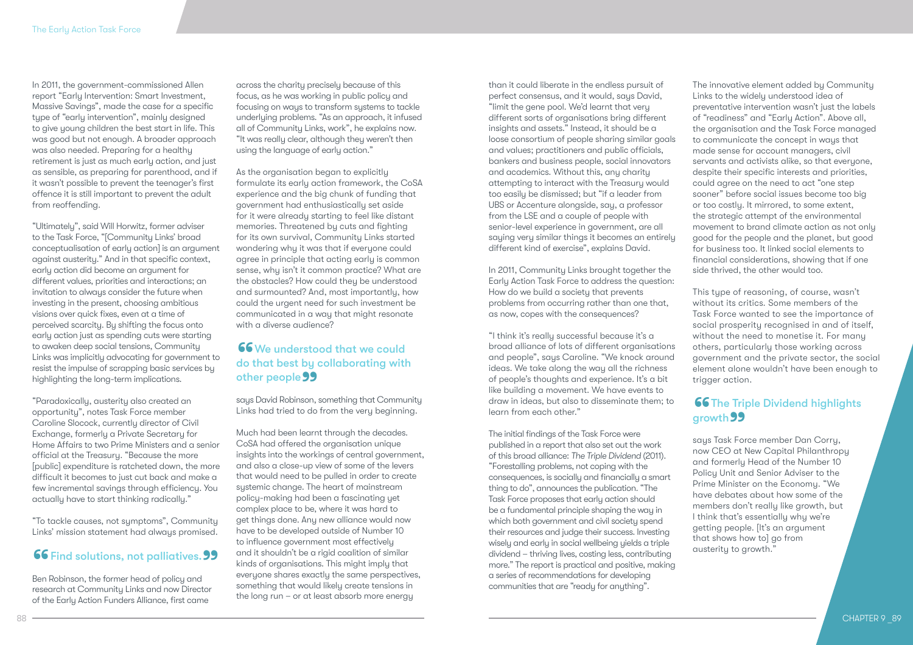In 2011, the government-commissioned Allen report "Early Intervention: Smart Investment, Massive Savings", made the case for a specific tupe of "early intervention", mainly designed to give young children the best start in life. This was good but not enough. A broader approach was also needed. Preparing for a healthy retirement is just as much early action, and just as sensible, as preparing for parenthood, and if it wasn't possible to prevent the teenager's first offence it is still important to prevent the adult from reoffending.

"Ultimately", said Will Horwitz, former adviser to the Task Force, "[Community Links' broad conceptualisation of early action] is an argument against austerity." And in that specific context, early action did become an argument for different values, priorities and interactions; an invitation to always consider the future when investing in the present, choosing ambitious visions over quick fixes, even at a time of perceived scarcity. By shifting the focus onto early action just as spending cuts were starting to awaken deep social tensions, Community Links was implicitly advocating for government to resist the impulse of scrapping basic services by highlighting the long-term implications.

"Paradoxically, austerity also created an opportunity", notes Task Force member Caroline Slocock, currently director of Civil Exchange, formerly a Private Secretary for Home Affairs to two Prime Ministers and a senior official at the Treasury. "Because the more [public] expenditure is ratcheted down, the more difficult it becomes to just cut back and make a few incremental savings through efficiency. You actually have to start thinking radically."

"To tackle causes, not symptoms", Community Links' mission statement had always promised.

# 66 Find solutions, not palliatives. 99<br>Ben Robinson, the former head of policy and

Ben Robinson, the former head of policy and research at Community Links and now Director of the Early Action Funders Alliance, first came

across the charity precisely because of this focus, as he was working in public policy and focusing on ways to transform systems to tackle underlying problems. "As an approach, it infused all of Community Links, work", he explains now. "It was really clear, although they weren't then using the language of early action."

As the organisation began to explicitly formulate its early action framework, the CoSA experience and the big chunk of funding that government had enthusiastically set aside for it were already starting to feel like distant memories. Threatened by cuts and fighting for its own survival, Community Links started wondering why it was that if everyone could agree in principle that acting early is common sense, why isn't it common practice? What are the obstacles? How could they be understood and surmounted? And, most importantly, how could the urgent need for such investment be communicated in a way that might resonate with a diverse audience?

### **66** We understood that we could<br>do that best by collaborating with<br>other people **99** do that best by collaborating with other people 99 other people 99<br>|<br>|<br>| says David Robinson, something that Community

Links had tried to do from the very beginning.

Much had been learnt through the decades. CoSA had offered the organisation unique insights into the workings of central government, and also a close-up view of some of the levers that would need to be pulled in order to create systemic change. The heart of mainstream policy-making had been a fascinating yet complex place to be, where it was hard to get things done. Any new alliance would now have to be developed outside of Number 10 to influence government most effectively and it shouldn't be a rigid coalition of similar kinds of organisations. This might imply that everyone shares exactly the same perspectives, something that would likely create tensions in the long run – or at least absorb more energy

than it could liberate in the endless pursuit of perfect consensus, and it would, says David, "limit the gene pool. We'd learnt that very different sorts of organisations bring different insights and assets." Instead, it should be a loose consortium of people sharing similar goals and values; practitioners and public officials, bankers and business people, social innovators and academics. Without this, any charity attempting to interact with the Treasury would too easily be dismissed; but "if a leader from UBS or Accenture alongside, say, a professor from the LSE and a couple of people with senior-level experience in government, are all saying very similar things it becomes an entirely different kind of exercise", explains David.

In 2011, Community Links brought together the Early Action Task Force to address the question: How do we build a society that prevents problems from occurring rather than one that, as now, copes with the consequences?

"I think it's really successful because it's a broad alliance of lots of different organisations and people", says Caroline. "We knock around ideas. We take along the way all the richness of people's thoughts and experience. It's a bit like building a movement. We have events to draw in ideas, but also to disseminate them; to learn from each other."

The initial findings of the Task Force were published in a report that also set out the work of this broad alliance: *The Triple Dividend* (2011). "Forestalling problems, not coping with the consequences, is socially and financially a smart thing to do", announces the publication. "The Task Force proposes that early action should be a fundamental principle shaping the way in which both government and civil society spend their resources and judge their success. Investing wisely and early in social wellbeing yields a triple dividend – thriving lives, costing less, contributing more." The report is practical and positive, making a series of recommendations for developing communities that are "ready for anything".

The innovative element added by Community Links to the widely understood idea of preventative intervention wasn't just the labels of "readiness" and "Early Action". Above all, the organisation and the Task Force managed to communicate the concept in ways that made sense for account managers, civil servants and activists alike, so that everyone, despite their specific interests and priorities, could agree on the need to act "one step sooner" before social issues become too big or too costly. It mirrored, to some extent, the strategic attempt of the environmental movement to brand climate action as not only good for the people and the planet, but good for business too. It linked social elements to financial considerations, showing that if one side thrived, the other would too.

This type of reasoning, of course, wasn't without its critics. Some members of the Task Force wanted to see the importance of social prosperity recognised in and of itself, without the need to monetise it. For many others, particularly those working across government and the private sector, the social element alone wouldn't have been enough to trigger action.

# **66 The Triple Dividend highlights growth 99**<br>says Task For

says Task Force member Dan Corry, now CEO at New Capital Philanthropy and formerly Head of the Number 10 Policy Unit and Senior Adviser to the Prime Minister on the Economy. "We have debates about how some of the members don't really like growth, but I think that's essentially why we're getting people. [It's an argument that shows how to] go from austerity to growth."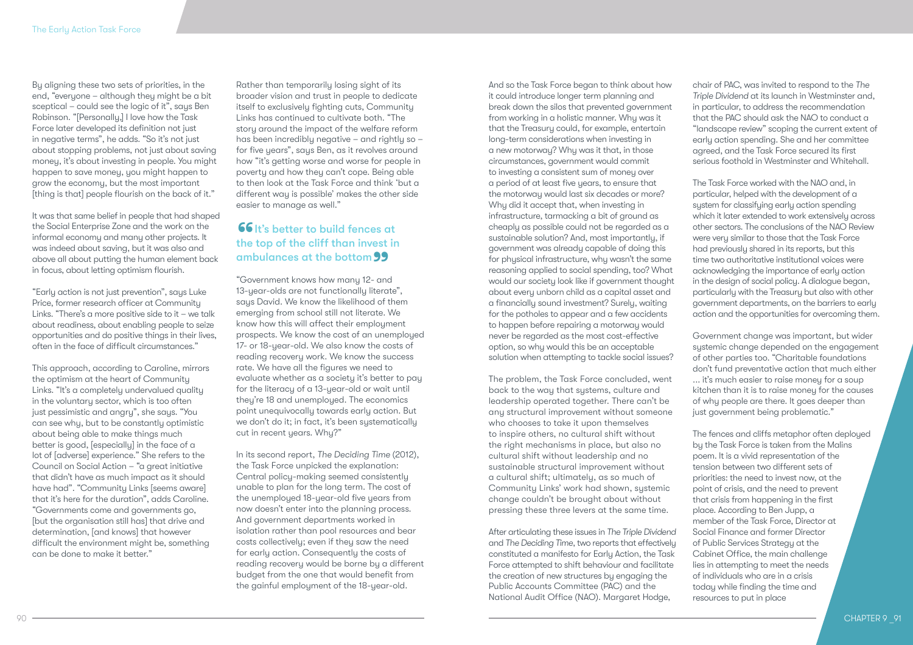By aligning these two sets of priorities, in the end, "everyone – although they might be a bit sceptical – could see the logic of it", says Ben Robinson. "[Personally,] I love how the Task Force later developed its definition not just in negative terms", he adds. "So it's not just about stopping problems, not just about saving money, it's about investing in people. You might happen to save money, you might happen to grow the economy, but the most important [thing is that] people flourish on the back of it."

It was that same belief in people that had shaped the Social Enterprise Zone and the work on the informal economy and many other projects. It was indeed about saving, but it was also and above all about putting the human element back in focus, about letting optimism flourish.

"Early action is not just prevention", says Luke Price, former research officer at Community Links. "There's a more positive side to it – we talk about readiness, about enabling people to seize opportunities and do positive things in their lives, often in the face of difficult circumstances."

This approach, according to Caroline, mirrors the optimism at the heart of Community Links. "It's a completely undervalued quality in the voluntary sector, which is too often just pessimistic and angry", she says. "You can see why, but to be constantly optimistic about being able to make things much better is good, [especially] in the face of a lot of [adverse] experience." She refers to the Council on Social Action – "a great initiative that didn't have as much impact as it should have had". "Community Links [seems aware] that it's here for the duration", adds Caroline. "Governments come and governments go, [but the organisation still has] that drive and determination, [and knows] that however difficult the environment might be, something can be done to make it better."

Rather than temporarily losing sight of its broader vision and trust in people to dedicate itself to exclusively fighting cuts, Community Links has continued to cultivate both. "The story around the impact of the welfare reform has been incredibly negative – and rightly so – for five years", says Ben, as it revolves around how "it's getting worse and worse for people in poverty and how they can't cope. Being able to then look at the Task Force and think 'but a different way is possible' makes the other side easier to manage as well."

### **66** It's better to build fences at<br>the top of the cliff than invest in<br>ambulances at the bottom the top of the cliff than invest in ambulances at the bottom ambulances at the bottom **99**<br>"Government knows how many 12- and

13-year-olds are not functionally literate", says David. We know the likelihood of them emerging from school still not literate. We know how this will affect their employment prospects. We know the cost of an unemployed 17- or 18-year-old. We also know the costs of reading recovery work. We know the success rate. We have all the figures we need to evaluate whether as a society it's better to pay for the literacy of a 13-year-old or wait until they're 18 and unemployed. The economics point unequivocally towards early action. But we don't do it; in fact, it's been systematically cut in recent years. Why?"

In its second report, *The Deciding Time* (2012), the Task Force unpicked the explanation: Central policy-making seemed consistently unable to plan for the long term. The cost of the unemployed 18-year-old five years from now doesn't enter into the planning process. And government departments worked in isolation rather than pool resources and bear costs collectively; even if they saw the need for early action. Consequently the costs of reading recovery would be borne by a different budget from the one that would benefit from the gainful employment of the 18-year-old.

And so the Task Force began to think about how it could introduce longer term planning and break down the silos that prevented government from working in a holistic manner. Why was it that the Treasury could, for example, entertain long-term considerations when investing in a new motorway? Why was it that, in those circumstances, government would commit to investing a consistent sum of money over a period of at least five years, to ensure that the motorway would last six decades or more? Why did it accept that, when investing in infrastructure, tarmacking a bit of ground as cheaply as possible could not be regarded as a sustainable solution? And, most importantly, if government was already capable of doing this for physical infrastructure, why wasn't the same reasoning applied to social spending, too? What would our society look like if government thought about every unborn child as a capital asset and a financially sound investment? Surely, waiting for the potholes to appear and a few accidents to happen before repairing a motorway would never be regarded as the most cost-effective option, so why would this be an acceptable solution when attempting to tackle social issues?

The problem, the Task Force concluded, went back to the way that systems, culture and leadership operated together. There can't be any structural improvement without someone who chooses to take it upon themselves to inspire others, no cultural shift without the right mechanisms in place, but also no cultural shift without leadership and no sustainable structural improvement without a cultural shift; ultimately, as so much of Community Links' work had shown, systemic change couldn't be brought about without pressing these three levers at the same time.

After articulating these issues in *The Triple Dividend* and *The Deciding Time*, two reports that effectively constituted a manifesto for Early Action, the Task Force attempted to shift behaviour and facilitate the creation of new structures by engaging the Public Accounts Committee (PAC) and the National Audit Office (NAO). Margaret Hodge,

chair of PAC, was invited to respond to the *The Triple Dividend* at its launch in Westminster and, in particular, to address the recommendation that the PAC should ask the NAO to conduct a "landscape review" scoping the current extent of early action spending. She and her committee agreed, and the Task Force secured its first serious foothold in Westminster and Whitehall.

The Task Force worked with the NAO and, in particular, helped with the development of a system for classifying early action spending which it later extended to work extensively across other sectors. The conclusions of the NAO Review were very similar to those that the Task Force had previously shared in its reports, but this time two authoritative institutional voices were acknowledging the importance of early action in the design of social policy. A dialogue began, particularly with the Treasury but also with other government departments, on the barriers to early action and the opportunities for overcoming them.

Government change was important, but wider systemic change depended on the engagement of other parties too. "Charitable foundations don't fund preventative action that much either ... it's much easier to raise money for a soup kitchen than it is to raise money for the causes of why people are there. It goes deeper than just government being problematic."

The fences and cliffs metaphor often deployed by the Task Force is taken from the Malins poem. It is a vivid representation of the tension between two different sets of priorities: the need to invest now, at the point of crisis, and the need to prevent that crisis from happening in the first place. According to Ben Jupp, a member of the Task Force, Director at Social Finance and former Director of Public Services Strategy at the Cabinet Office, the main challenge lies in attempting to meet the needs of individuals who are in a crisis today while finding the time and resources to put in place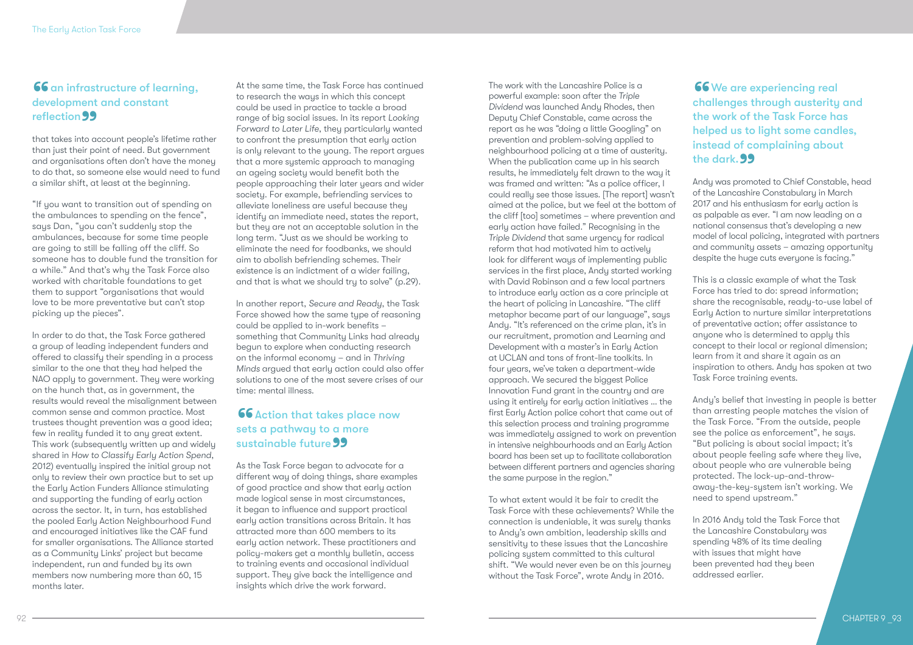### 66 an infrastructure of learning, development and constant reflection 99 **reflection 99**<br>that takes into account people's lifetime rather

than just their point of need. But government and organisations often don't have the money to do that, so someone else would need to fund a similar shift, at least at the beginning.

"If you want to transition out of spending on the ambulances to spending on the fence", says Dan, "you can't suddenly stop the ambulances, because for some time people are going to still be falling off the cliff. So someone has to double fund the transition for a while." And that's why the Task Force also worked with charitable foundations to get them to support "organisations that would love to be more preventative but can't stop picking up the pieces".

In order to do that, the Task Force gathered a group of leading independent funders and offered to classify their spending in a process similar to the one that they had helped the NAO apply to government. They were working on the hunch that, as in government, the results would reveal the misalignment between common sense and common practice. Most trustees thought prevention was a good idea; few in reality funded it to any great extent. This work (subsequently written up and widely shared in *How to Classify Early Action Spend*, 2012) eventually inspired the initial group not only to review their own practice but to set up the Early Action Funders Alliance stimulating and supporting the funding of early action across the sector. It, in turn, has established the pooled Early Action Neighbourhood Fund and encouraged initiatives like the CAF fund for smaller organisations. The Alliance started as a Community Links' project but became independent, run and funded by its own members now numbering more than 60, 15 months later.

At the same time, the Task Force has continued to research the ways in which this concept could be used in practice to tackle a broad range of big social issues. In its report *Looking Forward to Later Life*, they particularly wanted to confront the presumption that early action is only relevant to the young. The report argues that a more systemic approach to managing an ageing society would benefit both the people approaching their later years and wider society. For example, befriending services to alleviate loneliness are useful because they identify an immediate need, states the report, but they are not an acceptable solution in the long term. "Just as we should be working to eliminate the need for foodbanks, we should aim to abolish befriending schemes. Their existence is an indictment of a wider failing, and that is what we should try to solve" (p.29).

In another report, *Secure and Ready*, the Task Force showed how the same type of reasoning could be applied to in-work benefits – something that Community Links had already begun to explore when conducting research on the informal economy – and in *Thriving Minds* argued that early action could also offer solutions to one of the most severe crises of our time: mental illness.

### 66 Action that takes place now sets a pathway to a more sustainable future 99 sustainable future 99<br>As the Task Force began to advocate for a

different way of doing things, share examples of good practice and show that early action made logical sense in most circumstances, it began to influence and support practical early action transitions across Britain. It has attracted more than 600 members to its early action network. These practitioners and policy-makers get a monthly bulletin, access to training events and occasional individual support. They give back the intelligence and insights which drive the work forward.

The work with the Lancashire Police is a powerful example: soon after the *Triple Dividend* was launched Andy Rhodes, then Deputy Chief Constable, came across the report as he was "doing a little Googling" on prevention and problem-solving applied to neighbourhood policing at a time of austerity. When the publication came up in his search results, he immediately felt drawn to the way it was framed and written: "As a police officer, I could really see those issues. [The report] wasn't aimed at the police, but we feel at the bottom of the cliff [too] sometimes – where prevention and early action have failed." Recognising in the *Triple Dividend* that same urgency for radical reform that had motivated him to actively look for different ways of implementing public services in the first place, Andy started working with David Robinson and a few local partners to introduce early action as a core principle at the heart of policing in Lancashire. "The cliff metaphor became part of our language", says Andy. "It's referenced on the crime plan, it's in our recruitment, promotion and Learning and Development with a master's in Early Action at UCLAN and tons of front-line toolkits. In four years, we've taken a department-wide approach. We secured the biggest Police Innovation Fund grant in the country and are using it entirely for early action initiatives … the first Early Action police cohort that came out of this selection process and training programme was immediately assigned to work on prevention in intensive neighbourhoods and an Early Action board has been set up to facilitate collaboration between different partners and agencies sharing the same purpose in the region."

To what extent would it be fair to credit the Task Force with these achievements? While the connection is undeniable, it was surely thanks to Andy's own ambition, leadership skills and sensitivity to these issues that the Lancashire policing system committed to this cultural shift. "We would never even be on this journey without the Task Force", wrote Andy in 2016.

**66** We are experiencing real challenges through austerity and the work of the Task Force has helped us to light some candles. instead of complaining about t<mark>he dark. **99**<br>Andy was promo</mark>

Andy was promoted to Chief Constable, head of the Lancashire Constabulary in March 2017 and his enthusiasm for early action is as palpable as ever. "I am now leading on a national consensus that's developing a new model of local policing, integrated with partners and community assets – amazing opportunity despite the huge cuts everyone is facing."

This is a classic example of what the Task Force has tried to do: spread information; share the recognisable, ready-to-use label of Early Action to nurture similar interpretations of preventative action; offer assistance to anyone who is determined to apply this concept to their local or regional dimension; learn from it and share it again as an inspiration to others. Andy has spoken at two Task Force training events.

Andy's belief that investing in people is better than arresting people matches the vision of the Task Force. "From the outside, people see the police as enforcement", he says. "But policing is about social impact; it's about people feeling safe where they live, about people who are vulnerable being protected. The lock-up-and-throwaway-the-key-system isn't working. We need to spend upstream."

In 2016 Andy told the Task Force that the Lancashire Constabulary was spending 48% of its time dealing with issues that might have been prevented had they been addressed earlier.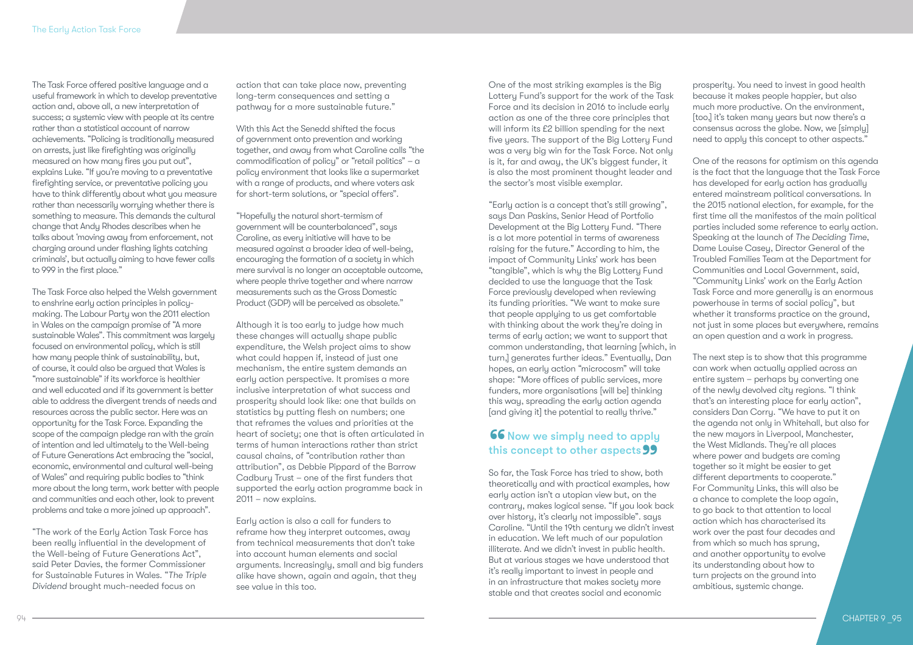The Task Force offered positive language and a useful framework in which to develop preventative action and, above all, a new interpretation of success; a systemic view with people at its centre rather than a statistical account of narrow achievements. "Policing is traditionally measured on arrests, just like firefighting was originally measured on how many fires you put out", explains Luke. "If you're moving to a preventative firefighting service, or preventative policing you have to think differently about what you measure rather than necessarily worrying whether there is something to measure. This demands the cultural change that Andy Rhodes describes when he talks about 'moving away from enforcement, not charging around under flashing lights catching criminals', but actually aiming to have fewer calls to 999 in the first place."

The Task Force also helped the Welsh government to enshrine early action principles in policymaking. The Labour Party won the 2011 election in Wales on the campaign promise of "A more sustainable Wales". This commitment was largely focused on environmental policy, which is still how many people think of sustainability, but, of course, it could also be argued that Wales is "more sustainable" if its workforce is healthier and well educated and if its government is better able to address the divergent trends of needs and resources across the public sector. Here was an opportunity for the Task Force. Expanding the scope of the campaign pledge ran with the grain of intention and led ultimately to the Well-being of Future Generations Act embracing the "social, economic, environmental and cultural well-being of Wales" and requiring public bodies to "think more about the long term, work better with people and communities and each other, look to prevent problems and take a more joined up approach".

"The work of the Early Action Task Force has been really influential in the development of the Well-being of Future Generations Act", said Peter Davies, the former Commissioner for Sustainable Futures in Wales. "*The Triple Dividend* brought much-needed focus on

action that can take place now, preventing long-term consequences and setting a pathway for a more sustainable future."

With this Act the Senedd shifted the focus of government onto prevention and working together, and away from what Caroline calls "the commodification of policy" or "retail politics" – a policy environment that looks like a supermarket with a range of products, and where voters ask for short-term solutions, or "special offers".

"Hopefully the natural short-termism of government will be counterbalanced", says Caroline, as every initiative will have to be measured against a broader idea of well-being, encouraging the formation of a society in which mere survival is no longer an acceptable outcome, where people thrive together and where narrow measurements such as the Gross Domestic Product (GDP) will be perceived as obsolete."

Although it is too early to judge how much these changes will actually shape public expenditure, the Welsh project aims to show what could happen if, instead of just one mechanism, the entire system demands an early action perspective. It promises a more inclusive interpretation of what success and prosperity should look like: one that builds on statistics by putting flesh on numbers; one that reframes the values and priorities at the heart of society; one that is often articulated in terms of human interactions rather than strict causal chains, of "contribution rather than attribution", as Debbie Pippard of the Barrow Cadbury Trust – one of the first funders that supported the early action programme back in 2011 – now explains.

Early action is also a call for funders to reframe how they interpret outcomes, away from technical measurements that don't take into account human elements and social arguments. Increasingly, small and big funders alike have shown, again and again, that they see value in this too.

One of the most striking examples is the Big Lottery Fund's support for the work of the Task Force and its decision in 2016 to include early action as one of the three core principles that will inform its £2 billion spending for the next five years. The support of the Big Lottery Fund was a very big win for the Task Force. Not only is it, far and away, the UK's biggest funder, it is also the most prominent thought leader and the sector's most visible exemplar.

"Early action is a concept that's still growing", says Dan Paskins, Senior Head of Portfolio Development at the Big Lottery Fund. "There is a lot more potential in terms of awareness raising for the future." According to him, the impact of Community Links' work has been "tangible", which is why the Big Lottery Fund decided to use the language that the Task Force previously developed when reviewing its funding priorities. "We want to make sure that people applying to us get comfortable with thinking about the work they're doing in terms of early action; we want to support that common understanding, that learning [which, in turn,] generates further ideas." Eventually, Dan hopes, an early action "microcosm" will take shape: "More offices of public services, more funders, more organisations [will be] thinking this way, spreading the early action agenda [and giving it] the potential to really thrive."

# 66 Now we simply need to apply

this concept to other aspects **99**<br>So far, the Task Force has tried to show, bot So far, the Task Force has tried to show, both theoretically and with practical examples, how early action isn't a utopian view but, on the contrary, makes logical sense. "If you look back over history, it's clearly not impossible". says Caroline. "Until the 19th century we didn't invest in education. We left much of our population illiterate. And we didn't invest in public health. But at various stages we have understood that it's really important to invest in people and in an infrastructure that makes society more stable and that creates social and economic

prosperity. You need to invest in good health because it makes people happier, but also much more productive. On the environment, [too,] it's taken many years but now there's a consensus across the globe. Now, we [simply] need to apply this concept to other aspects."

One of the reasons for optimism on this agenda is the fact that the language that the Task Force has developed for early action has gradually entered mainstream political conversations. In the 2015 national election, for example, for the first time all the manifestos of the main political parties included some reference to early action. Speaking at the launch of *The Deciding Time*, Dame Louise Casey, Director General of the Troubled Families Team at the Department for Communities and Local Government, said, "Community Links' work on the Early Action Task Force and more generally is an enormous powerhouse in terms of social policy", but whether it transforms practice on the ground, not just in some places but everywhere, remains an open question and a work in progress.

The next step is to show that this programme can work when actually applied across an entire system – perhaps by converting one of the newly devolved city regions. "I think that's an interesting place for early action", considers Dan Corry. "We have to put it on the agenda not only in Whitehall, but also for the new mayors in Liverpool, Manchester, the West Midlands. They're all places where power and budgets are coming together so it might be easier to get different departments to cooperate." For Community Links, this will also be a chance to complete the loop again, to go back to that attention to local action which has characterised its work over the past four decades and from which so much has sprung, and another opportunity to evolve its understanding about how to turn projects on the ground into ambitious, systemic change.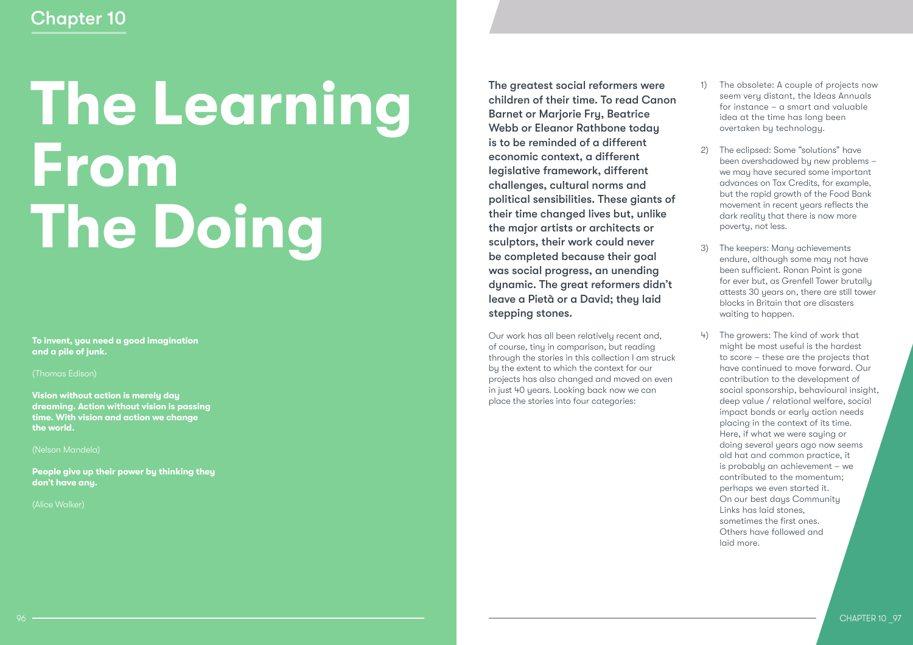# **The Learning From The Doing**

**To invent, you need a good imagination and a pile of junk.** 

(Thomas Edison)

**Vision without action is merely day dreaming. Action without vision is passing time. With vision and action we change the world.** 

(Nelson Mandela)

**People give up their power by thinking they don't have any.** 

(Alice Walker)

The greatest social reformers were children of their time. To read Canon Barnet or Marjorie Fry, Beatrice Webb or Eleanor Rathbone today is to be reminded of a different economic context, a different legislative framework, different challenges, cultural norms and political sensibilities. These giants of their time changed lives but, unlike the major artists or architects or sculptors, their work could never be completed because their goal was social progress, an unending dynamic. The great reformers didn't leave a Pietà or a David; they laid stepping stones.

Our work has all been relatively recent and, of course, tiny in comparison, but reading through the stories in this collection I am struck by the extent to which the context for our projects has also changed and moved on even in just 40 years. Looking back now we can place the stories into four categories:

- 1) The obsolete: A couple of projects now seem very distant, the Ideas Annuals for instance – a smart and valuable idea at the time has long been overtaken by technology.
- 2) The eclipsed: Some "solutions" have been overshadowed by new problems – we may have secured some important advances on Tax Credits, for example, but the rapid growth of the Food Bank movement in recent years reflects the dark reality that there is now more poverty, not less.
- 3) The keepers: Many achievements endure, although some may not have been sufficient. Ronan Point is gone for ever but, as Grenfell Tower brutally attests 30 years on, there are still tower blocks in Britain that are disasters waiting to happen.
- 4) The growers: The kind of work that might be most useful is the hardest to score – these are the projects that have continued to move forward. Our contribution to the development of social sponsorship, behavioural insight, deep value / relational welfare, social impact bonds or early action needs placing in the context of its time. Here, if what we were saying or doing several years ago now seems old hat and common practice, it is probably an achievement – we contributed to the momentum; perhaps we even started it. On our best days Community Links has laid stones, sometimes the first ones. Others have followed and laid more.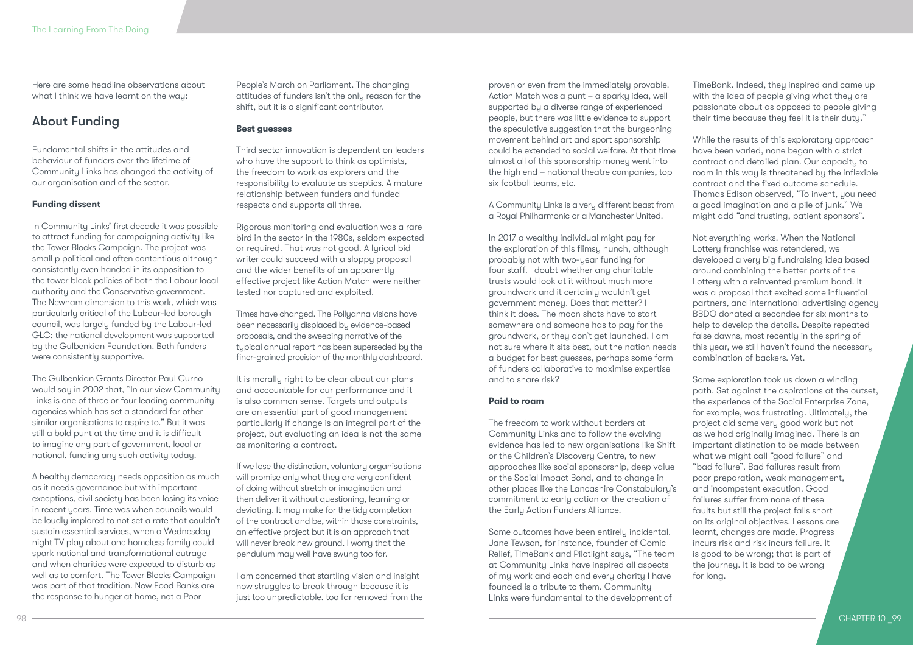Here are some headline observations about what I think we have learnt on the way:

### About Funding

Fundamental shifts in the attitudes and behaviour of funders over the lifetime of Community Links has changed the activity of our organisation and of the sector.

### **Funding dissent**

In Community Links' first decade it was possible to attract funding for campaigning activity like the Tower Blocks Campaign. The project was small p political and often contentious although consistently even handed in its opposition to the tower block policies of both the Labour local authority and the Conservative government. The Newham dimension to this work, which was particularly critical of the Labour-led borough council, was largely funded by the Labour-led GLC; the national development was supported by the Gulbenkian Foundation. Both funders were consistently supportive.

The Gulbenkian Grants Director Paul Curno would say in 2002 that, "In our view Community Links is one of three or four leading community agencies which has set a standard for other similar organisations to aspire to." But it was still a bold punt at the time and it is difficult to imagine any part of government, local or national, funding any such activity today.

A healthy democracy needs opposition as much as it needs governance but with important exceptions, civil society has been losing its voice in recent years. Time was when councils would be loudly implored to not set a rate that couldn't sustain essential services, when a Wednesday night TV play about one homeless family could spark national and transformational outrage and when charities were expected to disturb as well as to comfort. The Tower Blocks Campaign was part of that tradition. Now Food Banks are the response to hunger at home, not a Poor

People's March on Parliament. The changing attitudes of funders isn't the only reason for the shift, but it is a significant contributor.

### **Best guesses**

Third sector innovation is dependent on leaders who have the support to think as optimists, the freedom to work as explorers and the responsibility to evaluate as sceptics. A mature relationship between funders and funded respects and supports all three.

Rigorous monitoring and evaluation was a rare bird in the sector in the 1980s, seldom expected or required. That was not good. A lyrical bid writer could succeed with a sloppy proposal and the wider benefits of an apparently effective project like Action Match were neither tested nor captured and exploited.

Times have changed. The Pollyanna visions have been necessarily displaced by evidence-based proposals, and the sweeping narrative of the typical annual report has been superseded by the finer-grained precision of the monthly dashboard.

It is morally right to be clear about our plans and accountable for our performance and it is also common sense. Targets and outputs are an essential part of good management particularly if change is an integral part of the project, but evaluating an idea is not the same as monitoring a contract.

If we lose the distinction, voluntary organisations will promise only what they are very confident of doing without stretch or imagination and then deliver it without questioning, learning or deviating. It may make for the tidy completion of the contract and be, within those constraints, an effective project but it is an approach that will never break new ground. I worry that the pendulum may well have swung too far.

I am concerned that startling vision and insight now struggles to break through because it is just too unpredictable, too far removed from the

proven or even from the immediately provable. Action Match was a punt – a sparky idea, well supported by a diverse range of experienced people, but there was little evidence to support the speculative suggestion that the burgeoning movement behind art and sport sponsorship could be extended to social welfare. At that time almost all of this sponsorship money went into the high end – national theatre companies, top six football teams, etc.

A Community Links is a very different beast from a Royal Philharmonic or a Manchester United.

In 2017 a wealthy individual might pay for the exploration of this flimsy hunch, although probably not with two-year funding for four staff. I doubt whether any charitable trusts would look at it without much more groundwork and it certainly wouldn't get government money. Does that matter? I think it does. The moon shots have to start somewhere and someone has to pay for the groundwork, or they don't get launched. I am not sure where it sits best, but the nation needs a budget for best guesses, perhaps some form of funders collaborative to maximise expertise and to share risk?

### **Paid to roam**

The freedom to work without borders at Community Links and to follow the evolving evidence has led to new organisations like Shift or the Children's Discovery Centre, to new approaches like social sponsorship, deep value or the Social Impact Bond, and to change in other places like the Lancashire Constabulary's commitment to early action or the creation of the Early Action Funders Alliance.

Some outcomes have been entirely incidental. Jane Tewson, for instance, founder of Comic Relief, TimeBank and Pilotlight says, "The team at Community Links have inspired all aspects of my work and each and every charity I have founded is a tribute to them. Community Links were fundamental to the development of

TimeBank. Indeed, they inspired and came up with the idea of people giving what they are passionate about as opposed to people giving their time because they feel it is their duty."

While the results of this exploratory approach have been varied, none began with a strict contract and detailed plan. Our capacity to roam in this way is threatened by the inflexible contract and the fixed outcome schedule. Thomas Edison observed, "To invent, you need a good imagination and a pile of junk." We might add "and trusting, patient sponsors".

Not everything works. When the National Lottery franchise was retendered, we developed a very big fundraising idea based around combining the better parts of the Lottery with a reinvented premium bond. It was a proposal that excited some influential partners, and international advertising agency BBDO donated a secondee for six months to help to develop the details. Despite repeated false dawns, most recently in the spring of this year, we still haven't found the necessary combination of backers. Yet.

Some exploration took us down a winding path. Set against the aspirations at the outset, the experience of the Social Enterprise Zone, for example, was frustrating. Ultimately, the project did some very good work but not as we had originally imagined. There is an important distinction to be made between what we might call "good failure" and "bad failure". Bad failures result from poor preparation, weak management, and incompetent execution. Good failures suffer from none of these faults but still the project falls short on its original objectives. Lessons are learnt, changes are made. Progress incurs risk and risk incurs failure. It is good to be wrong; that is part of the journey. It is bad to be wrong for long.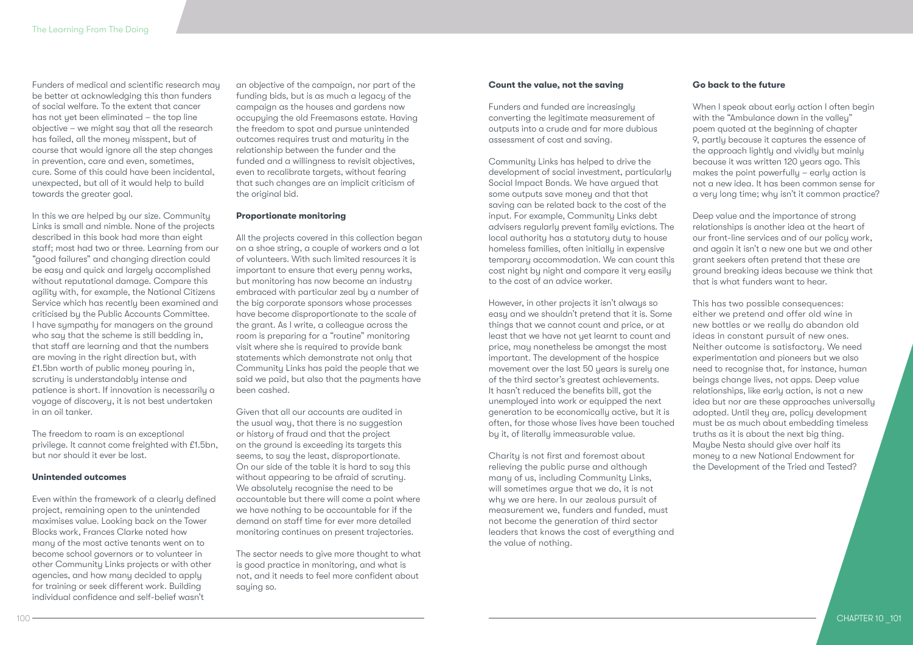Funders of medical and scientific research may be better at acknowledging this than funders of social welfare. To the extent that cancer has not yet been eliminated – the top line objective – we might say that all the research has failed, all the money misspent, but of course that would ignore all the step changes in prevention, care and even, sometimes, cure. Some of this could have been incidental, unexpected, but all of it would help to build towards the greater goal.

In this we are helped by our size. Community Links is small and nimble. None of the projects described in this book had more than eight staff; most had two or three. Learning from our "good failures" and changing direction could be easy and quick and largely accomplished without reputational damage. Compare this agility with, for example, the National Citizens Service which has recently been examined and criticised by the Public Accounts Committee. I have sympathy for managers on the ground who say that the scheme is still bedding in, that staff are learning and that the numbers are moving in the right direction but, with £1.5bn worth of public money pouring in, scrutiny is understandably intense and patience is short. If innovation is necessarily a voyage of discovery, it is not best undertaken in an oil tanker.

The freedom to roam is an exceptional privilege. It cannot come freighted with £1.5bn, but nor should it ever be lost.

### **Unintended outcomes**

Even within the framework of a clearly defined project, remaining open to the unintended maximises value. Looking back on the Tower Blocks work, Frances Clarke noted how many of the most active tenants went on to become school governors or to volunteer in other Community Links projects or with other agencies, and how many decided to apply for training or seek different work. Building individual confidence and self-belief wasn't

an objective of the campaign, nor part of the funding bids, but is as much a legacy of the campaign as the houses and gardens now occupying the old Freemasons estate. Having the freedom to spot and pursue unintended outcomes requires trust and maturity in the relationship between the funder and the funded and a willingness to revisit objectives, even to recalibrate targets, without fearing that such changes are an implicit criticism of the original bid.

### **Proportionate monitoring**

All the projects covered in this collection began on a shoe string, a couple of workers and a lot of volunteers. With such limited resources it is important to ensure that every penny works. but monitoring has now become an industry embraced with particular zeal by a number of the big corporate sponsors whose processes have become disproportionate to the scale of the grant. As I write, a colleague across the room is preparing for a "routine" monitoring visit where she is required to provide bank statements which demonstrate not only that Community Links has paid the people that we said we paid, but also that the payments have been cashed.

Given that all our accounts are audited in the usual way, that there is no suggestion or history of fraud and that the project on the ground is exceeding its targets this seems, to say the least, disproportionate. On our side of the table it is hard to say this without appearing to be afraid of scrutiny. We absolutely recognise the need to be accountable but there will come a point where we have nothing to be accountable for if the demand on staff time for ever more detailed monitoring continues on present trajectories.

The sector needs to give more thought to what is good practice in monitoring, and what is not, and it needs to feel more confident about saying so.

### **Count the value, not the saving**

Funders and funded are increasingly converting the legitimate measurement of outputs into a crude and far more dubious assessment of cost and saving.

Community Links has helped to drive the development of social investment, particularly Social Impact Bonds. We have argued that some outputs save money and that that saving can be related back to the cost of the input. For example, Community Links debt advisers regularly prevent family evictions. The local authority has a statutory duty to house homeless families, often initially in expensive temporary accommodation. We can count this cost night by night and compare it very easily to the cost of an advice worker.

However, in other projects it isn't always so easy and we shouldn't pretend that it is. Some things that we cannot count and price, or at least that we have not yet learnt to count and price, may nonetheless be amongst the most important. The development of the hospice movement over the last 50 years is surely one of the third sector's greatest achievements. It hasn't reduced the benefits bill, got the unemployed into work or equipped the next generation to be economically active, but it is often, for those whose lives have been touched by it, of literally immeasurable value.

Charity is not first and foremost about relieving the public purse and although many of us, including Community Links, will sometimes argue that we do, it is not why we are here. In our zealous pursuit of measurement we, funders and funded, must not become the generation of third sector leaders that knows the cost of everything and the value of nothing.

### **Go back to the future**

When I speak about early action I often begin with the "Ambulance down in the valley" poem quoted at the beginning of chapter 9, partly because it captures the essence of the approach lightly and vividly but mainly because it was written 120 years ago. This makes the point powerfully – early action is not a new idea. It has been common sense for a very long time; why isn't it common practice?

Deep value and the importance of strong relationships is another idea at the heart of our front-line services and of our policy work, and again it isn't a new one but we and other grant seekers often pretend that these are ground breaking ideas because we think that that is what funders want to hear.

This has two possible consequences: either we pretend and offer old wine in new bottles or we really do abandon old ideas in constant pursuit of new ones. Neither outcome is satisfactory. We need experimentation and pioneers but we also need to recognise that, for instance, human beings change lives, not apps. Deep value relationships, like early action, is not a new idea but nor are these approaches universally adopted. Until they are, policy development must be as much about embedding timeless truths as it is about the next big thing. Maybe Nesta should give over half its money to a new National Endowment for the Development of the Tried and Tested?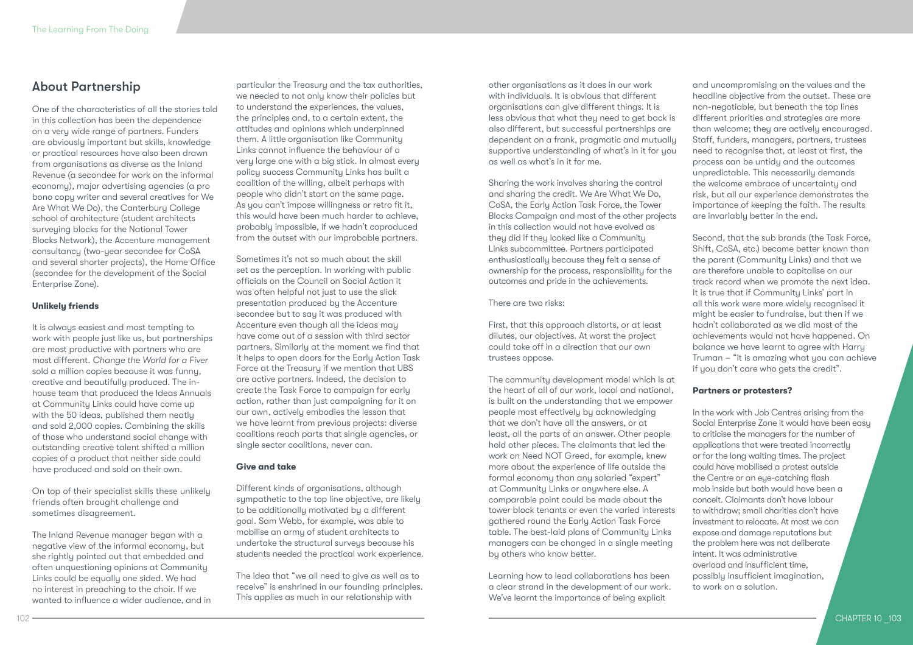### About Partnership

One of the characteristics of all the stories told in this collection has been the dependence on a very wide range of partners. Funders are obviously important but skills, knowledge or practical resources have also been drawn from organisations as diverse as the Inland Revenue (a secondee for work on the informal economy), major advertising agencies (a pro bono copy writer and several creatives for We Are What We Do), the Canterbury College school of architecture (student architects surveuing blocks for the National Tower Blocks Network), the Accenture management consultancy (two-year secondee for CoSA and several shorter projects), the Home Office (secondee for the development of the Social Enterprise Zone).

### **Unlikely friends**

It is always easiest and most tempting to work with people just like us, but partnerships are most productive with partners who are most different. *Change the World for a Fiver* sold a million copies because it was funny, creative and beautifully produced. The inhouse team that produced the Ideas Annuals at Community Links could have come up with the 50 ideas, published them neatly and sold 2,000 copies. Combining the skills of those who understand social change with outstanding creative talent shifted a million copies of a product that neither side could have produced and sold on their own.

On top of their specialist skills these unlikely friends often brought challenge and sometimes disagreement.

The Inland Revenue manager began with a negative view of the informal economy, but she rightly pointed out that embedded and often unquestioning opinions at Community Links could be equally one sided. We had no interest in preaching to the choir. If we wanted to influence a wider audience, and in

particular the Treasury and the tax authorities, we needed to not only know their policies but to understand the experiences, the values, the principles and, to a certain extent, the attitudes and opinions which underpinned them. A little organisation like Community Links cannot influence the behaviour of a very large one with a big stick. In almost every policy success Community Links has built a coalition of the willing, albeit perhaps with people who didn't start on the same page. As you can't impose willingness or retro fit it, this would have been much harder to achieve, probably impossible, if we hadn't coproduced from the outset with our improbable partners.

Sometimes it's not so much about the skill set as the perception. In working with public officials on the Council on Social Action it was often helpful not just to use the slick presentation produced by the Accenture secondee but to say it was produced with Accenture even though all the ideas may have come out of a session with third sector partners. Similarly at the moment we find that it helps to open doors for the Early Action Task Force at the Treasury if we mention that UBS are active partners. Indeed, the decision to create the Task Force to campaign for early action, rather than just campaigning for it on our own, actively embodies the lesson that we have learnt from previous projects: diverse coalitions reach parts that single agencies, or single sector coalitions, never can.

### **Give and take**

Different kinds of organisations, although sympathetic to the top line objective, are likely to be additionally motivated by a different goal. Sam Webb, for example, was able to mobilise an army of student architects to undertake the structural surveys because his students needed the practical work experience.

The idea that "we all need to give as well as to receive" is enshrined in our founding principles. This applies as much in our relationship with

other organisations as it does in our work with individuals. It is obvious that different organisations can give different things. It is less obvious that what they need to get back is also different, but successful partnerships are dependent on a frank, pragmatic and mutually supportive understanding of what's in it for you as well as what's in it for me.

Sharing the work involves sharing the control and sharing the credit. We Are What We Do, CoSA, the Early Action Task Force, the Tower Blocks Campaign and most of the other projects in this collection would not have evolved as they did if they looked like a Community Links subcommittee. Partners participated enthusiastically because they felt a sense of ownership for the process, responsibility for the outcomes and pride in the achievements.

There are two risks:

First, that this approach distorts, or at least dilutes, our objectives. At worst the project could take off in a direction that our own trustees oppose.

The community development model which is at the heart of all of our work, local and national, is built on the understanding that we empower people most effectively by acknowledging that we don't have all the answers, or at least, all the parts of an answer. Other people hold other pieces. The claimants that led the work on Need NOT Greed, for example, knew more about the experience of life outside the formal economy than any salaried "expert" at Community Links or anywhere else. A comparable point could be made about the tower block tenants or even the varied interests gathered round the Early Action Task Force table. The best-laid plans of Community Links managers can be changed in a single meeting by others who know better.

Learning how to lead collaborations has been a clear strand in the development of our work. We've learnt the importance of being explicit

and uncompromising on the values and the headline objective from the outset. These are non-negotiable, but beneath the top lines different priorities and strategies are more than welcome; they are actively encouraged. Staff, funders, managers, partners, trustees need to recognise that, at least at first, the process can be untidy and the outcomes unpredictable. This necessarily demands the welcome embrace of uncertainty and risk, but all our experience demonstrates the importance of keeping the faith. The results are invariably better in the end.

Second, that the sub brands (the Task Force, Shift, CoSA, etc.) become better known than the parent (Community Links) and that we are therefore unable to capitalise on our track record when we promote the next idea. It is true that if Community Links' part in all this work were more widely recognised it might be easier to fundraise, but then if we hadn't collaborated as we did most of the achievements would not have happened. On balance we have learnt to agree with Harry Truman – "it is amazing what you can achieve if you don't care who gets the credit".

### **Partners or protesters?**

In the work with Job Centres arising from the Social Enterprise Zone it would have been easy to criticise the managers for the number of applications that were treated incorrectly or for the long waiting times. The project could have mobilised a protest outside the Centre or an eye-catching flash mob inside but both would have been a conceit. Claimants don't have labour to withdraw; small charities don't have investment to relocate. At most we can expose and damage reputations but the problem here was not deliberate intent. It was administrative overload and insufficient time, possibly insufficient imagination, to work on a solution.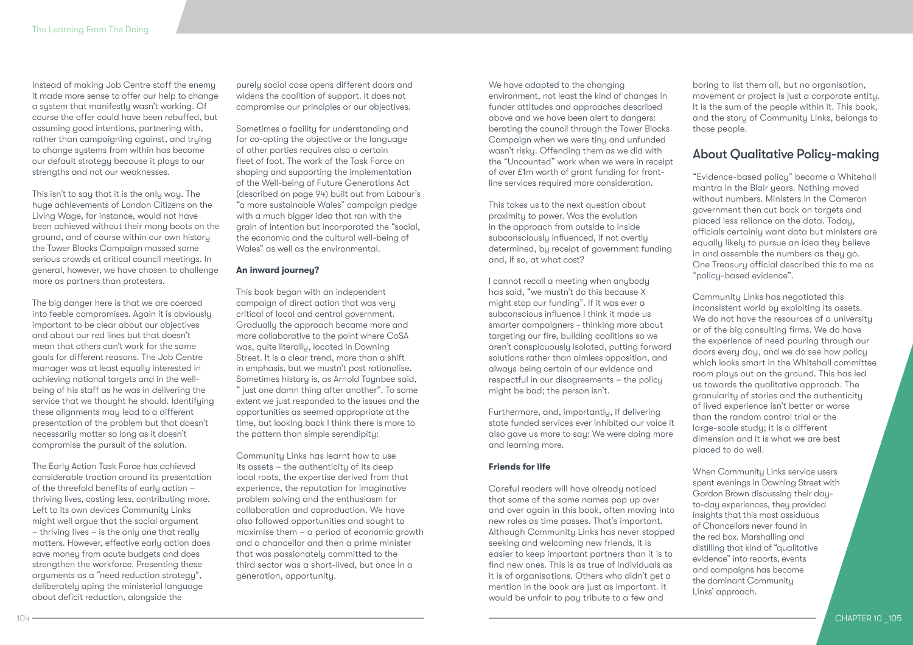Instead of making Job Centre staff the enemy it made more sense to offer our help to change a sustem that manifestly wasn't working. Of course the offer could have been rebuffed, but assuming good intentions, partnering with, rather than campaigning against, and trying to change systems from within has become our default strategy because it plays to our strengths and not our weaknesses.

This isn't to say that it is the only way. The huge achievements of London Citizens on the Living Wage, for instance, would not have been achieved without their many boots on the ground, and of course within our own history the Tower Blocks Campaign massed some serious crowds at critical council meetings. In general, however, we have chosen to challenge more as partners than protesters.

The big danger here is that we are coerced into feeble compromises. Again it is obviously important to be clear about our objectives and about our red lines but that doesn't mean that others can't work for the same goals for different reasons. The Job Centre manager was at least equally interested in achieving national targets and in the wellbeing of his staff as he was in delivering the service that we thought he should. Identifying these alignments may lead to a different presentation of the problem but that doesn't necessarily matter so long as it doesn't compromise the pursuit of the solution.

The Early Action Task Force has achieved considerable traction around its presentation of the threefold benefits of early action – thriving lives, costing less, contributing more. Left to its own devices Community Links might well argue that the social argument – thriving lives – is the only one that really matters. However, effective early action does save money from acute budgets and does strengthen the workforce. Presenting these arguments as a "need reduction strategy", deliberately aping the ministerial language about deficit reduction, alongside the

104

purely social case opens different doors and widens the coalition of support. It does not compromise our principles or our objectives.

Sometimes a facility for understanding and for co-opting the objective or the language of other parties requires also a certain fleet of foot. The work of the Task Force on shaping and supporting the implementation of the Well-being of Future Generations Act (described on page 94) built out from Labour's "a more sustainable Wales" campaign pledge with a much bigger idea that ran with the grain of intention but incorporated the "social, the economic and the cultural well-being of Wales" as well as the environmental.

### **An inward journey?**

This book began with an independent campaign of direct action that was very critical of local and central government. Gradually the approach became more and more collaborative to the point where CoSA was, quite literally, located in Downing Street. It is a clear trend, more than a shift in emphasis, but we mustn't post rationalise. Sometimes history is, as Arnold Toynbee said, " just one damn thing after another". To some extent we just responded to the issues and the opportunities as seemed appropriate at the time, but looking back I think there is more to the pattern than simple serendipity:

Community Links has learnt how to use its assets – the authenticity of its deep local roots, the expertise derived from that experience, the reputation for imaginative problem solving and the enthusiasm for collaboration and coproduction. We have also followed opportunities and sought to maximise them – a period of economic growth and a chancellor and then a prime minister that was passionately committed to the third sector was a short-lived, but once in a generation, opportunity.

We have adapted to the changing environment, not least the kind of changes in funder attitudes and approaches described above and we have been alert to dangers: berating the council through the Tower Blocks Campaign when we were tiny and unfunded wasn't risky. Offending them as we did with the "Uncounted" work when we were in receipt of over £1m worth of grant funding for frontline services required more consideration.

This takes us to the next question about proximity to power. Was the evolution in the approach from outside to inside subconsciously influenced, if not overtly determined, by receipt of government funding and, if so, at what cost?

I cannot recall a meeting when anybody has said, "we mustn't do this because X might stop our funding". If it was ever a subconscious influence I think it made us smarter campaigners - thinking more about targeting our fire, building coalitions so we aren't conspicuously isolated, putting forward solutions rather than aimless opposition, and always being certain of our evidence and respectful in our disagreements – the policy might be bad; the person isn't.

Furthermore, and, importantly, if delivering state funded services ever inhibited our voice it also gave us more to say: We were doing more and learning more.

### **Friends for life**

Careful readers will have already noticed that some of the same names pop up over and over again in this book, often moving into new roles as time passes. That's important. Although Community Links has never stopped seeking and welcoming new friends, it is easier to keep important partners than it is to find new ones. This is as true of individuals as it is of organisations. Others who didn't get a mention in the book are just as important. It would be unfair to pay tribute to a few and

boring to list them all, but no organisation, movement or project is just a corporate entity. It is the sum of the people within it. This book, and the story of Community Links, belongs to those people.

### About Qualitative Policy-making

"Evidence-based policy" became a Whitehall mantra in the Blair years. Nothing moved without numbers. Ministers in the Cameron government then cut back on targets and placed less reliance on the data. Today, officials certainly want data but ministers are equally likely to pursue an idea they believe in and assemble the numbers as they go. One Treasury official described this to me as "policy-based evidence".

Community Links has negotiated this inconsistent world by exploiting its assets. We do not have the resources of a university or of the big consulting firms. We do have the experience of need pouring through our doors every day, and we do see how policy which looks smart in the Whitehall committee room plays out on the ground. This has led us towards the qualitative approach. The granularity of stories and the authenticity of lived experience isn't better or worse than the random control trial or the large-scale study; it is a different dimension and it is what we are best placed to do well.

When Community Links service users spent evenings in Downing Street with Gordon Brown discussing their dayto-day experiences, they provided insights that this most assiduous of Chancellors never found in the red box. Marshalling and distilling that kind of "qualitative evidence" into reports, events and campaigns has become the dominant Community Links' approach.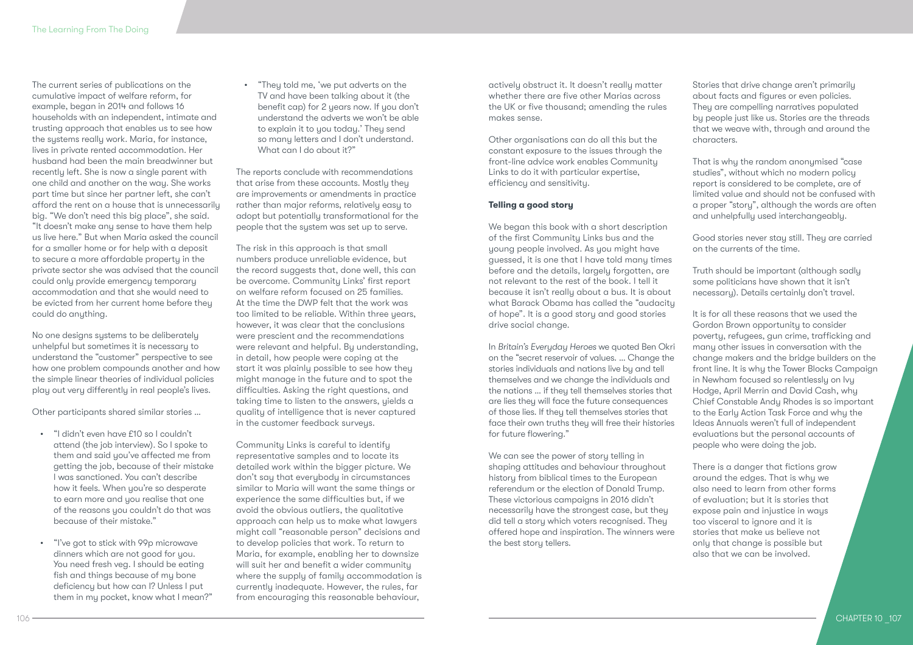The current series of publications on the cumulative impact of welfare reform, for example, began in 2014 and follows 16 households with an independent, intimate and trusting approach that enables us to see how the systems really work. Maria, for instance, lives in private rented accommodation. Her husband had been the main breadwinner but recently left. She is now a single parent with one child and another on the way. She works part time but since her partner left, she can't afford the rent on a house that is unnecessarily big. "We don't need this big place", she said. "It doesn't make any sense to have them help us live here." But when Maria asked the council for a smaller home or for help with a deposit to secure a more affordable property in the private sector she was advised that the council could only provide emergency temporary accommodation and that she would need to be evicted from her current home before they could do anything.

No one designs systems to be deliberately unhelpful but sometimes it is necessary to understand the "customer" perspective to see how one problem compounds another and how the simple linear theories of individual policies play out very differently in real people's lives.

Other participants shared similar stories …

- "I didn't even have £10 so I couldn't attend (the job interview). So I spoke to them and said you've affected me from getting the job, because of their mistake I was sanctioned. You can't describe how it feels. When you're so desperate to earn more and you realise that one of the reasons you couldn't do that was because of their mistake."
- "I've got to stick with 99p microwave dinners which are not good for you. You need fresh veg. I should be eating fish and things because of my bone deficiency but how can I? Unless I put them in my pocket, know what I mean?"

• "They told me, 'we put adverts on the TV and have been talking about it (the benefit cap) for 2 years now. If you don't understand the adverts we won't be able to explain it to you today.' They send so many letters and I don't understand. What can I do about it?"

The reports conclude with recommendations that arise from these accounts. Mostly they are improvements or amendments in practice rather than major reforms, relatively easy to adopt but potentially transformational for the people that the sustem was set up to serve.

The risk in this approach is that small numbers produce unreliable evidence, but the record suggests that, done well, this can be overcome. Community Links' first report on welfare reform focused on 25 families. At the time the DWP felt that the work was too limited to be reliable. Within three years, however, it was clear that the conclusions were prescient and the recommendations were relevant and helpful. By understanding, in detail, how people were coping at the start it was plainly possible to see how they might manage in the future and to spot the difficulties. Asking the right questions, and taking time to listen to the answers, yields a quality of intelligence that is never captured in the customer feedback surveys.

Community Links is careful to identify representative samples and to locate its detailed work within the bigger picture. We don't say that everybody in circumstances similar to Maria will want the same things or experience the same difficulties but, if we avoid the obvious outliers, the qualitative approach can help us to make what lawyers might call "reasonable person" decisions and to develop policies that work. To return to Maria, for example, enabling her to downsize will suit her and benefit a wider community where the supply of family accommodation is currently inadequate. However, the rules, far from encouraging this reasonable behaviour,

actively obstruct it. It doesn't really matter whether there are five other Marias across the UK or five thousand; amending the rules makes sense.

Other organisations can do all this but the constant exposure to the issues through the front-line advice work enables Community Links to do it with particular expertise, efficiency and sensitivity.

### **Telling a good story**

We began this book with a short description of the first Community Links bus and the young people involved. As you might have guessed, it is one that I have told many times before and the details, largely forgotten, are not relevant to the rest of the book. I tell it because it isn't really about a bus. It is about what Barack Obama has called the "audacity of hope". It is a good story and good stories drive social change.

In *Britain's Everyday Heroes* we quoted Ben Okri on the "secret reservoir of values. … Change the stories individuals and nations live by and tell themselves and we change the individuals and the nations … if they tell themselves stories that are lies they will face the future consequences of those lies. If they tell themselves stories that face their own truths they will free their histories for future flowering."

We can see the power of story telling in shaping attitudes and behaviour throughout history from biblical times to the European referendum or the election of Donald Trump. These victorious campaigns in 2016 didn't necessarily have the strongest case, but they did tell a story which voters recognised. They offered hope and inspiration. The winners were the best story tellers.

Stories that drive change aren't primarily about facts and figures or even policies. They are compelling narratives populated by people just like us. Stories are the threads that we weave with, through and around the characters.

That is why the random anonymised "case studies", without which no modern policy report is considered to be complete, are of limited value and should not be confused with a proper "story", although the words are often and unhelpfully used interchangeably.

Good stories never stay still. They are carried on the currents of the time.

Truth should be important (although sadly some politicians have shown that it isn't necessary). Details certainly don't travel.

It is for all these reasons that we used the Gordon Brown opportunity to consider poverty, refugees, gun crime, trafficking and many other issues in conversation with the change makers and the bridge builders on the front line. It is why the Tower Blocks Campaign in Newham focused so relentlessly on Ivy Hodge, April Merrin and David Cash, why Chief Constable Andy Rhodes is so important to the Early Action Task Force and why the Ideas Annuals weren't full of independent evaluations but the personal accounts of people who were doing the job.

There is a danger that fictions grow around the edges. That is why we also need to learn from other forms of evaluation; but it is stories that expose pain and injustice in ways too visceral to ignore and it is stories that make us believe not only that change is possible but also that we can be involved.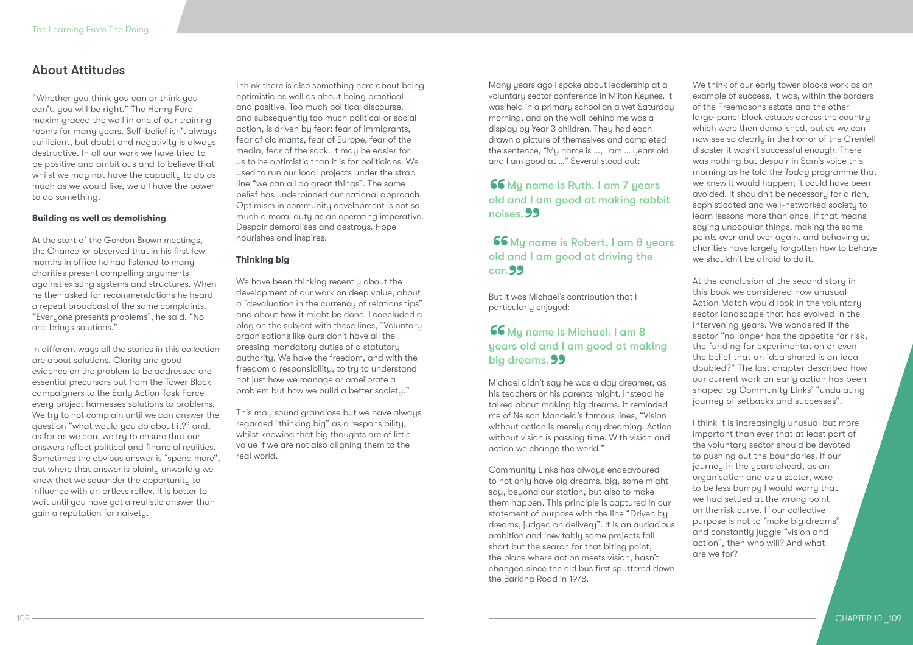### About Attitudes

"Whether you think you can or think you can't, you will be right." The Henry Ford maxim graced the wall in one of our training rooms for many years. Self-belief isn't always sufficient, but doubt and negativity is always destructive. In all our work we have tried to be positive and ambitious and to believe that whilst we may not have the capacity to do as much as we would like, we all have the power to do something.

### **Building as well as demolishing**

At the start of the Gordon Brown meetings, the Chancellor observed that in his first few months in office he had listened to many charities present compelling arguments against existing systems and structures. When he then asked for recommendations he heard a repeat broadcast of the same complaints. "Everyone presents problems", he said. "No one brings solutions."

In different ways all the stories in this collection are about solutions. Clarity and good evidence on the problem to be addressed are essential precursors but from the Tower Block campaigners to the Early Action Task Force every project harnesses solutions to problems. We try to not complain until we can answer the question "what would you do about it?" and, as far as we can, we try to ensure that our answers reflect political and financial realities. Sometimes the obvious answer is "spend more", but where that answer is plainly unworldly we know that we squander the opportunity to influence with an artless reflex. It is better to wait until you have got a realistic answer than gain a reputation for naivety.

I think there is also something here about being optimistic as well as about being practical and positive. Too much political discourse, and subsequently too much political or social action, is driven by fear: fear of immigrants, fear of claimants, fear of Europe, fear of the media, fear of the sack. It may be easier for us to be optimistic than it is for politicians. We used to run our local projects under the strap line "we can all do great things". The same belief has underpinned our national approach. Optimism in community development is not so much a moral duty as an operating imperative. Despair demoralises and destroys. Hope nourishes and inspires.

### **Thinking big**

We have been thinking recently about the development of our work on deep value, about a "devaluation in the currency of relationships" and about how it might be done. I concluded a blog on the subject with these lines, "Voluntary organisations like ours don't have all the pressing mandatory duties of a statutory authority. We have the freedom, and with the freedom a responsibility, to try to understand not just how we manage or ameliorate a problem but how we build a better society."

This may sound grandiose but we have always regarded "thinking big" as a responsibility, whilst knowing that big thoughts are of little value if we are not also aligning them to the real world.

Many years ago I spoke about leadership at a voluntary sector conference in Milton Keynes. It was held in a primary school on a wet Saturday morning, and on the wall behind me was a display by Year 3 children. They had each drawn a picture of themselves and completed the sentence, "My name is …, I am … years old and I am good at …" Several stood out:

### **66** My name is Ruth. I am 7 years old and I am good at making rabbit noises. 99

### 66 My name is Robert, I am 8 years old and I am good at driving the  $cor. 99$ car. 99<br>But it was Michael's contribution that I

particularly enjoyed:

# **66** My name is Michael. I am 8<br>years old and I am good at making dreams years old and I am good at making big dreams. 99<br>Michael didn't say h

Michael didn't say he was a day dreamer, as his teachers or his parents might. Instead he talked about making big dreams. It reminded me of Nelson Mandela's famous lines, "Vision without action is merely day dreaming. Action without vision is passing time. With vision and action we change the world."

Community Links has always endeavoured to not only have big dreams, big, some might say, beyond our station, but also to make them happen. This principle is captured in our statement of purpose with the line "Driven by dreams, judged on delivery". It is an audacious ambition and inevitably some projects fall short but the search for that biting point, the place where action meets vision, hasn't changed since the old bus first sputtered down the Barking Road in 1978.

We think of our early tower blocks work as an example of success. It was, within the borders of the Freemasons estate and the other large-panel block estates across the country which were then demolished, but as we can now see so clearly in the horror of the Grenfell disaster it wasn't successful enough. There was nothing but despair in Sam's voice this morning as he told the *Today* programme that we knew it would happen; it could have been avoided. It shouldn't be necessary for a rich, sophisticated and well-networked society to learn lessons more than once. If that means saying unpopular things, making the same points over and over again, and behaving as charities have largely forgotten how to behave we shouldn't be afraid to do it.

At the conclusion of the second story in this book we considered how unusual Action Match would look in the voluntary sector landscape that has evolved in the intervening years. We wondered if the sector "no longer has the appetite for risk, the funding for experimentation or even the belief that an idea shared is an idea doubled?" The last chapter described how our current work on early action has been shaped by Community Links' "undulating journey of setbacks and successes".

I think it is increasingly unusual but more important than ever that at least part of the voluntary sector should be devoted to pushing out the boundaries. If our journey in the years ahead, as an organisation and as a sector, were to be less bumpy I would worry that we had settled at the wrong point on the risk curve. If our collective purpose is not to "make big dreams" and constantly juggle "vision and action", then who will? And what are we for?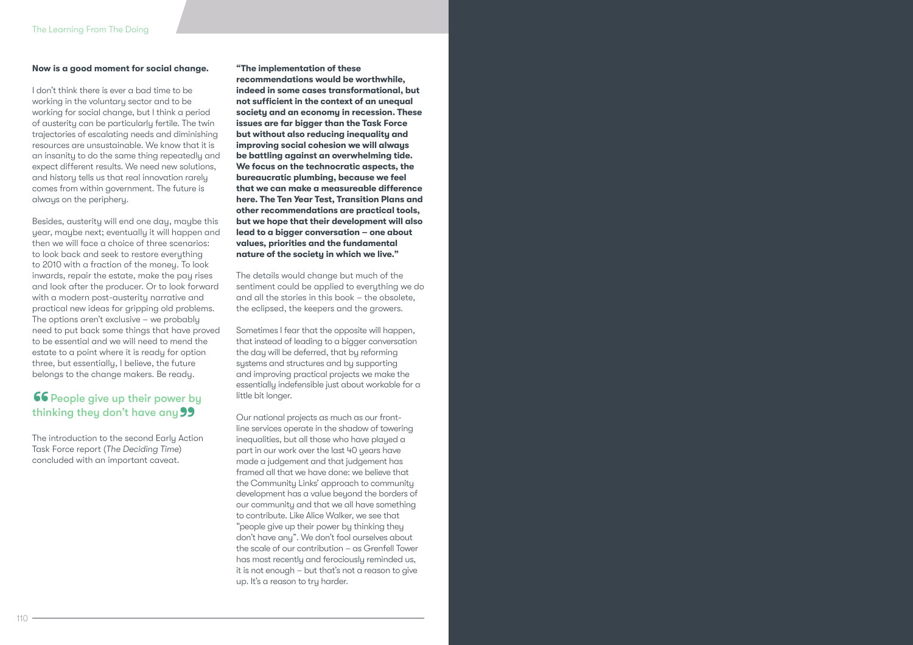#### **Now is a good moment for social change.**

I don't think there is ever a bad time to be working in the voluntary sector and to be working for social change, but I think a period of austerity can be particularly fertile. The twin trajectories of escalating needs and diminishing resources are unsustainable. We know that it is an insanity to do the same thing repeatedly and expect different results. We need new solutions, and history tells us that real innovation rarely comes from within government. The future is always on the periphery.

Besides, austerity will end one day, maybe this year, maybe next; eventually it will happen and then we will face a choice of three scenarios: to look back and seek to restore everything to 2010 with a fraction of the money. To look inwards, repair the estate, make the pay rises and look after the producer. Or to look forward with a modern post-austerity narrative and practical new ideas for gripping old problems. The options aren't exclusive – we probably need to put back some things that have proved to be essential and we will need to mend the estate to a point where it is ready for option three, but essentially, I believe, the future belongs to the change makers. Be ready.

# **66** People give up their power by thinking they don't have any 99<br>The introduction to the second Early Action

Task Force report (*The Deciding Time*) concluded with an important caveat.

#### **"The implementation of these**

**recommendations would be worthwhile, indeed in some cases transformational, but not sufficient in the context of an unequal society and an economy in recession. These issues are far bigger than the Task Force but without also reducing inequality and improving social cohesion we will always be battling against an overwhelming tide. We focus on the technocratic aspects, the bureaucratic plumbing, because we feel that we can make a measureable difference here. The Ten Year Test, Transition Plans and other recommendations are practical tools, but we hope that their development will also lead to a bigger conversation – one about values, priorities and the fundamental nature of the society in which we live."**

The details would change but much of the sentiment could be applied to everything we do and all the stories in this book – the obsolete, the eclipsed, the keepers and the growers.

Sometimes I fear that the opposite will happen, that instead of leading to a bigger conversation the day will be deferred, that by reforming systems and structures and by supporting and improving practical projects we make the essentially indefensible just about workable for a little bit longer.

Our national projects as much as our frontline services operate in the shadow of towering inequalities, but all those who have played a part in our work over the last 40 years have made a judgement and that judgement has framed all that we have done: we believe that the Community Links' approach to community development has a value beyond the borders of our community and that we all have something to contribute. Like Alice Walker, we see that "people give up their power by thinking they don't have any". We don't fool ourselves about the scale of our contribution – as Grenfell Tower has most recently and ferociously reminded us, it is not enough – but that's not a reason to give up. It's a reason to try harder.